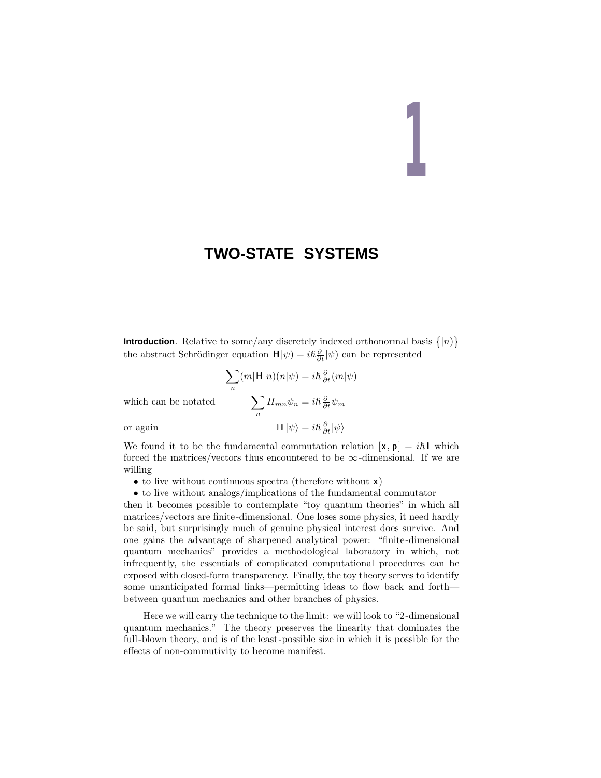# **1**

# **TWO-STATE SYSTEMS**

**Introduction**. Relative to some/any discretely indexed orthonormal basis  $\{|n\rangle\}$ the abstract Schrödinger equation  $\mathbf{H}|\psi\rangle = i\hbar \frac{\partial}{\partial t}|\psi\rangle$  can be represented

$$
\sum_{n} (m|\mathbf{H}|n)(n|\psi) = i\hbar \frac{\partial}{\partial t} (m|\psi)
$$

$$
\sum_{n} H_{mn}\psi_{n} = i\hbar \frac{\partial}{\partial t} \psi_{m}
$$

$$
\mathbb{H} |\psi\rangle = i\hbar \frac{\partial}{\partial t} |\psi\rangle
$$

or again

which can be notated

We found it to be the fundamental commutation relation  $[\mathbf{x}, \mathbf{p}] = i\hbar \mathbf{I}$  which forced the matrices/vectors thus encountered to be  $\infty$ -dimensional. If we are willing

- to live without continuous spectra (therefore without **x**)
- to live without analogs/implications of the fundamental commutator

then it becomes possible to contemplate "toy quantum theories" in which all matrices/vectors are finite-dimensional. One loses some physics, it need hardly be said, but surprisingly much of genuine physical interest does survive. And one gains the advantage of sharpened analytical power: "finite-dimensional quantum mechanics" provides a methodological laboratory in which, not infrequently, the essentials of complicated computational procedures can be exposed with closed-form transparency. Finally, the toy theory serves to identify some unanticipated formal links—permitting ideas to flow back and forth between quantum mechanics and other branches of physics.

Here we will carry the technique to the limit: we will look to "2-dimensional quantum mechanics." The theory preserves the linearity that dominates the full-blown theory, and is of the least-possible size in which it is possible for the effects of non-commutivity to become manifest.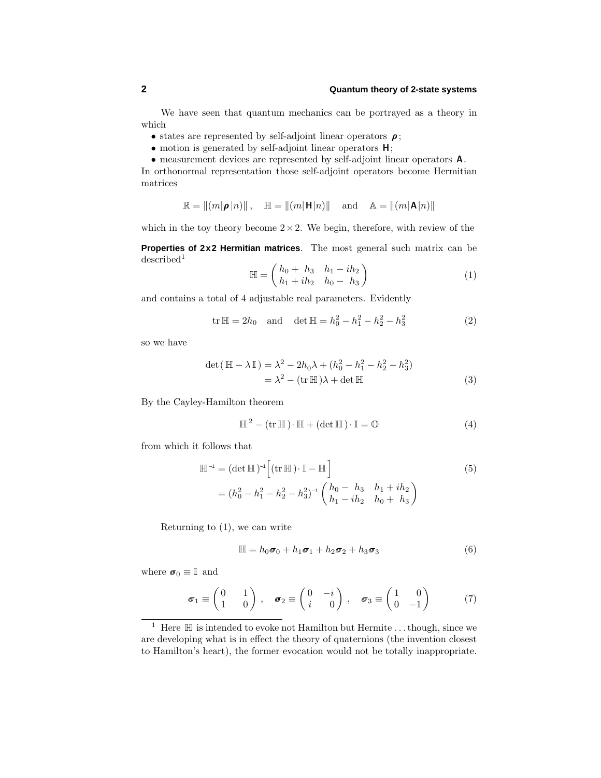We have seen that quantum mechanics can be portrayed as a theory in which

- states are represented by self-adjoint linear operators *ρ* ;
- motion is generated by self-adjoint linear operators **H**;
- measurement devices are represented by self-adjoint linear operators **A**.

In orthonormal representation those self-adjoint operators become Hermitian matrices

$$
\mathbb{R} = \left\| (m|\pmb{\rho} \,|n) \right\|, \quad \mathbb{H} = \left\| (m|\mathbf{H} \,|n) \right\| \quad \text{and} \quad \mathbb{A} = \left\| (m|\mathbf{A} \,|n) \right\|
$$

which in the toy theory become  $2 \times 2$ . We begin, therefore, with review of the

**Properties of 2x2 Hermitian matrices**. The most general such matrix can be  $described<sup>1</sup>$ 

$$
\mathbb{H} = \begin{pmatrix} h_0 + h_3 & h_1 - ih_2 \\ h_1 + ih_2 & h_0 - h_3 \end{pmatrix}
$$
 (1)

and contains a total of 4 adjustable real parameters. Evidently

$$
\text{tr}\,\mathbb{H} = 2h_0 \quad \text{and} \quad \det \mathbb{H} = h_0^2 - h_1^2 - h_2^2 - h_3^2 \tag{2}
$$

so we have

det (
$$
\mathbb{H} - \lambda \mathbb{I}
$$
) =  $\lambda^2 - 2h_0\lambda + (h_0^2 - h_1^2 - h_2^2 - h_3^2)$   
=  $\lambda^2 - (\text{tr }\mathbb{H})\lambda + \text{det }\mathbb{H}$  (3)

By the Cayley-Hamilton theorem

$$
\mathbb{H}^{2} - (\text{tr}\,\mathbb{H}) \cdot \mathbb{H} + (\det \mathbb{H}) \cdot \mathbb{I} = \mathbb{O}
$$
 (4)

from which it follows that

$$
\mathbb{H}^{-1} = (\det \mathbb{H})^{-1} \Big[ (\text{tr } \mathbb{H}) \cdot \mathbb{I} - \mathbb{H} \Big] \n= (h_0^2 - h_1^2 - h_2^2 - h_3^2)^{-1} \begin{pmatrix} h_0 - h_3 & h_1 + ih_2 \\ h_1 - ih_2 & h_0 + h_3 \end{pmatrix}
$$
\n(5)

Returning to (1), we can write

$$
\mathbb{H} = h_0 \sigma_0 + h_1 \sigma_1 + h_2 \sigma_2 + h_3 \sigma_3 \tag{6}
$$

where  $\sigma_0 \equiv \mathbb{I}$  and

$$
\boldsymbol{\sigma}_1 \equiv \begin{pmatrix} 0 & 1 \\ 1 & 0 \end{pmatrix}, \quad \boldsymbol{\sigma}_2 \equiv \begin{pmatrix} 0 & -i \\ i & 0 \end{pmatrix}, \quad \boldsymbol{\sigma}_3 \equiv \begin{pmatrix} 1 & 0 \\ 0 & -1 \end{pmatrix} \tag{7}
$$

<sup>1</sup> Here H is intended to evoke not Hamilton but Hermite *...*though, since we are developing what is in effect the theory of quaternions (the invention closest to Hamilton's heart), the former evocation would not be totally inappropriate.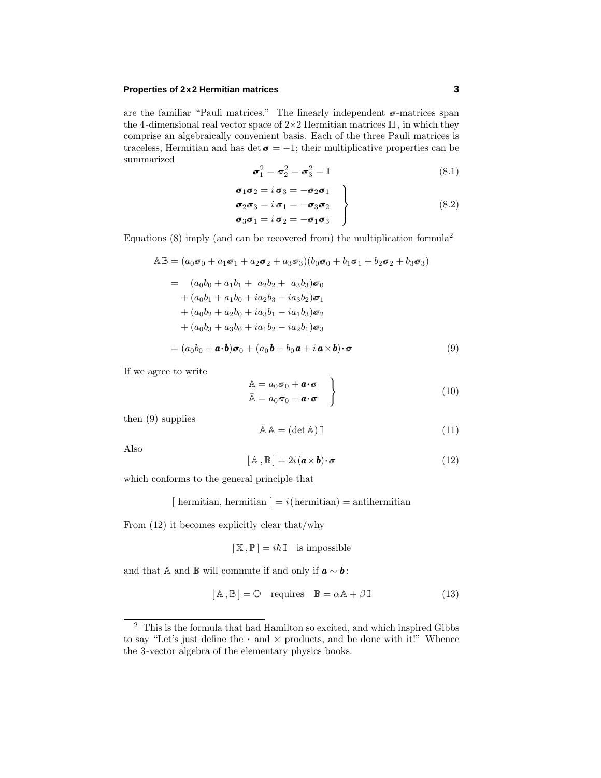### **Properties of 2x2 Hermitian matrices 3**

are the familiar "Pauli matrices." The linearly independent *σσ*-matrices span the 4-dimensional real vector space of  $2\times 2$  Hermitian matrices  $\mathbb H$ , in which they comprise an algebraically convenient basis. Each of the three Pauli matrices is traceless, Hermitian and has det  $\sigma = -1$ ; their multiplicative properties can be summarized

$$
\sigma_1^2 = \sigma_2^2 = \sigma_3^2 = \mathbb{I} \tag{8.1}
$$

$$
\begin{aligned}\n\sigma_1 \sigma_2 &= i \sigma_3 = -\sigma_2 \sigma_1 \\
\sigma_2 \sigma_3 &= i \sigma_1 = -\sigma_3 \sigma_2 \\
\sigma_3 \sigma_1 &= i \sigma_2 = -\sigma_1 \sigma_3\n\end{aligned}
$$
\n(8.2)

Equations (8) imply (and can be recovered from) the multiplication formula<sup>2</sup>

$$
\begin{aligned}\n\mathbb{A} \mathbb{B} &= (a_0 \boldsymbol{\sigma}_0 + a_1 \boldsymbol{\sigma}_1 + a_2 \boldsymbol{\sigma}_2 + a_3 \boldsymbol{\sigma}_3)(b_0 \boldsymbol{\sigma}_0 + b_1 \boldsymbol{\sigma}_1 + b_2 \boldsymbol{\sigma}_2 + b_3 \boldsymbol{\sigma}_3) \\
&= (a_0 b_0 + a_1 b_1 + a_2 b_2 + a_3 b_3) \boldsymbol{\sigma}_0 \\
&+ (a_0 b_1 + a_1 b_0 + i a_2 b_3 - i a_3 b_2) \boldsymbol{\sigma}_1 \\
&+ (a_0 b_2 + a_2 b_0 + i a_3 b_1 - i a_1 b_3) \boldsymbol{\sigma}_2 \\
&+ (a_0 b_3 + a_3 b_0 + i a_1 b_2 - i a_2 b_1) \boldsymbol{\sigma}_3 \\
&= (a_0 b_0 + \boldsymbol{a} \cdot \boldsymbol{b}) \boldsymbol{\sigma}_0 + (a_0 \boldsymbol{b} + b_0 \boldsymbol{a} + i \boldsymbol{a} \times \boldsymbol{b}) \cdot \boldsymbol{\sigma}\n\end{aligned} \tag{9}
$$

If we agree to write

$$
\mathbb{A} = a_0 \boldsymbol{\sigma}_0 + \boldsymbol{a} \cdot \boldsymbol{\sigma} \quad \ \left\{\n \begin{array}{c}\n \lambda = a_0 \boldsymbol{\sigma}_0 - \boldsymbol{a} \cdot \boldsymbol{\sigma}\n \end{array}\n \right\}\n \tag{10}
$$

then (9) supplies

$$
\bar{\mathbb{A}}\,\mathbb{A} = (\det \mathbb{A})\,\mathbb{I} \tag{11}
$$

Also

$$
[\mathbb{A}, \mathbb{B}] = 2i(\mathbf{a} \times \mathbf{b}) \cdot \mathbf{\sigma}
$$
 (12)

which conforms to the general principle that

 $\lceil$  hermitian, hermitian  $\rceil = i$  (hermitian) = antihermitian

From (12) it becomes explicitly clear that/why

 $[\mathbb{X}, \mathbb{P}] = i\hbar \mathbb{I}$  is impossible

and that A and  $\mathbb B$  will commute if and only if  $\mathbf a \sim \mathbf b$ :

$$
[\mathbb{A}, \mathbb{B}] = \mathbb{O} \quad \text{requires} \quad \mathbb{B} = \alpha \mathbb{A} + \beta \mathbb{I} \tag{13}
$$

<sup>2</sup> This is the formula that had Hamilton so excited, and which inspired Gibbs to say "Let's just define the  $\cdot$  and  $\times$  products, and be done with it!" Whence the 3-vector algebra of the elementary physics books.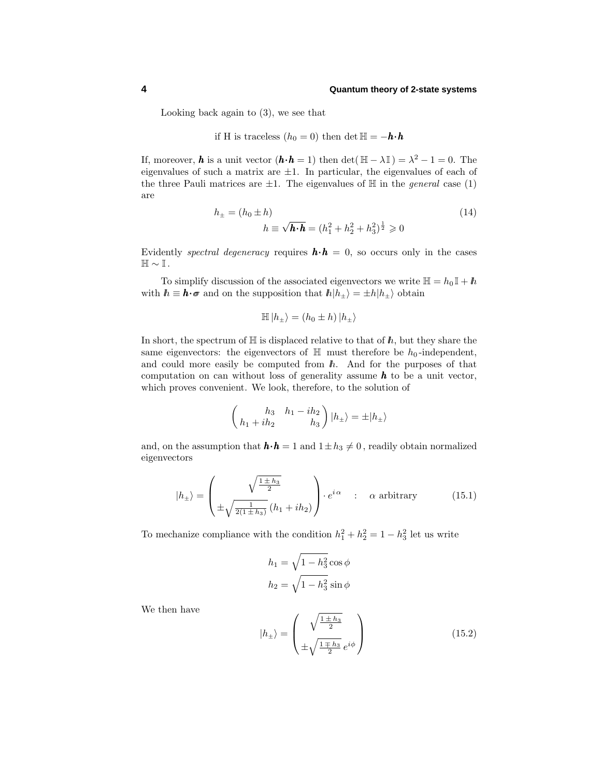### **4 Quantum theory of 2-state systems**

Looking back again to (3), we see that

if H is traceless 
$$
(h_0 = 0)
$$
 then det  $\mathbb{H} = -\mathbf{h} \cdot \mathbf{h}$ 

If, moreover, *h* is a unit vector  $(h \cdot h = 1)$  then  $\det(\mathbb{H} - \lambda \mathbb{I}) = \lambda^2 - 1 = 0$ . The eigenvalues of such a matrix are  $\pm 1$ . In particular, the eigenvalues of each of the three Pauli matrices are  $\pm 1$ . The eigenvalues of  $\mathbb H$  in the *general* case (1) are

$$
h_{\pm} = (h_0 \pm h) \tag{14}
$$

$$
h \equiv \sqrt{\mathbf{h} \cdot \mathbf{h}} = (h_1^2 + h_2^2 + h_3^2)^{\frac{1}{2}} \ge 0
$$

Evidently *spectral degeneracy* requires  $\mathbf{h} \cdot \mathbf{h} = 0$ , so occurs only in the cases  $\mathbb{H} \sim \mathbb{I}$ .

To simplify discussion of the associated eigenvectors we write  $\mathbb{H} = h_0 \mathbb{I} + h$ with  $h \equiv \mathbf{h} \cdot \mathbf{\sigma}$  and on the supposition that  $h|h_{\pm}\rangle = \pm h|h_{\pm}\rangle$  obtain

$$
\mathbb{H}\left| h_{\pm}\right\rangle =\left( h_{0}\pm h\right) \left| h_{\pm}\right\rangle
$$

In short, the spectrum of  $\mathbb H$  is displaced relative to that of  $\mathbb h$ , but they share the same eigenvectors: the eigenvectors of  $\mathbb{H}$  must therefore be  $h_0$ -independent, and could more easily be computed from  $h$ . And for the purposes of that computation on can without loss of generality assume *h* to be a unit vector, which proves convenient. We look, therefore, to the solution of

$$
\begin{pmatrix} h_3 & h_1 - ih_2 \ h_1 + ih_2 & h_3 \end{pmatrix} |h_{\pm}\rangle = \pm |h_{\pm}\rangle
$$

and, on the assumption that  $\mathbf{h} \cdot \mathbf{h} = 1$  and  $1 \pm h_3 \neq 0$ , readily obtain normalized eigenvectors

$$
|h_{\pm}\rangle = \begin{pmatrix} \sqrt{\frac{1 \pm h_3}{2}} \\ \pm \sqrt{\frac{1}{2(1 \pm h_3)}} (h_1 + ih_2) \end{pmatrix} \cdot e^{i\alpha} \quad : \quad \alpha \text{ arbitrary} \tag{15.1}
$$

To mechanize compliance with the condition  $h_1^2 + h_2^2 = 1 - h_3^2$  let us write

$$
h_1 = \sqrt{1 - h_3^2} \cos \phi
$$

$$
h_2 = \sqrt{1 - h_3^2} \sin \phi
$$

We then have

$$
|h_{\pm}\rangle = \begin{pmatrix} \sqrt{\frac{1 \pm h_3}{2}} \\ \pm \sqrt{\frac{1 \mp h_3}{2}} e^{i\phi} \end{pmatrix}
$$
 (15.2)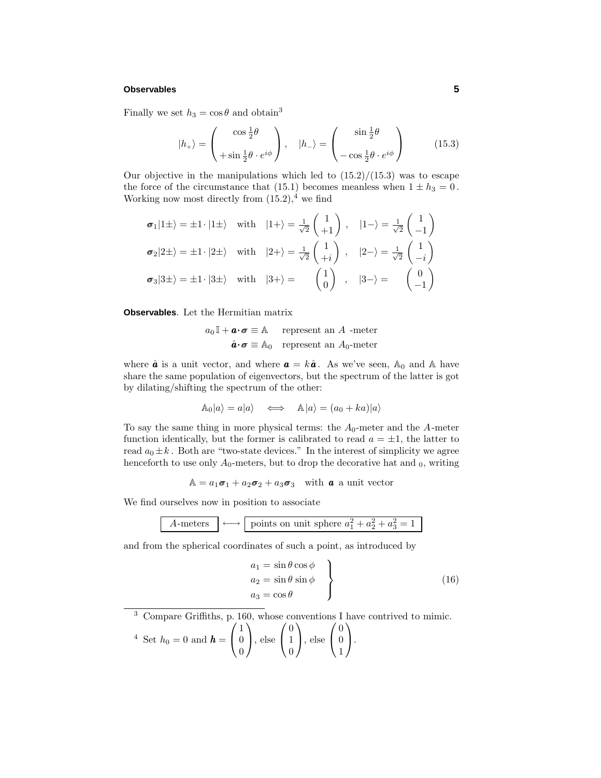### **Observables 5**

Finally we set  $h_3 = \cos \theta$  and obtain<sup>3</sup>

$$
|h_{+}\rangle = \begin{pmatrix} \cos\frac{1}{2}\theta \\ +\sin\frac{1}{2}\theta \cdot e^{i\phi} \end{pmatrix}, \quad |h_{-}\rangle = \begin{pmatrix} \sin\frac{1}{2}\theta \\ -\cos\frac{1}{2}\theta \cdot e^{i\phi} \end{pmatrix}
$$
(15.3)

Our objective in the manipulations which led to  $(15.2)/(15.3)$  was to escape the force of the circumstance that (15.1) becomes meanless when  $1 \pm h_3 = 0$ . Working now most directly from  $(15.2)$ ,<sup>4</sup> we find

$$
\sigma_1|1\pm\rangle = \pm 1 \cdot |1\pm\rangle \quad \text{with} \quad |1+\rangle = \frac{1}{\sqrt{2}} \begin{pmatrix} 1 \\ +1 \end{pmatrix}, \quad |1-\rangle = \frac{1}{\sqrt{2}} \begin{pmatrix} 1 \\ -1 \end{pmatrix}
$$

$$
\sigma_2|2\pm\rangle = \pm 1 \cdot |2\pm\rangle \quad \text{with} \quad |2+\rangle = \frac{1}{\sqrt{2}} \begin{pmatrix} 1 \\ +i \end{pmatrix}, \quad |2-\rangle = \frac{1}{\sqrt{2}} \begin{pmatrix} 1 \\ -i \end{pmatrix}
$$

$$
\sigma_3|3\pm\rangle = \pm 1 \cdot |3\pm\rangle \quad \text{with} \quad |3+\rangle = \begin{pmatrix} 1 \\ 0 \end{pmatrix}, \quad |3-\rangle = \begin{pmatrix} 0 \\ -1 \end{pmatrix}
$$

**Observables**. Let the Hermitian matrix

$$
a_0 \mathbb{I} + \mathbf{a} \cdot \mathbf{\sigma} \equiv \mathbb{A}
$$
 represent an  $A$ -meter  
 $\hat{\mathbf{a}} \cdot \mathbf{\sigma} \equiv \mathbb{A}_0$  represent an  $A_0$ -meter

where  $\hat{a}$  is a unit vector, and where  $a = k\hat{a}$ . As we've seen,  $\mathbb{A}_0$  and  $\mathbb{A}$  have share the same population of eigenvectors, but the spectrum of the latter is got by dilating/shifting the spectrum of the other:

$$
\mathbb{A}_0|a\rangle = a|a\rangle \quad \iff \quad \mathbb{A}|a\rangle = (a_0 + ka)|a\rangle
$$

To say the same thing in more physical terms: the  $A_0$ -meter and the  $A$ -meter function identically, but the former is calibrated to read  $a = \pm 1$ , the latter to read  $a_0 \pm k$ . Both are "two-state devices." In the interest of simplicity we agree henceforth to use only  $A_0$ -meters, but to drop the decorative hat and  $_0$ , writing

$$
\mathbb{A} = a_1 \boldsymbol{\sigma}_1 + a_2 \boldsymbol{\sigma}_2 + a_3 \boldsymbol{\sigma}_3 \quad \text{with } \boldsymbol{a} \text{ a unit vector}
$$

We find ourselves now in position to associate

A-meters 
$$
\longleftrightarrow
$$
 points on unit sphere  $a_1^2 + a_2^2 + a_3^2 = 1$ 

and from the spherical coordinates of such a point, as introduced by

$$
\begin{aligned}\na_1 &= \sin \theta \cos \phi \\
a_2 &= \sin \theta \sin \phi \\
a_3 &= \cos \theta\n\end{aligned}
$$
\n(16)

<sup>3</sup> Compare Griffiths, p. 160, whose conventions I have contrived to mimic.

<sup>4</sup> Set 
$$
h_0 = 0
$$
 and  $\mathbf{h} = \begin{pmatrix} 1 \\ 0 \\ 0 \end{pmatrix}$ , else  $\begin{pmatrix} 0 \\ 1 \\ 0 \end{pmatrix}$ , else  $\begin{pmatrix} 0 \\ 0 \\ 1 \end{pmatrix}$ .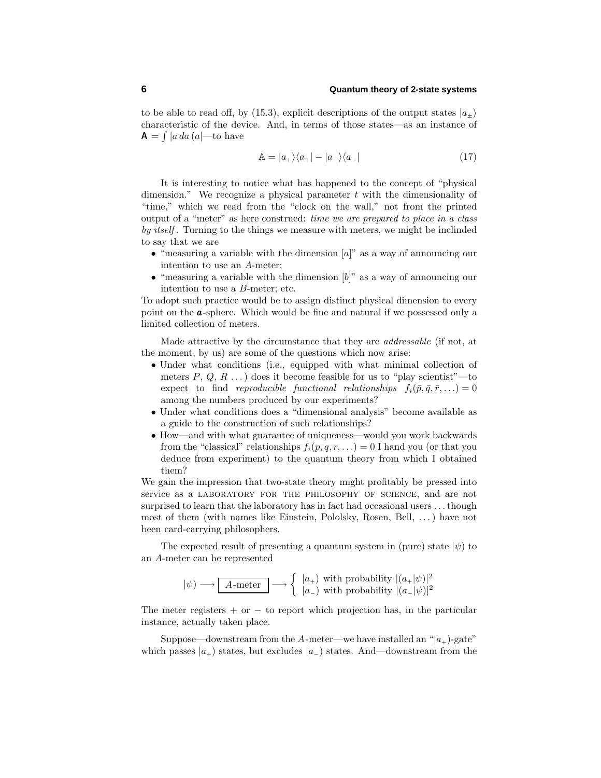### **6 Quantum theory of 2-state systems**

to be able to read off, by (15.3), explicit descriptions of the output states  $|a_{\pm}\rangle$ characteristic of the device. And, in terms of those states—as an instance of  $A = \int |a \, da \, (a|$ —to have

$$
\mathbb{A} = |a_{+}\rangle\langle a_{+}| - |a_{-}\rangle\langle a_{-}| \tag{17}
$$

It is interesting to notice what has happened to the concept of "physical dimension." We recognize a physical parameter *t* with the dimensionality of "time," which we read from the "clock on the wall," not from the printed output of a "meter" as here construed: time we are prepared to place in a class by *itself*. Turning to the things we measure with meters, we might be inclinded to say that we are

- "measuring a variable with the dimension [*a*]" as a way of announcing our intention to use an *A*-meter;
- "measuring a variable with the dimension [*b*]" as a way of announcing our intention to use a *B*-meter; etc.

To adopt such practice would be to assign distinct physical dimension to every point on the *a*-sphere. Which would be fine and natural if we possessed only a limited collection of meters.

Made attractive by the circumstance that they are addressable (if not, at the moment, by us) are some of the questions which now arise:

- Under what conditions (i.e., equipped with what minimal collection of meters  $P, Q, R \ldots$ ) does it become feasible for us to "play scientist"—to expect to find *reproducible functional relationships*  $f_i(\bar{p}, \bar{q}, \bar{r}, \ldots) = 0$ among the numbers produced by our experiments?
- Under what conditions does a "dimensional analysis" become available as a guide to the construction of such relationships?
- How—and with what guarantee of uniqueness—would you work backwards from the "classical" relationships  $f_i(p,q,r,\ldots) = 0$  I hand you (or that you deduce from experiment) to the quantum theory from which I obtained them?

We gain the impression that two-state theory might profitably be pressed into service as a laboratory for the philosophy of science, and are not surprised to learn that the laboratory has in fact had occasional users *...*though most of them (with names like Einstein, Pololsky, Rosen, Bell, *...*) have not been card-carrying philosophers.

The expected result of presenting a quantum system in (pure) state  $|\psi\rangle$  to an *A*-meter can be represented

$$
|\psi\rangle \longrightarrow \boxed{A\text{-meter}} \longrightarrow \left\{ \begin{array}{c} |a_+\rangle \text{ with probability } |(a_+|\psi)|^2\\ |a_-\rangle \text{ with probability } |(a_-|\psi)|^2 \end{array} \right.
$$

The meter registers  $+$  or  $-$  to report which projection has, in the particular instance, actually taken place.

Suppose—downstream from the *A*-meter—we have installed an " $|a_{+}\rangle$ -gate" which passes  $|a_+|$  states, but excludes  $|a_-|$  states. And—downstream from the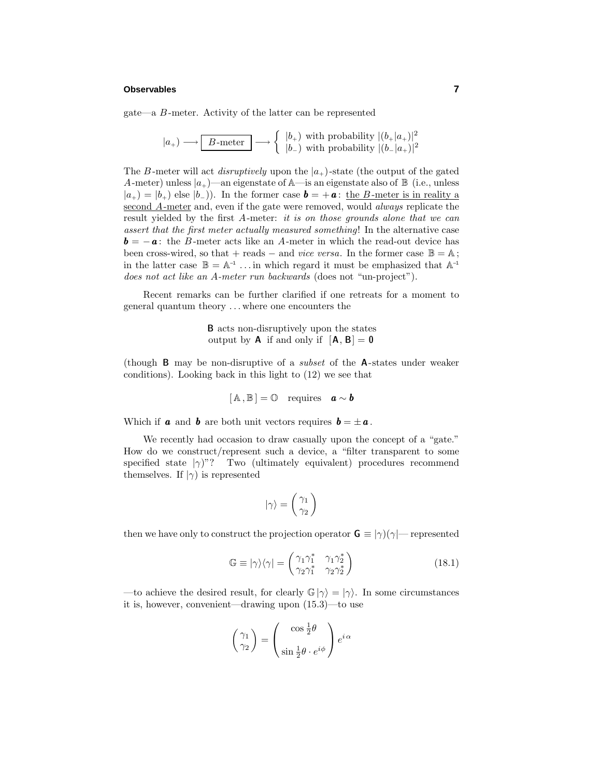### **Observables 7**

gate—a *B*-meter. Activity of the latter can be represented

$$
|a_+\rangle \longrightarrow
$$
 B-meter  $\longrightarrow$   $\begin{cases} |b_+\rangle \\ |b_-\rangle \end{cases}$  with probability  $|(b_+|a_+\rangle|^2$   
 $|(b_-|a_+\rangle|^2$ 

The *B*-meter will act *disruptively* upon the  $|a_+|$ -state (the output of the gated *A*-meter) unless  $|a_+\rangle$ —an eigenstate of A—is an eigenstate also of  $\mathbb{B}$  (i.e., unless  $|a_{+}\rangle = |b_{+}\rangle$  else  $|b_{-}\rangle$ ). In the former case  $\boldsymbol{b} = +\boldsymbol{a}$ : the *B*-meter is in reality a second *A*-meter and, even if the gate were removed, would always replicate the result yielded by the first *A*-meter: it is on those grounds alone that we can assert that the first meter actually measured something! In the alternative case **: the** *B***-meter acts like an** *A***-meter in which the read-out device has** been cross-wired, so that + reads – and *vice versa*. In the former case  $\mathbb{B} = \mathbb{A}$ ; in the latter case  $\mathbb{B} = \mathbb{A}^{-1}$ ... in which regard it must be emphasized that  $\mathbb{A}^{-1}$ does not act like an *A*-meter run backwards (does not "un-project").

Recent remarks can be further clarified if one retreats for a moment to general quantum theory *...* where one encounters the

> **B** acts non-disruptively upon the states output by **A** if and only if  $[A, B] = 0$

(though **B** may be non-disruptive of a subset of the **A**-states under weaker conditions). Looking back in this light to (12) we see that

$$
[\mathbb{A}\,,\mathbb{B}\,]=\mathbb{O}\quad\text{requires}\quad \pmb{\mathit{a}}\sim\pmb{\mathit{b}}
$$

Which if **a** and **b** are both unit vectors requires  $\mathbf{b} = \pm \mathbf{a}$ .

We recently had occasion to draw casually upon the concept of a "gate." How do we construct/represent such a device, a "filter transparent to some specified state  $|\gamma|$ "? Two (ultimately equivalent) procedures recommend themselves. If  $|\gamma|$  is represented

$$
|\gamma\rangle = \begin{pmatrix} \gamma_1 \\ \gamma_2 \end{pmatrix}
$$

then we have only to construct the projection operator  $\mathbf{G} \equiv |\gamma\rangle(\gamma)$  represented

$$
\mathbb{G} \equiv |\gamma\rangle\langle\gamma| = \begin{pmatrix} \gamma_1 \gamma_1^* & \gamma_1 \gamma_2^* \\ \gamma_2 \gamma_1^* & \gamma_2 \gamma_2^* \end{pmatrix}
$$
 (18.1)

—to achieve the desired result, for clearly  $\mathbb{G}|\gamma\rangle = |\gamma\rangle$ . In some circumstances it is, however, convenient—drawing upon (15.3)—to use

$$
\begin{pmatrix} \gamma_1 \\ \gamma_2 \end{pmatrix} = \begin{pmatrix} \cos \frac{1}{2} \theta \\ \sin \frac{1}{2} \theta \cdot e^{i\phi} \end{pmatrix} e^{i\alpha}
$$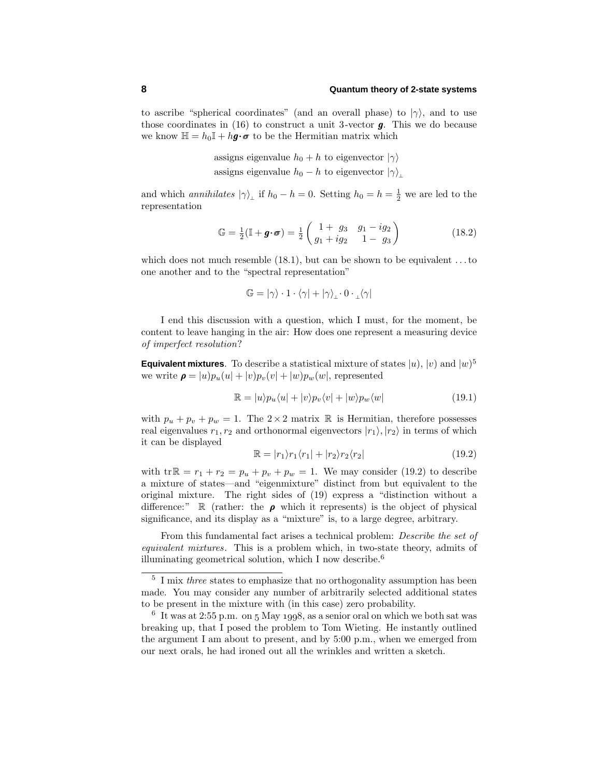### **8 Quantum theory of 2-state systems**

to ascribe "spherical coordinates" (and an overall phase) to  $|\gamma\rangle$ , and to use those coordinates in (16) to construct a unit 3-vector *g*. This we do because we know  $\mathbb{H} = h_0 \mathbb{I} + h g \cdot \boldsymbol{\sigma}$  to be the Hermitian matrix which

> assigns eigenvalue  $h_0 + h$  to eigenvector  $|\gamma\rangle$ assigns eigenvalue  $h_0 - h$  to eigenvector  $|\gamma\rangle_{\perp}$

and which *annihilates*  $|\gamma\rangle_{\perp}$  if  $h_0 - h = 0$ . Setting  $h_0 = h = \frac{1}{2}$  we are led to the representation

$$
\mathbb{G} = \frac{1}{2} (\mathbb{I} + \boldsymbol{g} \cdot \boldsymbol{\sigma}) = \frac{1}{2} \begin{pmatrix} 1 + g_3 & g_1 - ig_2 \\ g_1 + ig_2 & 1 - g_3 \end{pmatrix}
$$
(18.2)

which does not much resemble (18.1), but can be shown to be equivalent *...*to one another and to the "spectral representation"

$$
\mathbb{G} = \left| \gamma \right\rangle \cdot 1 \cdot \left\langle \gamma \right| + \left| \gamma \right\rangle_{\!\bot} \cdot 0 \cdot_{\!\bot} \! \left\langle \gamma \right|
$$

I end this discussion with a question, which I must, for the moment, be content to leave hanging in the air: How does one represent a measuring device of imperfect resolution?

**Equivalent mixtures**. To describe a statistical mixture of states  $|u|$ ,  $|v|$  and  $|w|^{5}$ we write  $\rho = |u| p_u(u| + |v| p_v(v| + |w) p_w(w)$ , represented

$$
\mathbb{R} = |u\rangle p_u \langle u| + |v\rangle p_v \langle v| + |w\rangle p_w \langle w|
$$
\n(19.1)

with  $p_u + p_v + p_w = 1$ . The  $2 \times 2$  matrix  $\mathbb R$  is Hermitian, therefore possesses real eigenvalues  $r_1, r_2$  and orthonormal eigenvectors  $|r_1\rangle, |r_2\rangle$  in terms of which it can be displayed

$$
\mathbb{R} = |r_1\rangle r_1 \langle r_1| + |r_2\rangle r_2 \langle r_2|
$$
\n(19.2)

with  $\text{tr}\,\mathbb{R} = r_1 + r_2 = p_u + p_v + p_w = 1$ . We may consider (19.2) to describe a mixture of states—and "eigenmixture" distinct from but equivalent to the original mixture. The right sides of (19) express a "distinction without a difference:"  $\mathbb R$  (rather: the  $\rho$  which it represents) is the object of physical significance, and its display as a "mixture" is, to a large degree, arbitrary.

From this fundamental fact arises a technical problem: Describe the set of equivalent mixtures. This is a problem which, in two-state theory, admits of illuminating geometrical solution, which I now describe.<sup>6</sup>

 $5 \text{ I mix }$  three states to emphasize that no orthogonality assumption has been made. You may consider any number of arbitrarily selected additional states to be present in the mixture with (in this case) zero probability.

 $6$  It was at 2:55 p.m. on 5 May 1998, as a senior oral on which we both sat was breaking up, that I posed the problem to Tom Wieting. He instantly outlined the argument I am about to present, and by 5:00 p.m., when we emerged from our next orals, he had ironed out all the wrinkles and written a sketch.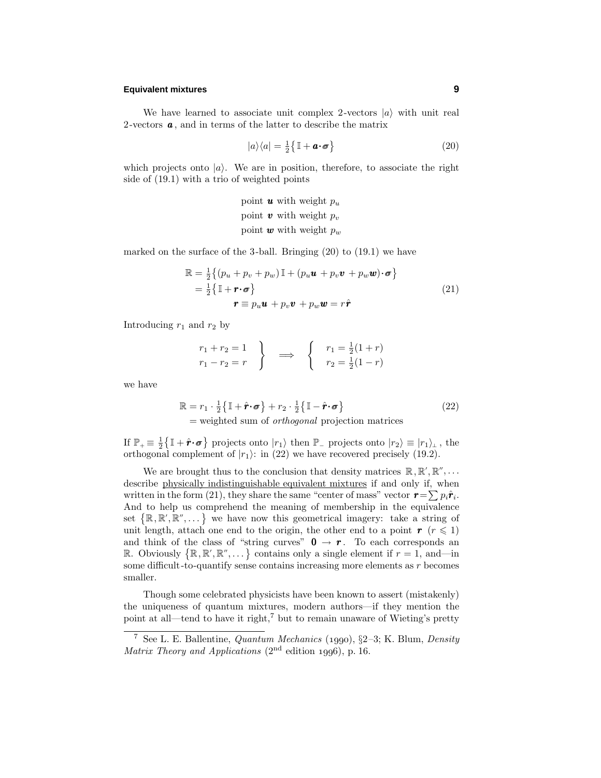### **Equivalent mixtures 9**

We have learned to associate unit complex 2-vectors  $|a\rangle$  with unit real 2-vectors *a* , and in terms of the latter to describe the matrix

$$
|a\rangle\langle a| = \frac{1}{2} \{ \mathbb{I} + \boldsymbol{a} \cdot \boldsymbol{\sigma} \}
$$
 (20)

which projects onto  $|a\rangle$ . We are in position, therefore, to associate the right side of (19.1) with a trio of weighted points

> point *u* with weight  $p_u$ point  $\boldsymbol{v}$  with weight  $p_v$ point *w* with weight *p<sup>w</sup>*

marked on the surface of the 3-ball. Bringing (20) to (19.1) we have

$$
\mathbb{R} = \frac{1}{2} \{ (p_u + p_v + p_w) \mathbb{I} + (p_u \mathbf{u} + p_v \mathbf{v} + p_w \mathbf{w}) \cdot \mathbf{\sigma} \}
$$
  
\n
$$
= \frac{1}{2} \{ \mathbb{I} + \mathbf{r} \cdot \mathbf{\sigma} \}
$$
  
\n
$$
\mathbf{r} \equiv p_u \mathbf{u} + p_v \mathbf{v} + p_w \mathbf{w} = r \hat{\mathbf{r}}
$$
 (21)

Introducing  $r_1$  and  $r_2$  by

$$
\begin{array}{ccc} r_1 + r_2 = 1 \\ r_1 - r_2 = r \end{array} \bigg\} \quad \Longrightarrow \quad \begin{cases} \quad r_1 = \frac{1}{2}(1+r) \\ \quad r_2 = \frac{1}{2}(1-r) \end{cases}
$$

we have

$$
\mathbb{R} = r_1 \cdot \frac{1}{2} \{ \mathbb{I} + \hat{\mathbf{r}} \cdot \mathbf{\sigma} \} + r_2 \cdot \frac{1}{2} \{ \mathbb{I} - \hat{\mathbf{r}} \cdot \mathbf{\sigma} \}
$$
(22)  
= weighted sum of orthogonal projection matrices

If  $\mathbb{P}_+ \equiv \frac{1}{2} \{ \mathbb{I} + \hat{r} \cdot \sigma \}$  projects onto  $|r_1\rangle$  then  $\mathbb{P}_-$  projects onto  $|r_2\rangle \equiv |r_1\rangle_{\perp}$ , the orthogonal complement of  $|r_1\rangle$ : in (22) we have recovered precisely (19.2).

We are brought thus to the conclusion that density matrices  $\mathbb{R}, \mathbb{R}', \mathbb{R}''$ , ... describe physically indistinguishable equivalent mixtures if and only if, when written in the form (21), they share the same "center of mass" vector  $\mathbf{r} = \sum p_i \hat{\mathbf{r}}_i$ . And to help us comprehend the meaning of membership in the equivalence set  $\{\mathbb{R}, \mathbb{R}', \mathbb{R}'', \dots\}$  we have now this geometrical imagery: take a string of unit length, attach one end to the origin, the other end to a point  $r$  ( $r \leq 1$ ) and think of the class of "string curves"  $0 \rightarrow r$ . To each corresponds an R. Obviously  $\{\mathbb{R}, \mathbb{R}', \mathbb{R}'', \dots\}$  contains only a single element if  $r = 1$ , and—in some difficult-to-quantify sense contains increasing more elements as *r* becomes smaller.

Though some celebrated physicists have been known to assert (mistakenly) the uniqueness of quantum mixtures, modern authors—if they mention the point at all—tend to have it right,<sup>7</sup> but to remain unaware of Wieting's pretty

<sup>&</sup>lt;sup>7</sup> See L. E. Ballentine, *Quantum Mechanics* (1990), §2–3; K. Blum, *Density* Matrix Theory and Applications  $(2<sup>nd</sup>$  edition 1996), p. 16.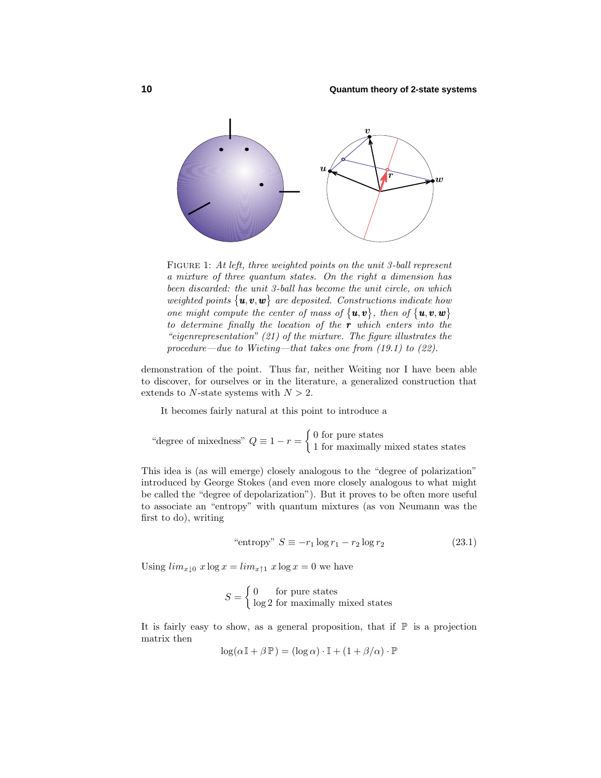

FIGURE 1: At left, three weighted points on the unit 3-ball represent a mixture of three quantum states. On the right a dimension has been discarded: the unit 3-ball has become the unit circle, on which weighted points  $\{u, v, w\}$  are deposited. Constructions indicate how one might compute the center of mass of  $\{u, v\}$ , then of  $\{u, v, w\}$ to determine finally the location of the *r* which enters into the "eigenrepresentation"  $(21)$  of the mixture. The figure illustrates the procedure—due to Wieting—that takes one from  $(19.1)$  to  $(22)$ .

demonstration of the point. Thus far, neither Weiting nor I have been able to discover, for ourselves or in the literature, a generalized construction that extends to *N*-state systems with *N >* 2.

It becomes fairly natural at this point to introduce a

"degree of mixedness"  $Q \equiv 1 - r = \begin{cases} 0 \text{ for pure states} \\ 1 \text{ for maximally} \end{cases}$ 1 for maximally mixed states states

This idea is (as will emerge) closely analogous to the "degree of polarization" introduced by George Stokes (and even more closely analogous to what might be called the "degree of depolarization"). But it proves to be often more useful to associate an "entropy" with quantum mixtures (as von Neumann was the first to do), writing

"entropy" 
$$
S \equiv -r_1 \log r_1 - r_2 \log r_2 \tag{23.1}
$$

Using  $\lim_{x\downarrow0} x \log x = \lim_{x\uparrow1} x \log x = 0$  we have

$$
S = \begin{cases} 0 & \text{for pure states} \\ \log 2 & \text{for maximally mixed states} \end{cases}
$$

It is fairly easy to show, as a general proposition, that if  $\mathbb P$  is a projection matrix then

$$
\log(\alpha \, \mathbb{I} + \beta \, \mathbb{P}) = (\log \alpha) \cdot \mathbb{I} + (1 + \beta/\alpha) \cdot \mathbb{P}
$$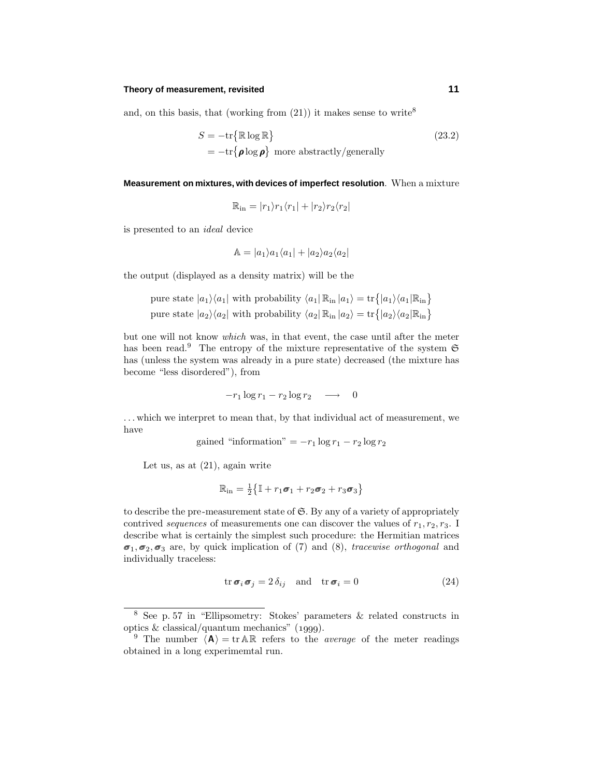### **Theory of measurement, revisited 11**

and, on this basis, that (working from  $(21)$ ) it makes sense to write<sup>8</sup>

$$
S = -\text{tr} \{\mathbb{R} \log \mathbb{R} \}
$$
 (23.2)  
=  $-\text{tr} \{\boldsymbol{\rho} \log \boldsymbol{\rho} \}$  more abstractly/generally

**Measurement on mixtures, with devices of imperfect resolution**. When a mixture

$$
\mathbb{R}_{\rm in} = |r_1\rangle r_1 \langle r_1| + |r_2\rangle r_2 \langle r_2|
$$

is presented to an ideal device

$$
\mathbb{A} = |a_1\rangle a_1 \langle a_1| + |a_2\rangle a_2 \langle a_2|
$$

the output (displayed as a density matrix) will be the

pure state 
$$
|a_1\rangle\langle a_1|
$$
 with probability  $\langle a_1|\mathbb{R}_{\text{in}}|a_1\rangle = \text{tr}\{|a_1\rangle\langle a_1|\mathbb{R}_{\text{in}}\}$   
pure state  $|a_2\rangle\langle a_2|$  with probability  $\langle a_2|\mathbb{R}_{\text{in}}|a_2\rangle = \text{tr}\{|a_2\rangle\langle a_2|\mathbb{R}_{\text{in}}\}$ 

but one will not know which was, in that event, the case until after the meter has been read.<sup>9</sup> The entropy of the mixture representative of the system  $\mathfrak{S}$ has (unless the system was already in a pure state) decreased (the mixture has become "less disordered"), from

 $-r_1 \log r_1 - r_2 \log r_2 \longrightarrow 0$ 

*...* which we interpret to mean that, by that individual act of measurement, we have

gained "information" =  $-r_1 \log r_1 - r_2 \log r_2$ 

Let us, as at (21), again write

$$
\mathbb{R}_{\rm in} = \frac{1}{2} \left\{ \mathbb{I} + r_1 \boldsymbol{\sigma}_1 + r_2 \boldsymbol{\sigma}_2 + r_3 \boldsymbol{\sigma}_3 \right\}
$$

to describe the pre-measurement state of  $\mathfrak{S}$ . By any of a variety of appropriately contrived *sequences* of measurements one can discover the values of  $r_1, r_2, r_3$ . I describe what is certainly the simplest such procedure: the Hermitian matrices  $\sigma_1, \sigma_2, \sigma_3$  are, by quick implication of (7) and (8), tracewise orthogonal and individually traceless:

$$
\operatorname{tr} \sigma_i \sigma_j = 2 \delta_{ij} \quad \text{and} \quad \operatorname{tr} \sigma_i = 0 \tag{24}
$$

<sup>8</sup> See p. 57 in "Ellipsometry: Stokes' parameters & related constructs in optics  $\&$  classical/quantum mechanics" (1999).

<sup>&</sup>lt;sup>9</sup> The number  $\langle A \rangle$  = tr AR refers to the *average* of the meter readings obtained in a long experimemtal run.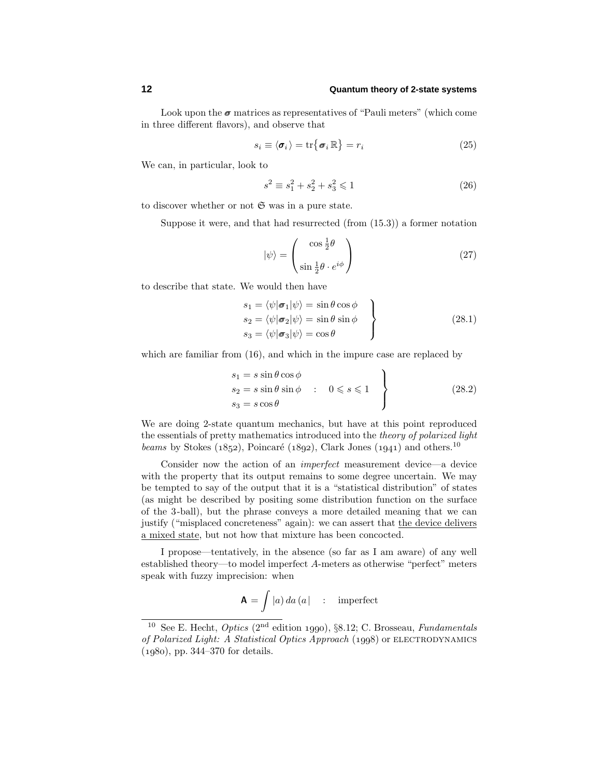### **12 Quantum theory of 2-state systems**

Look upon the *σσ* matrices as representatives of "Pauli meters" (which come in three different flavors), and observe that

$$
s_i \equiv \langle \pmb{\sigma}_i \rangle = \text{tr}\{\pmb{\sigma}_i \, \mathbb{R}\} = r_i \tag{25}
$$

We can, in particular, look to

$$
s^2 \equiv s_1^2 + s_2^2 + s_3^2 \leq 1 \tag{26}
$$

to discover whether or not  $\mathfrak S$  was in a pure state.

Suppose it were, and that had resurrected (from (15.3)) a former notation

$$
|\psi\rangle = \begin{pmatrix} \cos\frac{1}{2}\theta \\ \sin\frac{1}{2}\theta \cdot e^{i\phi} \end{pmatrix}
$$
 (27)

to describe that state. We would then have

$$
s_1 = \langle \psi | \sigma_1 | \psi \rangle = \sin \theta \cos \phi
$$
  
\n
$$
s_2 = \langle \psi | \sigma_2 | \psi \rangle = \sin \theta \sin \phi
$$
  
\n
$$
s_3 = \langle \psi | \sigma_3 | \psi \rangle = \cos \theta
$$
\n(28.1)

which are familiar from (16), and which in the impure case are replaced by

$$
s_1 = s \sin \theta \cos \phi s_2 = s \sin \theta \sin \phi : 0 \le s \le 1s_3 = s \cos \theta
$$
 (28.2)

We are doing 2-state quantum mechanics, but have at this point reproduced the essentials of pretty mathematics introduced into the theory of polarized light beams by Stokes (1852), Poincaré (1892), Clark Jones (1941) and others.<sup>10</sup>

Consider now the action of an imperfect measurement device—a device with the property that its output remains to some degree uncertain. We may be tempted to say of the output that it is a "statistical distribution" of states (as might be described by positing some distribution function on the surface of the 3-ball), but the phrase conveys a more detailed meaning that we can justify ("misplaced concreteness" again): we can assert that the device delivers a mixed state, but not how that mixture has been concocted.

I propose—tentatively, in the absence (so far as I am aware) of any well established theory—to model imperfect *A*-meters as otherwise "perfect" meters speak with fuzzy imprecision: when

$$
\mathbf{A} = \int |a) \, da \, (a \, | \quad : \quad \text{imperfect}
$$

<sup>&</sup>lt;sup>10</sup> See E. Hecht, *Optics* ( $2<sup>nd</sup>$  edition 1990), §8.12; C. Brosseau, *Fundamentals* of Polarized Light: A Statistical Optics Approach  $(1998)$  or ELECTRODYNAMICS  $(1980)$ , pp. 344–370 for details.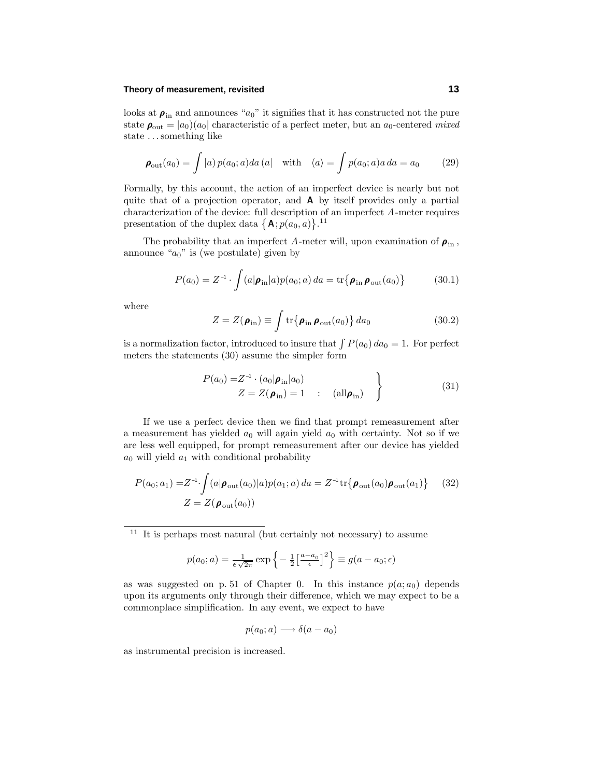### **Theory of measurement, revisited 13**

looks at  $\rho_{\text{in}}$  and announces " $a_0$ " it signifies that it has constructed not the pure state  $\rho_{\text{out}} = |a_0| (a_0)$  characteristic of a perfect meter, but an  $a_0$ -centered mixed state *...*something like

$$
\boldsymbol{\rho}_{\text{out}}(a_0) = \int |a) p(a_0; a) da (a) \quad \text{with} \quad \langle a \rangle = \int p(a_0; a) a da = a_0 \tag{29}
$$

Formally, by this account, the action of an imperfect device is nearly but not quite that of a projection operator, and **A** by itself provides only a partial characterization of the device: full description of an imperfect *A*-meter requires presentation of the duplex data  $\{A; p(a_0, a)\}.$ <sup>11</sup>

The probability that an imperfect *A*-meter will, upon examination of  $\rho_{\text{in}}$ , announce " $a_0$ " is (we postulate) given by

$$
P(a_0) = Z^{-1} \cdot \int (a|\boldsymbol{\rho}_{\text{in}}|a)p(a_0; a) da = \text{tr}\{\boldsymbol{\rho}_{\text{in}} \boldsymbol{\rho}_{\text{out}}(a_0)\}
$$
(30.1)

where

$$
Z = Z(\boldsymbol{\rho}_{\text{in}}) \equiv \int \text{tr}\{\boldsymbol{\rho}_{\text{in}} \boldsymbol{\rho}_{\text{out}}(a_0)\} da_0
$$
 (30.2)

is a normalization factor, introduced to insure that  $\int P(a_0) da_0 = 1$ . For perfect meters the statements (30) assume the simpler form

$$
P(a_0) = Z^{-1} \cdot (a_0 | \boldsymbol{\rho}_{\text{in}} | a_0)
$$
  
\n
$$
Z = Z(\boldsymbol{\rho}_{\text{in}}) = 1 \quad : \quad (\text{all} \boldsymbol{\rho}_{\text{in}})
$$
\n(31)

If we use a perfect device then we find that prompt remeasurement after a measurement has yielded  $a_0$  will again yield  $a_0$  with certainty. Not so if we are less well equipped, for prompt remeasurement after our device has yielded  $a_0$  will yield  $a_1$  with conditional probability

$$
P(a_0; a_1) = Z^{-1} \cdot \int (a | \boldsymbol{\rho}_{\text{out}}(a_0) | a) p(a_1; a) da = Z^{-1} \text{tr} \{ \boldsymbol{\rho}_{\text{out}}(a_0) \boldsymbol{\rho}_{\text{out}}(a_1) \} \tag{32}
$$

$$
Z = Z(\boldsymbol{\rho}_{\text{out}}(a_0))
$$

 $11$  It is perhaps most natural (but certainly not necessary) to assume

$$
p(a_0; a) = \frac{1}{\epsilon \sqrt{2\pi}} \exp \left\{-\frac{1}{2} \left[\frac{a-a_0}{\epsilon}\right]^2\right\} \equiv g(a-a_0; \epsilon)
$$

as was suggested on p. 51 of Chapter 0. In this instance  $p(a; a_0)$  depends upon its arguments only through their difference, which we may expect to be a commonplace simplification. In any event, we expect to have

$$
p(a_0; a) \longrightarrow \delta(a - a_0)
$$

as instrumental precision is increased.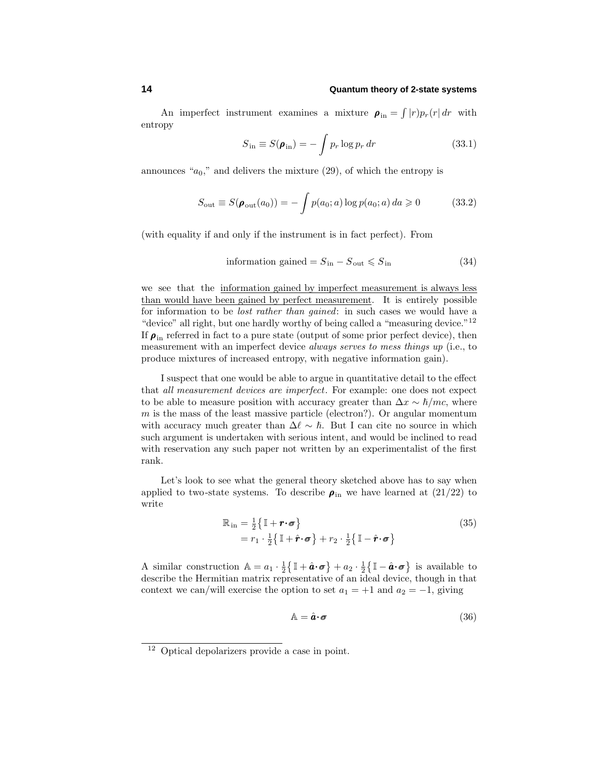### **14 Quantum theory of 2-state systems**

An imperfect instrument examines a mixture  $\rho_{\text{in}} = \int |r| p_r(r) dr$  with entropy

$$
S_{\rm in} \equiv S(\pmb{\rho}_{\rm in}) = -\int p_r \log p_r \, dr \tag{33.1}
$$

announces " $a_0$ ," and delivers the mixture (29), of which the entropy is

$$
S_{\text{out}} \equiv S(\pmb{\rho}_{\text{out}}(a_0)) = -\int p(a_0; a) \log p(a_0; a) da \geqslant 0 \tag{33.2}
$$

(with equality if and only if the instrument is in fact perfect). From

information gained = 
$$
S_{\text{in}} - S_{\text{out}} \leq S_{\text{in}}
$$
 (34)

we see that the information gained by imperfect measurement is always less than would have been gained by perfect measurement. It is entirely possible for information to be *lost rather than gained*: in such cases we would have a "device" all right, but one hardly worthy of being called a "measuring device."<sup>12</sup> If  $\rho_{\text{in}}$  referred in fact to a pure state (output of some prior perfect device), then measurement with an imperfect device always serves to mess things up (i.e., to produce mixtures of increased entropy, with negative information gain).

I suspect that one would be able to argue in quantitative detail to the effect that all measurement devices are imperfect. For example: one does not expect to be able to measure position with accuracy greater than  $\Delta x \sim \hbar/mc$ , where *m* is the mass of the least massive particle (electron?). Or angular momentum with accuracy much greater than  $\Delta \ell \sim \hbar$ . But I can cite no source in which such argument is undertaken with serious intent, and would be inclined to read with reservation any such paper not written by an experimentalist of the first rank.

Let's look to see what the general theory sketched above has to say when applied to two-state systems. To describe  $\rho_{\rm in}$  we have learned at (21/22) to write

$$
\mathbb{R}_{\text{in}} = \frac{1}{2} \{ \mathbb{I} + \mathbf{r} \cdot \boldsymbol{\sigma} \} \n= r_1 \cdot \frac{1}{2} \{ \mathbb{I} + \hat{\mathbf{r}} \cdot \boldsymbol{\sigma} \} + r_2 \cdot \frac{1}{2} \{ \mathbb{I} - \hat{\mathbf{r}} \cdot \boldsymbol{\sigma} \}
$$
\n(35)

A similar construction  $A = a_1 \cdot \frac{1}{2} \{ \mathbb{I} + \hat{a} \cdot \sigma \} + a_2 \cdot \frac{1}{2} \{ \mathbb{I} - \hat{a} \cdot \sigma \}$  is available to describe the Hermitian matrix representative of an ideal device, though in that context we can/will exercise the option to set  $a_1 = +1$  and  $a_2 = -1$ , giving

$$
\mathbb{A} = \hat{\boldsymbol{a}} \cdot \boldsymbol{\sigma} \tag{36}
$$

<sup>12</sup> Optical depolarizers provide a case in point.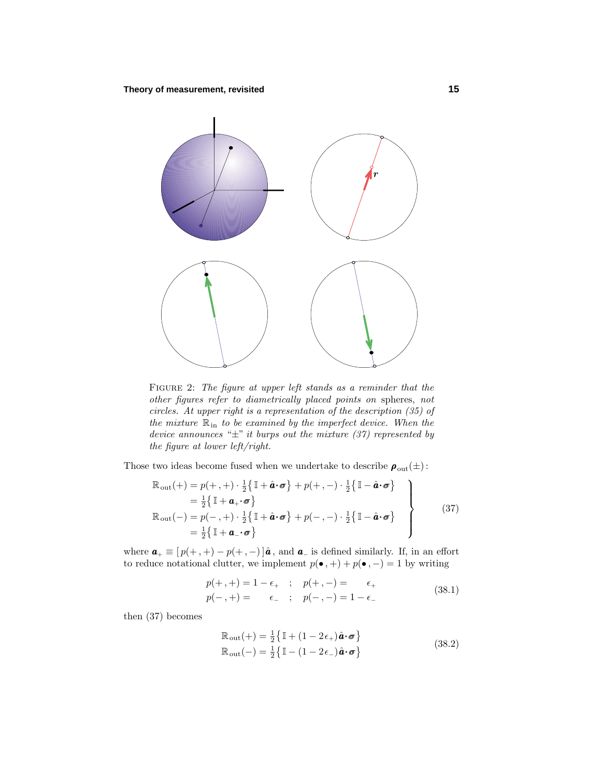

FIGURE 2: The figure at upper left stands as a reminder that the other figures refer to diametrically placed points on spheres, not circles. At upper right is a representation of the description (35) of the mixture  $\mathbb{R}_{\text{in}}$  to be examined by the imperfect device. When the device announces " $\pm$ " it burps out the mixture (37) represented by the figure at lower left/right.

Those two ideas become fused when we undertake to describe  $\rho_{\text{out}}(\pm)$ :

$$
\mathbb{R}_{\text{out}}(+) = p(+, +) \cdot \frac{1}{2} \{ \mathbb{I} + \hat{\mathbf{a}} \cdot \mathbf{\sigma} \} + p(+, -) \cdot \frac{1}{2} \{ \mathbb{I} - \hat{\mathbf{a}} \cdot \mathbf{\sigma} \} \n= \frac{1}{2} \{ \mathbb{I} + \mathbf{a}_+ \cdot \mathbf{\sigma} \} \n\mathbb{R}_{\text{out}}(-) = p(-, +) \cdot \frac{1}{2} \{ \mathbb{I} + \hat{\mathbf{a}} \cdot \mathbf{\sigma} \} + p(-, -) \cdot \frac{1}{2} \{ \mathbb{I} - \hat{\mathbf{a}} \cdot \mathbf{\sigma} \} \n= \frac{1}{2} \{ \mathbb{I} + \mathbf{a}_- \cdot \mathbf{\sigma} \}
$$
\n(37)

where  $\mathbf{a}_{+} \equiv [p(+, +) - p(+, -)]\hat{\mathbf{a}}$ , and  $\mathbf{a}_{-}$  is defined similarly. If, in an effort to reduce notational clutter, we implement  $p(\bullet, +) + p(\bullet, -) = 1$  by writing

$$
p(+, +) = 1 - \epsilon_{+} \quad ; \quad p(+, -) = \epsilon_{+} p(-, +) = \epsilon_{-} \quad ; \quad p(-, -) = 1 - \epsilon_{-}
$$
 (38.1)

then (37) becomes

$$
\mathbb{R}_{\text{out}}(+) = \frac{1}{2} \{ \mathbb{I} + (1 - 2\epsilon_+) \hat{\mathbf{a}} \cdot \boldsymbol{\sigma} \}
$$
  

$$
\mathbb{R}_{\text{out}}(-) = \frac{1}{2} \{ \mathbb{I} - (1 - 2\epsilon_-) \hat{\mathbf{a}} \cdot \boldsymbol{\sigma} \}
$$
 (38.2)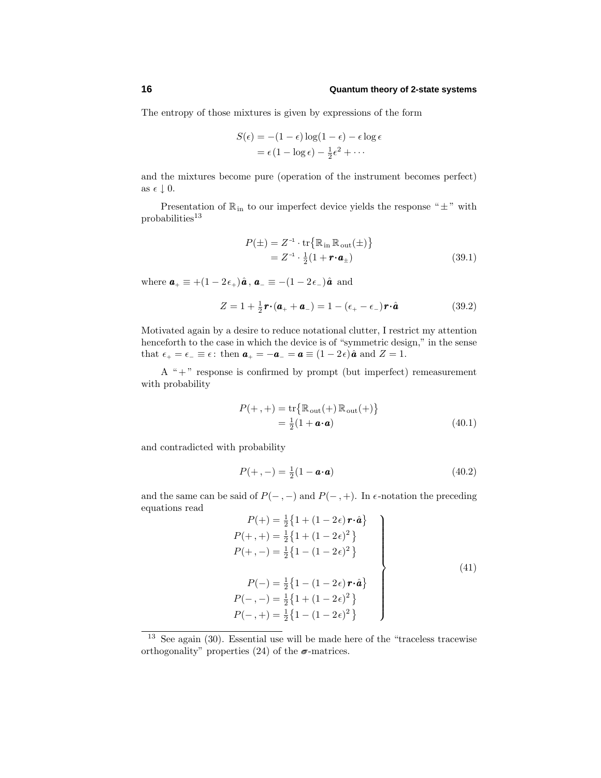The entropy of those mixtures is given by expressions of the form

$$
S(\epsilon) = -(1 - \epsilon) \log(1 - \epsilon) - \epsilon \log \epsilon
$$

$$
= \epsilon (1 - \log \epsilon) - \frac{1}{2} \epsilon^2 + \cdots
$$

and the mixtures become pure (operation of the instrument becomes perfect) as  $\epsilon \downarrow 0$ .

Presentation of  $\mathbb{R}_{\text{in}}$  to our imperfect device yields the response " $\pm$ " with  $probabilities<sup>13</sup>$ 

$$
P(\pm) = Z^{-1} \cdot \text{tr} \{ \mathbb{R}_{\text{in}} \mathbb{R}_{\text{out}}(\pm) \}
$$
  
= Z^{-1} \cdot \frac{1}{2} (1 + \mathbf{r} \cdot \mathbf{a}\_{\pm}) \t\t(39.1)

where  $\mathbf{a}_{+} \equiv +(1-2\epsilon_{+})\hat{\mathbf{a}}$ ,  $\mathbf{a}_{-} \equiv -(1-2\epsilon_{-})\hat{\mathbf{a}}$  and

$$
Z = 1 + \frac{1}{2}\mathbf{r} \cdot (\mathbf{a}_{+} + \mathbf{a}_{-}) = 1 - (\epsilon_{+} - \epsilon_{-})\mathbf{r} \cdot \hat{\mathbf{a}} \tag{39.2}
$$

Motivated again by a desire to reduce notational clutter, I restrict my attention henceforth to the case in which the device is of "symmetric design," in the sense that  $\epsilon_+ = \epsilon_- \equiv \epsilon$ : then  $\mathbf{a}_+ = -\mathbf{a}_- = \mathbf{a} \equiv (1 - 2\epsilon)\hat{\mathbf{a}}$  and  $Z = 1$ .

A " $+$ " response is confirmed by prompt (but imperfect) remeasurement with probability

$$
P(+, +) = \text{tr}\{\mathbb{R}_{\text{out}}(+)\mathbb{R}_{\text{out}}(+)\}
$$
  
=  $\frac{1}{2}(1 + \boldsymbol{a} \cdot \boldsymbol{a})$  (40.1)

and contradicted with probability

$$
P(+,-) = \frac{1}{2}(1 - \boldsymbol{a} \cdot \boldsymbol{a}) \tag{40.2}
$$

and the same can be said of  $P(-, -)$  and  $P(-, +)$ . In  $\epsilon$ -notation the preceding equations read

$$
P(+) = \frac{1}{2} \{ 1 + (1 - 2\epsilon) \mathbf{r} \cdot \hat{\mathbf{a}} \}
$$
  
\n
$$
P(+, +) = \frac{1}{2} \{ 1 + (1 - 2\epsilon)^2 \}
$$
  
\n
$$
P(+, -) = \frac{1}{2} \{ 1 - (1 - 2\epsilon)^2 \}
$$
  
\n
$$
P(-) = \frac{1}{2} \{ 1 - (1 - 2\epsilon) \mathbf{r} \cdot \hat{\mathbf{a}} \}
$$
  
\n
$$
P(-, -) = \frac{1}{2} \{ 1 + (1 - 2\epsilon)^2 \}
$$
  
\n
$$
P(-, +) = \frac{1}{2} \{ 1 - (1 - 2\epsilon)^2 \}
$$
 (41)

<sup>13</sup> See again (30). Essential use will be made here of the "traceless tracewise orthogonality" properties  $(24)$  of the  $\sigma$ -matrices.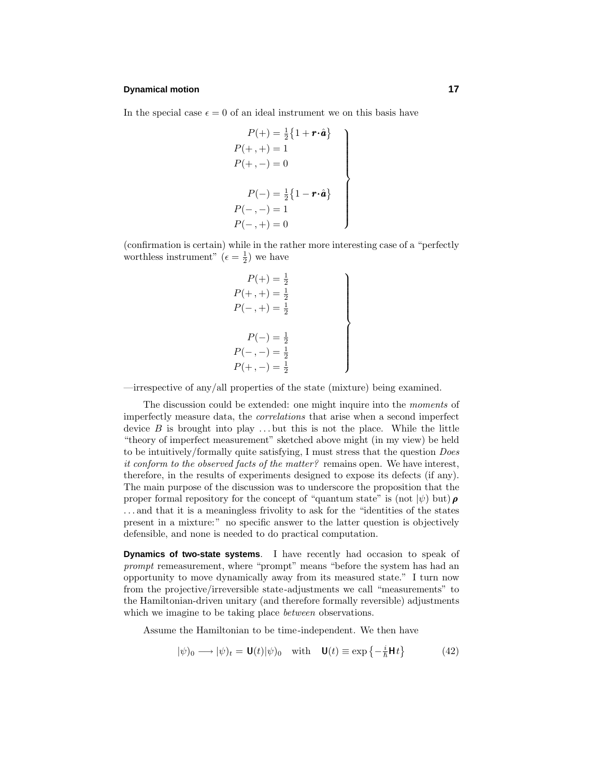### **Dynamical motion 17**

In the special case  $\epsilon = 0$  of an ideal instrument we on this basis have

$$
P(+) = \frac{1}{2} \{1 + r \cdot \hat{a}\}
$$
  
\n
$$
P(+, +) = 1
$$
  
\n
$$
P(+, -) = 0
$$
  
\n
$$
P(-) = \frac{1}{2} \{1 - r \cdot \hat{a}\}
$$
  
\n
$$
P(-, -) = 1
$$
  
\n
$$
P(-, +) = 0
$$

 $\mathcal{L}$ 

 $\begin{array}{c} \begin{array}{c} \end{array} \end{array}$ 

 $\begin{array}{c} \hline \end{array}$ 

 $\mathcal{L}$ 

 $\overline{\mathcal{L}}$ 

 $\begin{array}{c} \hline \end{array}$ 

(confirmation is certain) while in the rather more interesting case of a "perfectly worthless instrument"  $(\epsilon = \frac{1}{2})$  we have

$$
P(+) = \frac{1}{2}
$$
  
\n
$$
P(+, +) = \frac{1}{2}
$$
  
\n
$$
P(-, +) = \frac{1}{2}
$$
  
\n
$$
P(-) = \frac{1}{2}
$$
  
\n
$$
P(-, -) = \frac{1}{2}
$$
  
\n
$$
P(+, -) = \frac{1}{2}
$$

—irrespective of any/all properties of the state (mixture) being examined.

The discussion could be extended: one might inquire into the moments of imperfectly measure data, the correlations that arise when a second imperfect device *B* is brought into play *...* but this is not the place. While the little "theory of imperfect measurement" sketched above might (in my view) be held to be intuitively/formally quite satisfying, I must stress that the question Does it conform to the observed facts of the matter? remains open. We have interest, therefore, in the results of experiments designed to expose its defects (if any). The main purpose of the discussion was to underscore the proposition that the proper formal repository for the concept of "quantum state" is (not  $|\psi\rangle$  but)  $\rho$ *...* and that it is a meaningless frivolity to ask for the "identities of the states present in a mixture:" no specific answer to the latter question is objectively defensible, and none is needed to do practical computation.

**Dynamics of two-state systems**. I have recently had occasion to speak of prompt remeasurement, where "prompt" means "before the system has had an opportunity to move dynamically away from its measured state." I turn now from the projective/irreversible state-adjustments we call "measurements" to the Hamiltonian-driven unitary (and therefore formally reversible) adjustments which we imagine to be taking place *between* observations.

Assume the Hamiltonian to be time-independent. We then have

$$
|\psi)_0 \longrightarrow |\psi)_t = \mathbf{U}(t)|\psi)_0 \quad \text{with} \quad \mathbf{U}(t) \equiv \exp\left\{-\frac{i}{\hbar} \mathbf{H} t\right\} \tag{42}
$$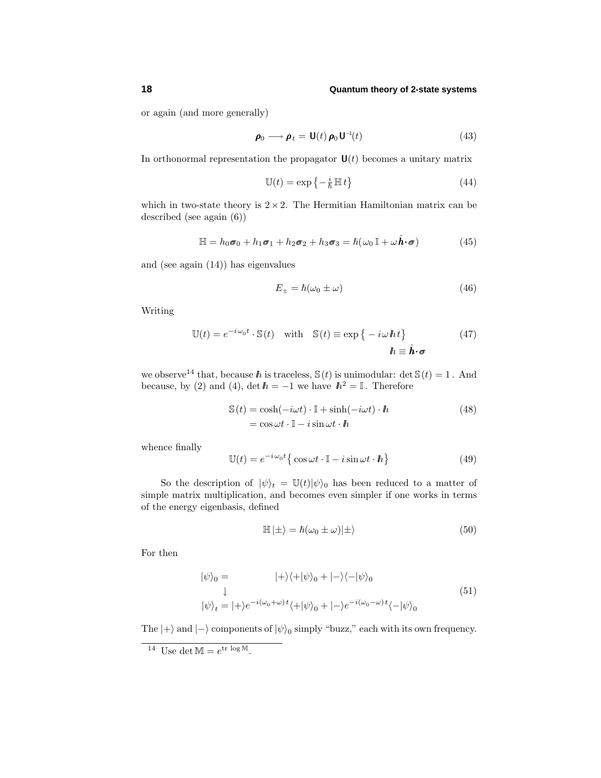### **18 Quantum theory of 2-state systems**

or again (and more generally)

$$
\boldsymbol{\rho}_0 \longrightarrow \boldsymbol{\rho}_t = \mathbf{U}(t) \, \boldsymbol{\rho}_0 \, \mathbf{U}^{-1}(t) \tag{43}
$$

In orthonormal representation the propagator  **becomes a unitary matrix** 

$$
\mathbb{U}(t) = \exp\left\{-\frac{i}{\hbar}\mathbb{H}\,t\right\} \tag{44}
$$

which in two-state theory is  $2 \times 2$ . The Hermitian Hamiltonian matrix can be described (see again (6))

$$
\mathbb{H} = h_0 \sigma_0 + h_1 \sigma_1 + h_2 \sigma_2 + h_3 \sigma_3 = \hbar(\omega_0 \mathbb{I} + \omega \hat{\boldsymbol{h}} \cdot \boldsymbol{\sigma}) \tag{45}
$$

and (see again (14)) has eigenvalues

$$
E_{\pm} = \hbar(\omega_0 \pm \omega) \tag{46}
$$

Writing

$$
\mathbb{U}(t) = e^{-i\omega_0 t} \cdot \mathbb{S}(t) \quad \text{with} \quad \mathbb{S}(t) \equiv \exp\left\{-i\omega h t\right\} \tag{47}
$$
\n
$$
h \equiv \hat{h} \cdot \sigma
$$

we observe<sup>14</sup> that, because  $\hbar$  is traceless,  $\mathcal{S}(t)$  is unimodular:  $\det \mathcal{S}(t) = 1$ . And because, by (2) and (4), det  $h = -1$  we have  $h^2 = \mathbb{I}$ . Therefore

$$
\mathbb{S}(t) = \cosh(-i\omega t) \cdot \mathbb{I} + \sinh(-i\omega t) \cdot \mathbf{h}
$$
  
=  $\cos \omega t \cdot \mathbb{I} - i \sin \omega t \cdot \mathbf{h}$  (48)

whence finally

$$
\mathbb{U}(t) = e^{-i\omega_0 t} \{ \cos \omega t \cdot \mathbb{I} - i \sin \omega t \cdot \mathbf{h} \}
$$
 (49)

So the description of  $|\psi\rangle_t = U(t)|\psi\rangle_0$  has been reduced to a matter of simple matrix multiplication, and becomes even simpler if one works in terms of the energy eigenbasis, defined

$$
\mathbb{H} |\pm\rangle = \hbar(\omega_0 \pm \omega)|\pm\rangle \tag{50}
$$

For then

$$
|\psi\rangle_0 = |+\rangle\langle+|\psi\rangle_0 + |-\rangle\langle-|\psi\rangle_0
$$
  

$$
|\psi\rangle_t = |+\rangle e^{-i(\omega_0+\omega)t}\langle+|\psi\rangle_0 + |-\rangle e^{-i(\omega_0-\omega)t}\langle-|\psi\rangle_0
$$
  
(51)

The  $|+\rangle$  and  $|-\rangle$  components of  $|\psi\rangle_0$  simply "buzz," each with its own frequency.

<sup>&</sup>lt;sup>14</sup> Use det  $M = e^{\text{tr} \log M}$ .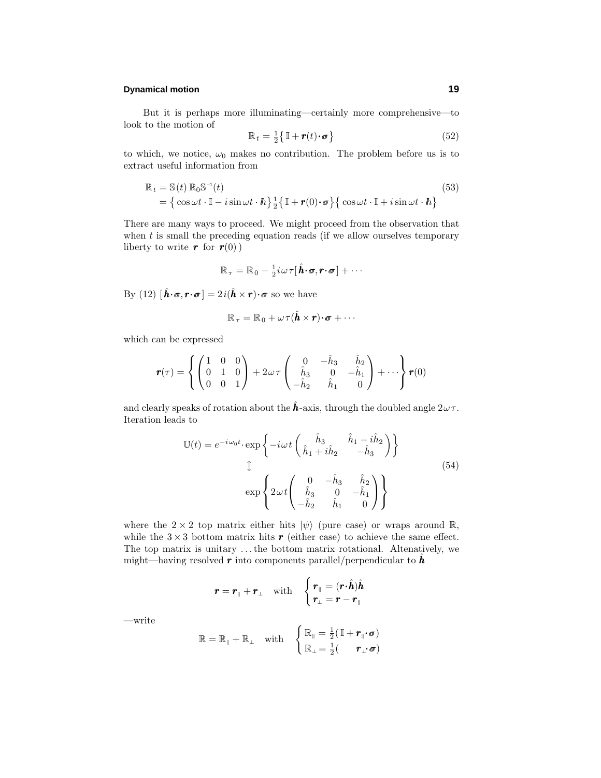### **Dynamical motion 19**

But it is perhaps more illuminating—certainly more comprehensive—to look to the motion of

$$
\mathbb{R}_t = \frac{1}{2} \{ \mathbb{I} + \mathbf{r}(t) \cdot \mathbf{\sigma} \}
$$
 (52)

to which, we notice,  $\omega_0$  makes no contribution. The problem before us is to extract useful information from

$$
\mathbb{R}_{t} = \mathbb{S}(t) \mathbb{R}_{0} \mathbb{S}^{-1}(t)
$$
\n
$$
= \left\{ \cos \omega t \cdot \mathbb{I} - i \sin \omega t \cdot \mathbf{h} \right\} \frac{1}{2} \left\{ \mathbb{I} + \mathbf{r}(0) \cdot \mathbf{\sigma} \right\} \left\{ \cos \omega t \cdot \mathbb{I} + i \sin \omega t \cdot \mathbf{h} \right\}
$$
\n(53)

There are many ways to proceed. We might proceed from the observation that when *t* is small the preceding equation reads (if we allow ourselves temporary liberty to write  $\boldsymbol{r}$  for  $\boldsymbol{r}(0)$ )

$$
\mathbb{R}_{\,\tau}=\mathbb{R}_{\,0}-\tfrac{1}{2}i\,\omega\,\tau[\,\hat{\bm{h}}\!\cdot\!\boldsymbol{\sigma},\bm{r}\!\cdot\!\boldsymbol{\sigma}\,]+\cdots
$$

By (12)  $[\hat{\boldsymbol{h}} \cdot \boldsymbol{\sigma}, \boldsymbol{r} \cdot \boldsymbol{\sigma}] = 2i(\hat{\boldsymbol{h}} \times \boldsymbol{r}) \cdot \boldsymbol{\sigma}$  so we have

$$
\mathbb{R}_{\tau} = \mathbb{R}_{0} + \omega \tau(\hat{\boldsymbol{h}} \times \boldsymbol{r}) \cdot \boldsymbol{\sigma} + \cdots
$$

which can be expressed

$$
\mathbf{r}(\tau) = \left\{ \begin{pmatrix} 1 & 0 & 0 \\ 0 & 1 & 0 \\ 0 & 0 & 1 \end{pmatrix} + 2\omega\tau \begin{pmatrix} 0 & -\hat{h}_3 & \hat{h}_2 \\ \hat{h}_3 & 0 & -\hat{h}_1 \\ -\hat{h}_2 & \hat{h}_1 & 0 \end{pmatrix} + \cdots \right\} \mathbf{r}(0)
$$

and clearly speaks of rotation about the  $\hat{h}$ -axis, through the doubled angle  $2\omega\tau$ . Iteration leads to

$$
\mathbb{U}(t) = e^{-i\omega_0 t} \cdot \exp\left\{-i\omega t \begin{pmatrix} \hat{h}_3 & \hat{h}_1 - i\hat{h}_2 \\ \hat{h}_1 + i\hat{h}_2 & -\hat{h}_3 \end{pmatrix} \right\}
$$
  

$$
\updownarrow
$$
  

$$
\exp\left\{2\omega t \begin{pmatrix} 0 & -\hat{h}_3 & \hat{h}_2 \\ \hat{h}_3 & 0 & -\hat{h}_1 \\ -\hat{h}_2 & \hat{h}_1 & 0 \end{pmatrix} \right\}
$$
  
(54)

where the  $2 \times 2$  top matrix either hits  $|\psi\rangle$  (pure case) or wraps around R, while the  $3 \times 3$  bottom matrix hits *r* (either case) to achieve the same effect. The top matrix is unitary *...*the bottom matrix rotational. Altenatively, we might—having resolved  $\dot{r}$  into components parallel/perpendicular to  $\hat{h}$ 

$$
\boldsymbol{r} = \boldsymbol{r}_{\parallel} + \boldsymbol{r}_{\perp} \quad \text{with} \quad \begin{cases} \boldsymbol{r}_{\parallel} = (\boldsymbol{r} \cdot \hat{\boldsymbol{h}}) \hat{\boldsymbol{h}} \\ \boldsymbol{r}_{\perp} = \boldsymbol{r} - \boldsymbol{r}_{\parallel} \end{cases}
$$

—write

$$
\mathbb{R} = \mathbb{R}_{\parallel} + \mathbb{R}_{\perp} \quad \text{with} \quad \begin{cases} \mathbb{R}_{\parallel} = \frac{1}{2} (\mathbb{I} + \boldsymbol{r}_{\parallel} \cdot \boldsymbol{\sigma}) \\ \mathbb{R}_{\perp} = \frac{1}{2} (\boldsymbol{r}_{\perp} \cdot \boldsymbol{\sigma}) \end{cases}
$$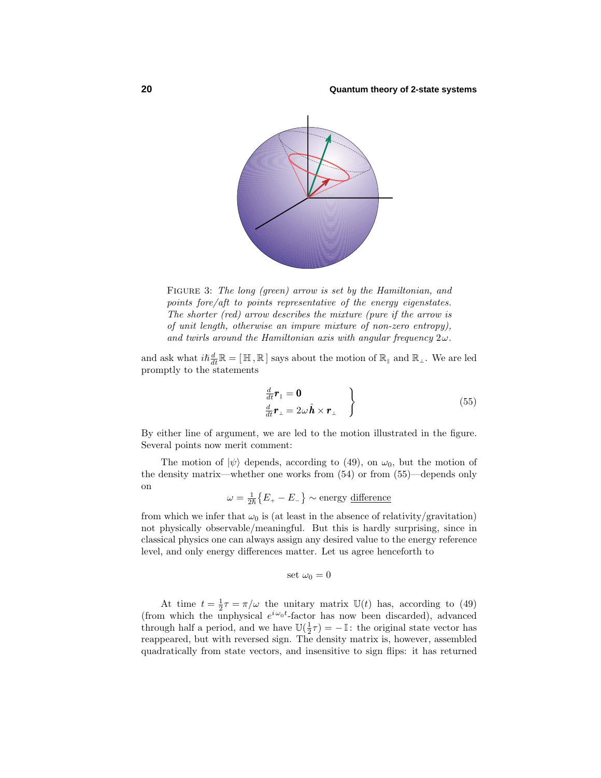

FIGURE 3: The long (green) arrow is set by the Hamiltonian, and points fore/aft to points representative of the energy eigenstates. The shorter (red) arrow describes the mixture (pure if the arrow is of unit length, otherwise an impure mixture of non-zero entropy), and twirls around the Hamiltonian axis with angular frequency 2*ω*.

and ask what  $i\hbar \frac{d}{dt}\mathbb{R} = [\mathbb{H}, \mathbb{R}]$  says about the motion of  $\mathbb{R}_{\parallel}$  and  $\mathbb{R}_{\perp}$ . We are led promptly to the statements

$$
\frac{\frac{d}{dt}\mathbf{r}_{\parallel} = \mathbf{0}}{\frac{d}{dt}\mathbf{r}_{\perp} = 2\omega\hat{\mathbf{h}} \times \mathbf{r}_{\perp}} \qquad (55)
$$

By either line of argument, we are led to the motion illustrated in the figure. Several points now merit comment:

The motion of  $|\psi\rangle$  depends, according to (49), on  $\omega_0$ , but the motion of the density matrix—whether one works from (54) or from (55)—depends only on

 $\omega = \frac{1}{2\hbar} \{ E_+ - E_-\} \sim$ energy <u>difference</u>

from which we infer that  $\omega_0$  is (at least in the absence of relativity/gravitation) not physically observable/meaningful. But this is hardly surprising, since in classical physics one can always assign any desired value to the energy reference level, and only energy differences matter. Let us agree henceforth to

$$
set \omega_0 = 0
$$

At time  $t = \frac{1}{2}\tau = \pi/\omega$  the unitary matrix  $\mathbb{U}(t)$  has, according to (49) (from which the unphysical  $e^{i\omega_0 t}$ -factor has now been discarded), advanced through half a period, and we have  $\mathbb{U}(\frac{1}{2}\tau) = -\mathbb{I}$ : the original state vector has reappeared, but with reversed sign. The density matrix is, however, assembled quadratically from state vectors, and insensitive to sign flips: it has returned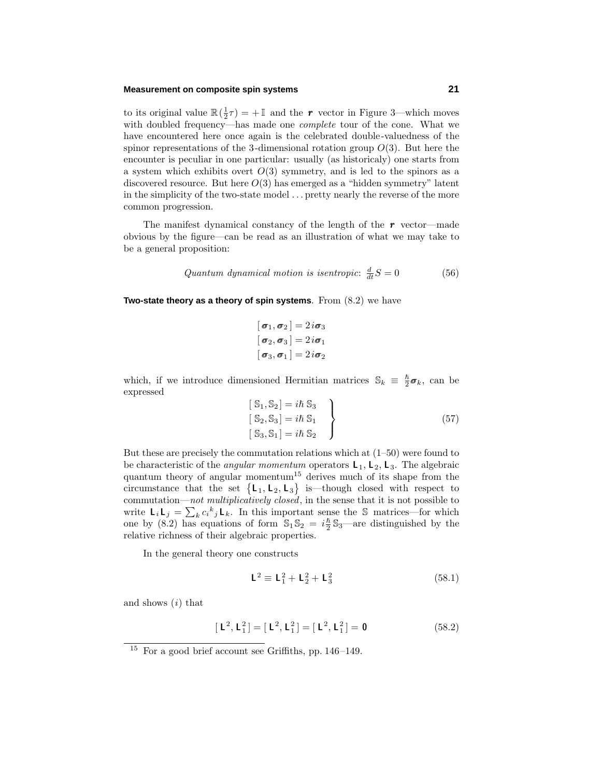### **Measurement on composite spin systems 21**

to its original value  $\mathbb{R}(\frac{1}{2}\tau) = +\mathbb{I}$  and the *r* vector in Figure 3—which moves with doubled frequency—has made one *complete* tour of the cone. What we have encountered here once again is the celebrated double-valuedness of the spinor representations of the 3-dimensional rotation group  $O(3)$ . But here the encounter is peculiar in one particular: usually (as historicaly) one starts from a system which exhibits overt  $O(3)$  symmetry, and is led to the spinors as a discovered resource. But here *O*(3) has emerged as a "hidden symmetry" latent in the simplicity of the two-state model *...* pretty nearly the reverse of the more common progression.

The manifest dynamical constancy of the length of the *r* vector—made obvious by the figure—can be read as an illustration of what we may take to be a general proposition:

Quantum dynamical motion is isentropic: 
$$
\frac{d}{dt}S = 0
$$
 (56)

**Two-state theory as a theory of spin systems**. From (8.2) we have

$$
[\sigma_1, \sigma_2] = 2i\sigma_3
$$

$$
[\sigma_2, \sigma_3] = 2i\sigma_1
$$

$$
[\sigma_3, \sigma_1] = 2i\sigma_2
$$

which, if we introduce dimensioned Hermitian matrices  $\mathbb{S}_k \equiv \frac{\hbar}{2} \sigma_k$ , can be expressed

$$
\begin{aligned}\n\left[ S_1, S_2 \right] &= i\hbar S_3 \\
\left[ S_2, S_3 \right] &= i\hbar S_1 \\
\left[ S_3, S_1 \right] &= i\hbar S_2\n\end{aligned}\n\tag{57}
$$

But these are precisely the commutation relations which at (1–50) were found to be characteristic of the *angular momentum* operators  $\mathsf{L}_1, \mathsf{L}_2, \mathsf{L}_3$ . The algebraic quantum theory of angular momentum<sup>15</sup> derives much of its shape from the circumstance that the set  $\{L_1, L_2, L_3\}$  is—though closed with respect to commutation—not multiplicatively closed, in the sense that it is not possible to write  $\mathbf{L}_i \mathbf{L}_j = \sum_k c_i^k j \mathbf{L}_k$ . In this important sense the S matrices—for which one by (8.2) has equations of form  $S_1 S_2 = i \frac{\hbar}{2} S_3$ —are distinguished by the relative richness of their algebraic properties.

In the general theory one constructs

$$
\mathsf{L}^2 \equiv \mathsf{L}_1^2 + \mathsf{L}_2^2 + \mathsf{L}_3^2 \tag{58.1}
$$

and shows  $(i)$  that

$$
[L^2, L_1^2] = [L^2, L_1^2] = [L^2, L_1^2] = 0
$$
 (58.2)

<sup>&</sup>lt;sup>15</sup> For a good brief account see Griffiths, pp.  $146-149$ .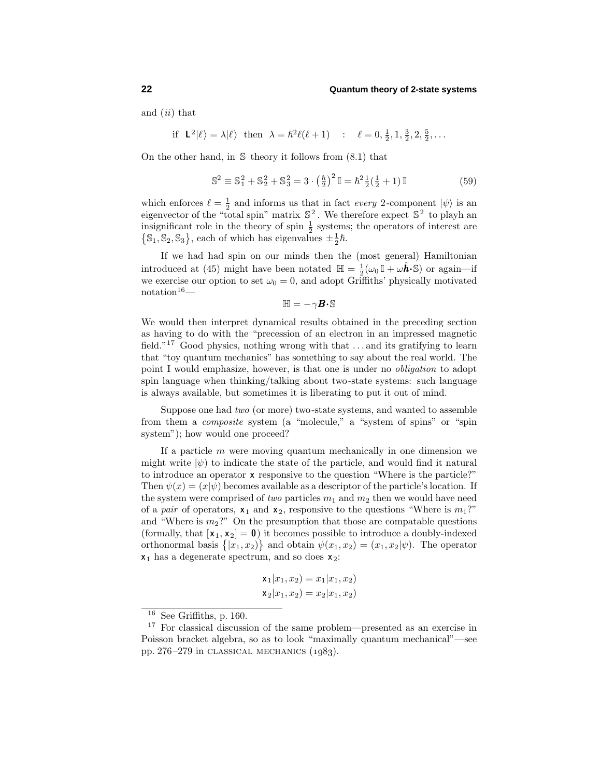### **22 Quantum theory of 2-state systems**

and (ii) that

$$
\text{if } \mathsf{L}^2|\ell\rangle = \lambda|\ell\rangle \text{ then } \lambda = \hbar^2 \ell(\ell+1) \quad : \quad \ell = 0, \frac{1}{2}, 1, \frac{3}{2}, 2, \frac{5}{2}, \dots
$$

On the other hand, in  $S$  theory it follows from  $(8.1)$  that

$$
\mathbb{S}^2 \equiv \mathbb{S}_1^2 + \mathbb{S}_2^2 + \mathbb{S}_3^2 = 3 \cdot \left(\frac{\hbar}{2}\right)^2 \mathbb{I} = \hbar^2 \frac{1}{2} \left(\frac{1}{2} + 1\right) \mathbb{I}
$$
 (59)

which enforces  $\ell = \frac{1}{2}$  and informs us that in fact every 2-component  $|\psi\rangle$  is an eigenvector of the "total spin" matrix  $\mathbb{S}^2$ . We therefore expect  $\mathbb{S}^2$  to playh an insignificant role in the theory of spin  $\frac{1}{2}$  systems; the operators of interest are  $\{\mathbb{S}_1, \mathbb{S}_2, \mathbb{S}_3\}$ , each of which has eigenvalues  $\pm \frac{1}{2}\hbar$ .

If we had had spin on our minds then the (most general) Hamiltonian introduced at (45) might have been notated  $\mathbb{H} = \frac{1}{2}(\omega_0 \mathbb{I} + \omega \hat{\boldsymbol{h}} \cdot \mathbb{S})$  or again—if we exercise our option to set  $\omega_0 = 0$ , and adopt Griffiths' physically motivated  $notation<sup>16</sup>$ —

$$
\mathbb{H}=-\gamma\boldsymbol{B}\!\cdot\!\mathbb{S}
$$

We would then interpret dynamical results obtained in the preceding section as having to do with the "precession of an electron in an impressed magnetic field."<sup>17</sup> Good physics, nothing wrong with that *...* and its gratifying to learn that "toy quantum mechanics" has something to say about the real world. The point I would emphasize, however, is that one is under no obligation to adopt spin language when thinking/talking about two-state systems: such language is always available, but sometimes it is liberating to put it out of mind.

Suppose one had two (or more) two-state systems, and wanted to assemble from them a *composite* system (a "molecule," a "system of spins" or "spin system"); how would one proceed?

If a particle *m* were moving quantum mechanically in one dimension we might write  $|\psi\rangle$  to indicate the state of the particle, and would find it natural to introduce an operator **x** responsive to the question "Where is the particle?" Then  $\psi(x)=(x|\psi)$  becomes available as a descriptor of the particle's location. If the system were comprised of *two* particles  $m_1$  and  $m_2$  then we would have need of a *pair* of operators,  $x_1$  and  $x_2$ , responsive to the questions "Where is  $m_1$ ?" and "Where is  $m_2$ ?" On the presumption that those are compatable questions (formally, that  $[\mathbf{x}_1, \mathbf{x}_2] = \mathbf{0}$ ) it becomes possible to introduce a doubly-indexed orthonormal basis  $\{|x_1, x_2\rangle\}$  and obtain  $\psi(x_1, x_2) = (x_1, x_2 | \psi)$ . The operator  $x_1$  has a degenerate spectrum, and so does  $x_2$ :

$$
\mathbf{x}_1|x_1, x_2) = x_1|x_1, x_2)
$$

$$
\mathbf{x}_2|x_1, x_2) = x_2|x_1, x_2)
$$

<sup>16</sup> See Griffiths, p. 160.

<sup>17</sup> For classical discussion of the same problem—presented as an exercise in Poisson bracket algebra, so as to look "maximally quantum mechanical"—see pp.  $276-279$  in CLASSICAL MECHANICS  $(1983)$ .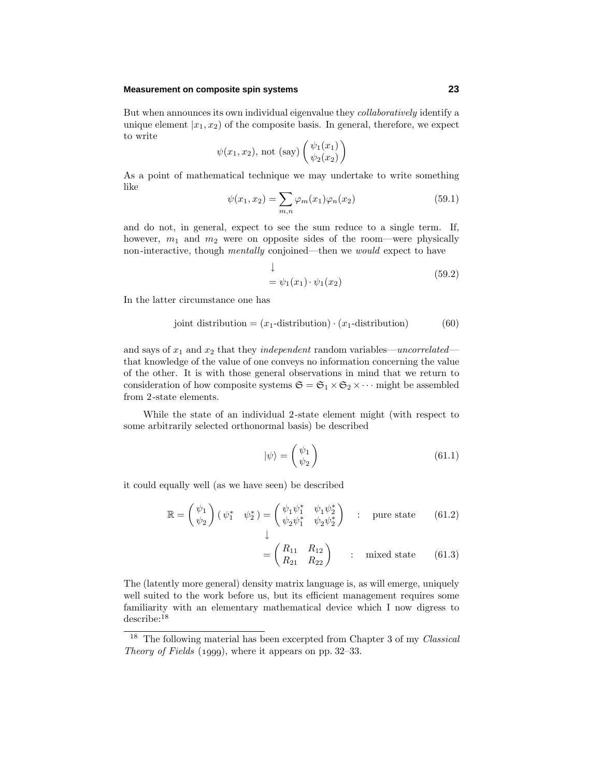### **Measurement on composite spin systems 23**

But when announces its own individual eigenvalue they collaboratively identify a unique element  $|x_1, x_2|$  of the composite basis. In general, therefore, we expect to write

$$
\psi(x_1, x_2)
$$
, not (say)  $\begin{pmatrix} \psi_1(x_1) \\ \psi_2(x_2) \end{pmatrix}$ 

As a point of mathematical technique we may undertake to write something like

$$
\psi(x_1, x_2) = \sum_{m,n} \varphi_m(x_1) \varphi_n(x_2) \tag{59.1}
$$

and do not, in general, expect to see the sum reduce to a single term. If, however,  $m_1$  and  $m_2$  were on opposite sides of the room—were physically non-interactive, though *mentally* conjoined—then we *would* expect to have

$$
\downarrow
$$
  
=  $\psi_1(x_1) \cdot \psi_1(x_2)$  (59.2)

In the latter circumstance one has

joint distribution = 
$$
(x_1
$$
-distribution) ·  $(x_1$ -distribution) (60)

and says of  $x_1$  and  $x_2$  that they *independent* random variables—uncorrelated that knowledge of the value of one conveys no information concerning the value of the other. It is with those general observations in mind that we return to consideration of how composite systems  $\mathfrak{S} = \mathfrak{S}_1 \times \mathfrak{S}_2 \times \cdots$  might be assembled from 2-state elements.

While the state of an individual 2-state element might (with respect to some arbitrarily selected orthonormal basis) be described

$$
|\psi\rangle = \begin{pmatrix} \psi_1 \\ \psi_2 \end{pmatrix} \tag{61.1}
$$

it could equally well (as we have seen) be described

$$
\mathbb{R} = \begin{pmatrix} \psi_1 \\ \psi_2 \end{pmatrix} \begin{pmatrix} \psi_1^* & \psi_2^* \end{pmatrix} = \begin{pmatrix} \psi_1 \psi_1^* & \psi_1 \psi_2^* \\ \psi_2 \psi_1^* & \psi_2 \psi_2^* \end{pmatrix} : \text{ pure state} \qquad (61.2)
$$

$$
= \begin{pmatrix} R_{11} & R_{12} \\ R_{21} & R_{22} \end{pmatrix} \qquad \text{: mixed state} \qquad (61.3)
$$

The (latently more general) density matrix language is, as will emerge, uniquely well suited to the work before us, but its efficient management requires some familiarity with an elementary mathematical device which I now digress to describe:<sup>18</sup>

 $^{18}\,$  The following material has been excerpted from Chapter 3 of my  $\it Classical$ Theory of Fields  $(1999)$ , where it appears on pp. 32–33.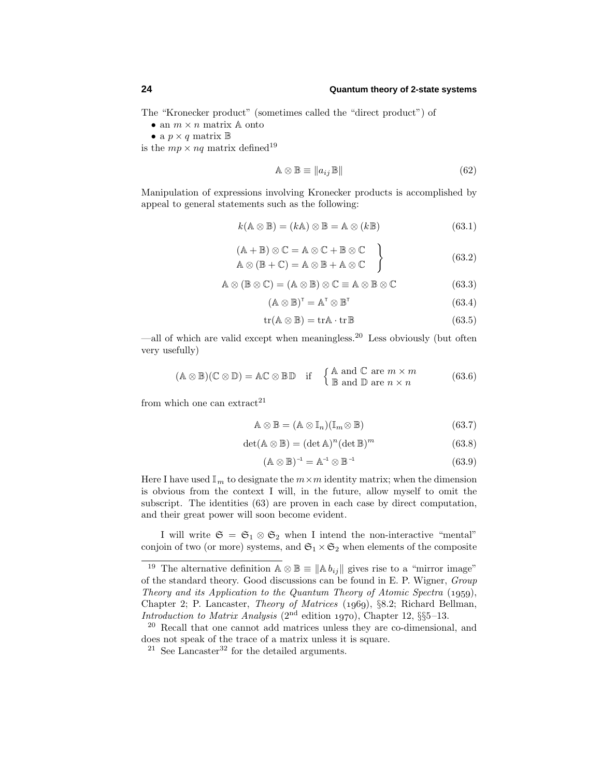### **24 Quantum theory of 2-state systems**

The "Kronecker product" (sometimes called the "direct product") of

- $\bullet$ an  $m \times n$  matrix  $\mathbb A$  onto
- a  $p \times q$  matrix  $\mathbb{B}$

is the  $mp \times nq$  matrix defined<sup>19</sup>

$$
\mathbb{A} \otimes \mathbb{B} \equiv ||a_{ij} \mathbb{B}|| \tag{62}
$$

Manipulation of expressions involving Kronecker products is accomplished by appeal to general statements such as the following:

$$
k(\mathbb{A}\otimes\mathbb{B})=(k\mathbb{A})\otimes\mathbb{B}=\mathbb{A}\otimes(k\mathbb{B})
$$
\n(63.1)

$$
(A + B) \otimes C = A \otimes C + B \otimes C
$$
  
\n
$$
A \otimes (B + C) = A \otimes B + A \otimes C
$$
  
\n(63.2)

$$
\mathbb{A} \otimes (\mathbb{B} \otimes \mathbb{C}) = (\mathbb{A} \otimes \mathbb{B}) \otimes \mathbb{C} \equiv \mathbb{A} \otimes \mathbb{B} \otimes \mathbb{C}
$$
 (63.3)

$$
(\mathbb{A}\otimes\mathbb{B})^{\mathsf{T}}=\mathbb{A}^{\mathsf{T}}\otimes\mathbb{B}^{\mathsf{T}}\tag{63.4}
$$

$$
tr(A \otimes \mathbb{B}) = trA \cdot trB \tag{63.5}
$$

—all of which are valid except when meaningless.<sup>20</sup> Less obviously (but often very usefully)

$$
(\mathbb{A} \otimes \mathbb{B})(\mathbb{C} \otimes \mathbb{D}) = \mathbb{A}\mathbb{C} \otimes \mathbb{B}\mathbb{D} \quad \text{if} \quad \begin{cases} \mathbb{A} \text{ and } \mathbb{C} \text{ are } m \times m \\ \mathbb{B} \text{ and } \mathbb{D} \text{ are } n \times n \end{cases} \tag{63.6}
$$

from which one can extract<sup>21</sup>

$$
\mathbb{A} \otimes \mathbb{B} = (\mathbb{A} \otimes \mathbb{I}_n)(\mathbb{I}_m \otimes \mathbb{B})
$$
\n(63.7)

$$
\det(\mathbb{A}\otimes\mathbb{B}) = (\det \mathbb{A})^n (\det \mathbb{B})^m
$$
\n(63.8)

$$
(\mathbb{A}\otimes\mathbb{B})^{-1}=\mathbb{A}^{-1}\otimes\mathbb{B}^{-1} \tag{63.9}
$$

Here I have used  $\mathbb{I}_m$  to designate the  $m \times m$  identity matrix; when the dimension is obvious from the context I will, in the future, allow myself to omit the subscript. The identities (63) are proven in each case by direct computation, and their great power will soon become evident.

I will write  $\mathfrak{S} = \mathfrak{S}_1 \otimes \mathfrak{S}_2$  when I intend the non-interactive "mental" conjoin of two (or more) systems, and  $\mathfrak{S}_1 \times \mathfrak{S}_2$  when elements of the composite

<sup>&</sup>lt;sup>19</sup> The alternative definition  $\mathbb{A} \otimes \mathbb{B} \equiv \|\mathbb{A} b_{ij}\|$  gives rise to a "mirror image" of the standard theory. Good discussions can be found in E. P. Wigner, Group Theory and its Application to the Quantum Theory of Atomic Spectra  $(1959)$ , Chapter 2; P. Lancaster, Theory of Matrices (1969), §8.2; Richard Bellman, Introduction to Matrix Analysis ( $2<sup>nd</sup>$  edition 1970), Chapter 12, §§5-13.

<sup>20</sup> Recall that one cannot add matrices unless they are co-dimensional, and does not speak of the trace of a matrix unless it is square.

 $21$  See Lancaster<sup>32</sup> for the detailed arguments.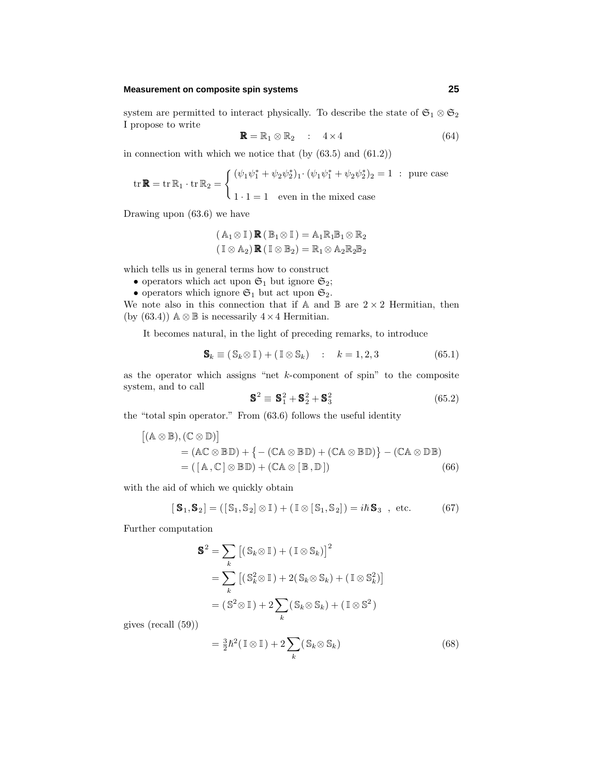### **Measurement on composite spin systems 25**

system are permitted to interact physically. To describe the state of  $\mathfrak{S}_1 \otimes \mathfrak{S}_2$ I propose to write

$$
\mathbf{R} = \mathbb{R}_1 \otimes \mathbb{R}_2 \quad : \quad 4 \times 4 \tag{64}
$$

in connection with which we notice that  $(by (63.5) and (61.2))$ 

$$
\operatorname{tr} \mathbb{R} = \operatorname{tr} \mathbb{R}_1 \cdot \operatorname{tr} \mathbb{R}_2 = \begin{cases} (\psi_1 \psi_1^* + \psi_2 \psi_2^*)_1 \cdot (\psi_1 \psi_1^* + \psi_2 \psi_2^*)_2 = 1 & : \text{ pure case} \\ 1 \cdot 1 = 1 & \text{even in the mixed case} \end{cases}
$$

Drawing upon (63.6) we have

$$
(\mathbb{A}_1 \otimes \mathbb{I}) \mathbf{R} (\mathbb{B}_1 \otimes \mathbb{I}) = \mathbb{A}_1 \mathbb{R}_1 \mathbb{B}_1 \otimes \mathbb{R}_2 (\mathbb{I} \otimes \mathbb{A}_2) \mathbf{R} (\mathbb{I} \otimes \mathbb{B}_2) = \mathbb{R}_1 \otimes \mathbb{A}_2 \mathbb{R}_2 \mathbb{B}_2
$$

which tells us in general terms how to construct

- operators which act upon  $\mathfrak{S}_1$  but ignore  $\mathfrak{S}_2$ ;
- operators which ignore  $\mathfrak{S}_1$  but act upon  $\mathfrak{S}_2$ .

We note also in this connection that if A and B are  $2 \times 2$  Hermitian, then (by (63.4))  $\mathbb{A} \otimes \mathbb{B}$  is necessarily  $4 \times 4$  Hermitian.

It becomes natural, in the light of preceding remarks, to introduce

$$
\mathbf{S}_k \equiv (\mathbb{S}_k \otimes \mathbb{I}) + (\mathbb{I} \otimes \mathbb{S}_k) \quad : \quad k = 1, 2, 3 \tag{65.1}
$$

as the operator which assigns "net *k*-component of spin" to the composite system, and to call

$$
\mathbf{S}^2 \equiv \mathbf{S}_1^2 + \mathbf{S}_2^2 + \mathbf{S}_3^2 \tag{65.2}
$$

the "total spin operator." From (63.6) follows the useful identity

$$
[(A \otimes \mathbb{B}), (\mathbb{C} \otimes \mathbb{D})]
$$
  
=  $(AC \otimes \mathbb{B} \mathbb{D}) + \{ - (CA \otimes \mathbb{B} \mathbb{D}) + (CA \otimes \mathbb{B} \mathbb{D}) \} - (CA \otimes \mathbb{D} \mathbb{B})$   
=  $([A, \mathbb{C}] \otimes \mathbb{B} \mathbb{D}) + (CA \otimes [\mathbb{B}, \mathbb{D}])$  (66)

with the aid of which we quickly obtain

$$
[\mathbf{S}_1, \mathbf{S}_2] = ([S_1, S_2] \otimes \mathbb{I}) + (\mathbb{I} \otimes [S_1, S_2]) = i\hbar \mathbf{S}_3 , etc. \tag{67}
$$

Further computation

$$
\mathbf{S}^2 = \sum_k \left[ (\mathbb{S}_k \otimes \mathbb{I}) + (\mathbb{I} \otimes \mathbb{S}_k) \right]^2
$$
  
= 
$$
\sum_k \left[ (\mathbb{S}_k^2 \otimes \mathbb{I}) + 2(\mathbb{S}_k \otimes \mathbb{S}_k) + (\mathbb{I} \otimes \mathbb{S}_k^2) \right]
$$
  
= 
$$
(\mathbb{S}^2 \otimes \mathbb{I}) + 2 \sum_k (\mathbb{S}_k \otimes \mathbb{S}_k) + (\mathbb{I} \otimes \mathbb{S}^2)
$$

gives (recall (59))

$$
= \frac{3}{2}\hbar^2(\mathbb{I}\otimes\mathbb{I}) + 2\sum_k(\mathbb{S}_k\otimes\mathbb{S}_k)
$$
\n(68)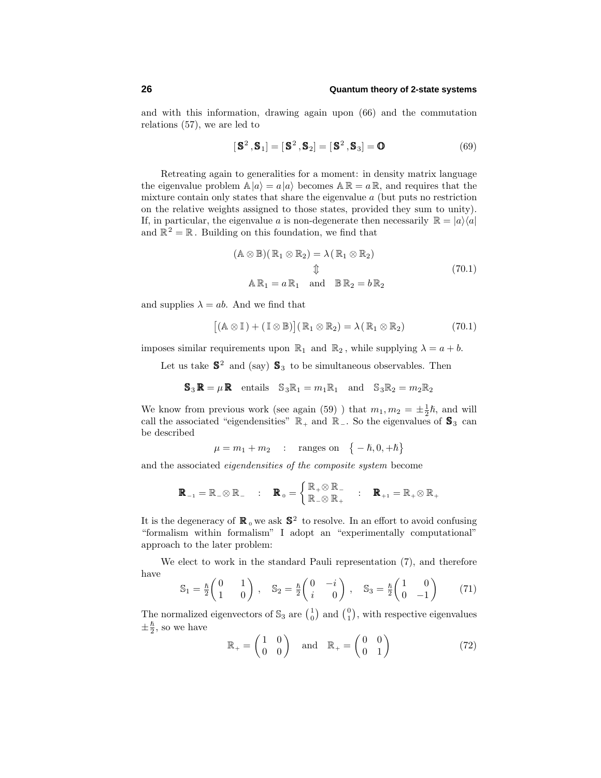and with this information, drawing again upon (66) and the commutation relations (57), we are led to

$$
[\mathbf{S}^2, \mathbf{S}_1] = [\mathbf{S}^2, \mathbf{S}_2] = [\mathbf{S}^2, \mathbf{S}_3] = \mathbf{0}
$$
 (69)

Retreating again to generalities for a moment: in density matrix language the eigenvalue problem  $\mathbb{A}|a\rangle = a|a\rangle$  becomes  $\mathbb{A}\mathbb{R} = a\mathbb{R}$ , and requires that the mixture contain only states that share the eigenvalue *a* (but puts no restriction on the relative weights assigned to those states, provided they sum to unity). If, in particular, the eigenvalue *a* is non-degenerate then necessarily  $\mathbb{R} = |a\rangle\langle a|$ and  $\mathbb{R}^2 = \mathbb{R}$ . Building on this foundation, we find that

$$
(\mathbb{A} \otimes \mathbb{B})(\mathbb{R}_1 \otimes \mathbb{R}_2) = \lambda(\mathbb{R}_1 \otimes \mathbb{R}_2)
$$
  
\n
$$
\updownarrow
$$
  
\n
$$
\mathbb{A} \mathbb{R}_1 = a \mathbb{R}_1 \text{ and } \mathbb{B} \mathbb{R}_2 = b \mathbb{R}_2
$$
  
\n(70.1)

and supplies  $\lambda = ab$ . And we find that

$$
[(\mathbb{A}\otimes\mathbb{I})+(\mathbb{I}\otimes\mathbb{B})](\mathbb{R}_1\otimes\mathbb{R}_2)=\lambda(\mathbb{R}_1\otimes\mathbb{R}_2)
$$
 (70.1)

imposes similar requirements upon  $\mathbb{R}_1$  and  $\mathbb{R}_2$ , while supplying  $\lambda = a + b$ .

Let us take  $\mathbb{S}^2$  and (say)  $\mathbb{S}_3$  to be simultaneous observables. Then

$$
\mathbf{S}_3 \mathbf{R} = \mu \mathbf{R} \quad \text{entails} \quad \mathbb{S}_3 \mathbb{R}_1 = m_1 \mathbb{R}_1 \quad \text{and} \quad \mathbb{S}_3 \mathbb{R}_2 = m_2 \mathbb{R}_2
$$

We know from previous work (see again (59) ) that  $m_1, m_2 = \pm \frac{1}{2}\hbar$ , and will call the associated "eigendensities"  $\mathbb{R}_+$  and  $\mathbb{R}_-$ . So the eigenvalues of  $\mathbb{S}_3$  can be described

$$
\mu = m_1 + m_2 \quad : \quad \text{ranges on} \quad \left\{ -\hbar, 0, +\hbar \right\}
$$

and the associated eigendensities of the composite system become

$$
\mathbf{R}_{-1} = \mathbb{R}_{-} \otimes \mathbb{R}_{-} \quad : \quad \mathbf{R}_{0} = \begin{cases} \mathbb{R}_{+} \otimes \mathbb{R}_{-} \\ \mathbb{R}_{-} \otimes \mathbb{R}_{+} \end{cases} \quad : \quad \mathbf{R}_{+1} = \mathbb{R}_{+} \otimes \mathbb{R}_{+}
$$

It is the degeneracy of  $\mathbb{R}_0$  we ask  $\mathbb{S}^2$  to resolve. In an effort to avoid confusing "formalism within formalism" I adopt an "experimentally computational" approach to the later problem:

We elect to work in the standard Pauli representation (7), and therefore have

$$
\mathbb{S}_1 = \frac{\hbar}{2} \begin{pmatrix} 0 & 1 \\ 1 & 0 \end{pmatrix} , \quad \mathbb{S}_2 = \frac{\hbar}{2} \begin{pmatrix} 0 & -i \\ i & 0 \end{pmatrix} , \quad \mathbb{S}_3 = \frac{\hbar}{2} \begin{pmatrix} 1 & 0 \\ 0 & -1 \end{pmatrix} \tag{71}
$$

The normalized eigenvectors of  $\mathbb{S}_3$  are  $\begin{pmatrix} 1 \\ 0 \end{pmatrix}$  and  $\begin{pmatrix} 0 \\ 1 \end{pmatrix}$ , with respective eigenvalues  $\pm \frac{\hslash}{2}$ , so we have

$$
\mathbb{R}_{+} = \begin{pmatrix} 1 & 0 \\ 0 & 0 \end{pmatrix} \quad \text{and} \quad \mathbb{R}_{+} = \begin{pmatrix} 0 & 0 \\ 0 & 1 \end{pmatrix} \tag{72}
$$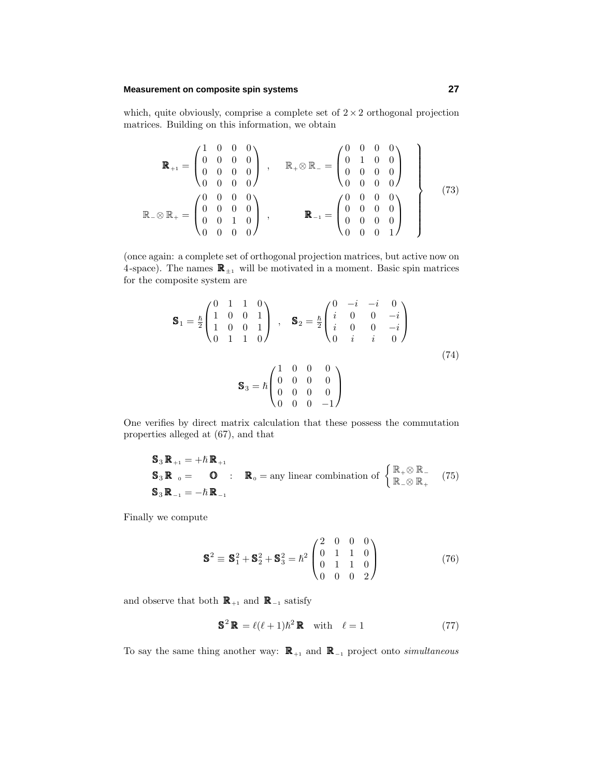### **Measurement on composite spin systems 27**

which, quite obviously, comprise a complete set of  $2 \times 2$  orthogonal projection matrices. Building on this information, we obtain

$$
\mathbf{R}_{+1} = \begin{pmatrix} 1 & 0 & 0 & 0 \\ 0 & 0 & 0 & 0 \\ 0 & 0 & 0 & 0 \\ 0 & 0 & 0 & 0 \end{pmatrix} , \quad \mathbb{R}_{+} \otimes \mathbb{R}_{-} = \begin{pmatrix} 0 & 0 & 0 & 0 \\ 0 & 1 & 0 & 0 \\ 0 & 0 & 0 & 0 \\ 0 & 0 & 0 & 0 \end{pmatrix}
$$

$$
\mathbb{R}_{-} \otimes \mathbb{R}_{+} = \begin{pmatrix} 0 & 0 & 0 & 0 \\ 0 & 0 & 0 & 0 \\ 0 & 0 & 1 & 0 \\ 0 & 0 & 0 & 0 \end{pmatrix} , \quad \mathbb{R}_{-1} = \begin{pmatrix} 0 & 0 & 0 & 0 \\ 0 & 0 & 0 & 0 \\ 0 & 0 & 0 & 0 \\ 0 & 0 & 0 & 1 \end{pmatrix}
$$
(73)

(once again: a complete set of orthogonal projection matrices, but active now on 4-space). The names  $\, {\mathbf{R}}_{\pm1} \,$  will be motivated in a moment. Basic spin matrices for the composite system are

$$
\mathbf{S}_{1} = \frac{\hbar}{2} \begin{pmatrix} 0 & 1 & 1 & 0 \\ 1 & 0 & 0 & 1 \\ 1 & 0 & 0 & 1 \\ 0 & 1 & 1 & 0 \end{pmatrix} , \quad \mathbf{S}_{2} = \frac{\hbar}{2} \begin{pmatrix} 0 & -i & -i & 0 \\ i & 0 & 0 & -i \\ i & 0 & 0 & -i \\ 0 & i & i & 0 \end{pmatrix}
$$
  

$$
\mathbf{S}_{3} = \hbar \begin{pmatrix} 1 & 0 & 0 & 0 \\ 0 & 0 & 0 & 0 \\ 0 & 0 & 0 & 0 \\ 0 & 0 & 0 & -1 \end{pmatrix}
$$
 (74)

One verifies by direct matrix calculation that these possess the commutation properties alleged at (67), and that

$$
\begin{aligned}\n\mathbf{S}_3 \mathbf{R}_{+1} &= +\hbar \mathbf{R}_{+1} \\
\mathbf{S}_3 \mathbf{R}_{\circ} &= \mathbf{0} \quad : \quad \mathbf{R}_{\circ} = \text{any linear combination of} \quad \left\{ \begin{aligned}\n\mathbb{R}_+ \otimes \mathbb{R}_- \\
\mathbb{R}_- \otimes \mathbb{R}_+ \\
\mathbb{R}_- \otimes \mathbb{R}_+ \\
\end{aligned}\right. \n\end{aligned}
$$
\n(75)

Finally we compute

$$
\mathbf{S}^2 \equiv \mathbf{S}_1^2 + \mathbf{S}_2^2 + \mathbf{S}_3^2 = \hbar^2 \begin{pmatrix} 2 & 0 & 0 & 0 \\ 0 & 1 & 1 & 0 \\ 0 & 1 & 1 & 0 \\ 0 & 0 & 0 & 2 \end{pmatrix}
$$
(76)

and observe that both  $\mathbf{R}_{+1}$  and  $\mathbf{R}_{-1}$  satisfy

$$
\mathbf{S}^2 \mathbf{R} = \ell(\ell+1)\hbar^2 \mathbf{R} \quad \text{with} \quad \ell = 1 \tag{77}
$$

To say the same thing another way:  $\mathbb{R}_{+1}$  and  $\mathbb{R}_{-1}$  project onto *simultaneous*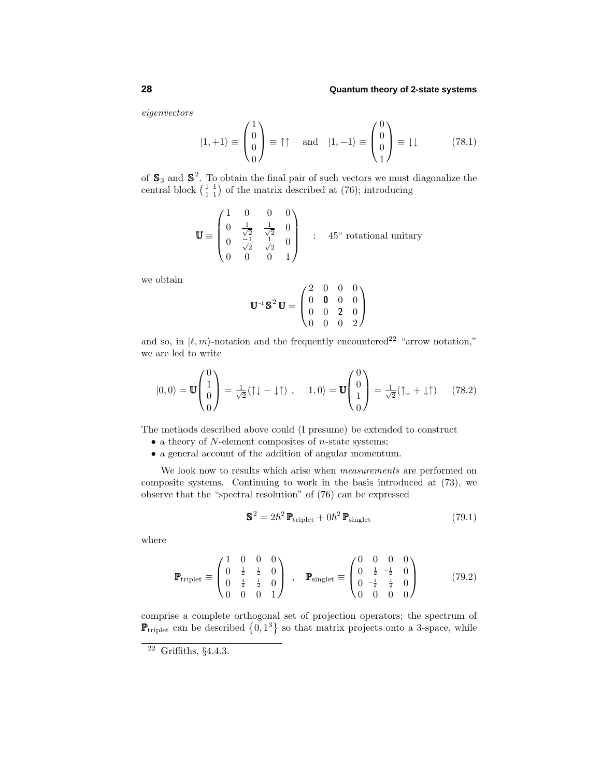eigenvectors

$$
|1, +1\rangle \equiv \begin{pmatrix} 1 \\ 0 \\ 0 \\ 0 \end{pmatrix} \equiv \uparrow \uparrow \quad \text{and} \quad |1, -1\rangle \equiv \begin{pmatrix} 0 \\ 0 \\ 0 \\ 1 \end{pmatrix} \equiv \downarrow \downarrow \tag{78.1}
$$

of  $\mathbf{S}_3$  and  $\mathbf{S}^2$ . To obtain the final pair of such vectors we must diagonalize the central block  $\begin{pmatrix} 1 & 1 \\ 1 & 1 \end{pmatrix}$  of the matrix described at (76); introducing

$$
\mathbf{U} \equiv \begin{pmatrix} 1 & 0 & 0 & 0 \\ 0 & \frac{1}{\sqrt{2}} & \frac{1}{\sqrt{2}} & 0 \\ 0 & \frac{-1}{\sqrt{2}} & \frac{1}{\sqrt{2}} & 0 \\ 0 & 0 & 0 & 1 \end{pmatrix} \quad : \quad 45^{\circ} \text{ rotational unitary}
$$

we obtain

$$
\mathbf{U}^{-1} \mathbf{S}^2 \mathbf{U} = \begin{pmatrix} 2 & 0 & 0 & 0 \\ 0 & \mathbf{0} & 0 & 0 \\ 0 & 0 & \mathbf{2} & 0 \\ 0 & 0 & 0 & \mathbf{2} \end{pmatrix}
$$

and so, in  $|\ell, m\rangle$ -notation and the frequently encountered<sup>22</sup> "arrow notation," we are led to write

$$
|0,0\rangle = \mathbf{U} \begin{pmatrix} 0 \\ 1 \\ 0 \\ 0 \end{pmatrix} = \frac{1}{\sqrt{2}} (\uparrow \downarrow - \downarrow \uparrow) , \quad |1,0\rangle = \mathbf{U} \begin{pmatrix} 0 \\ 0 \\ 1 \\ 0 \end{pmatrix} = \frac{1}{\sqrt{2}} (\uparrow \downarrow + \downarrow \uparrow) \tag{78.2}
$$

The methods described above could (I presume) be extended to construct

- a theory of *N*-element composites of *n*-state systems;
- a general account of the addition of angular momentum.

We look now to results which arise when measurements are performed on composite systems. Continuing to work in the basis introduced at (73), we observe that the "spectral resolution" of (76) can be expressed

$$
\mathbf{S}^2 = 2\hbar^2 \, \mathbf{P}_{\text{triplet}} + 0\hbar^2 \, \mathbf{P}_{\text{singlet}} \tag{79.1}
$$

where

$$
\mathbf{P}_{\text{triplet}} \equiv \begin{pmatrix} 1 & 0 & 0 & 0 \\ 0 & \frac{1}{2} & \frac{1}{2} & 0 \\ 0 & \frac{1}{2} & \frac{1}{2} & 0 \\ 0 & 0 & 0 & 1 \end{pmatrix} , \quad \mathbf{P}_{\text{singlet}} \equiv \begin{pmatrix} 0 & 0 & 0 & 0 \\ 0 & \frac{1}{2} & -\frac{1}{2} & 0 \\ 0 & -\frac{1}{2} & \frac{1}{2} & 0 \\ 0 & 0 & 0 & 0 \end{pmatrix}
$$
(79.2)

comprise a complete orthogonal set of projection operators; the spectrum of  $\mathbb{P}_{\text{triplet}}$  can be described  $\{0,1^3\}$  so that matrix projects onto a 3-space, while

 $22$  Griffiths,  $§4.4.3$ .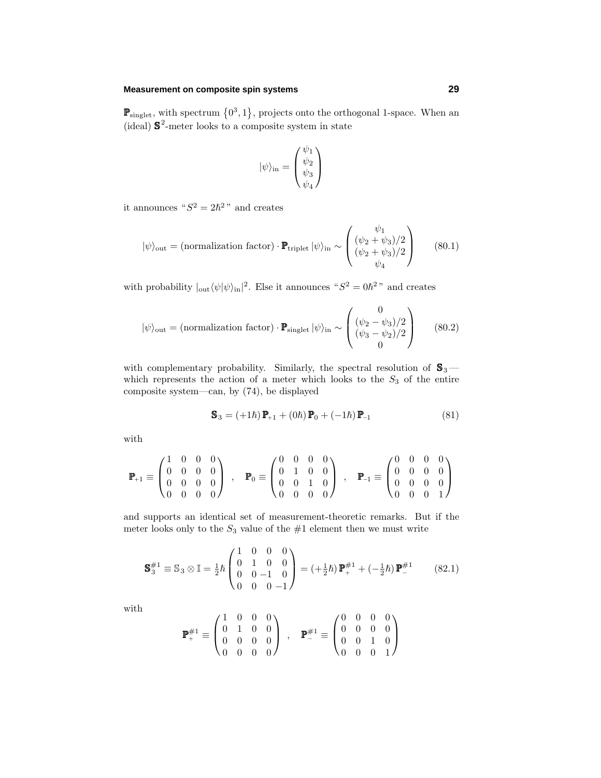### **Measurement on composite spin systems 29**

 $\mathbb{P}_{\text{singlet}}$ , with spectrum  $\{0^3, 1\}$ , projects onto the orthogonal 1-space. When an (ideal)  $\mathbf{S}^2$ -meter looks to a composite system in state

$$
|\psi\rangle_{\text{in}}=\begin{pmatrix} \psi_1 \\ \psi_2 \\ \psi_3 \\ \psi_4 \end{pmatrix}
$$

it announces " $S^2 = 2\hbar^2$ " and creates

$$
|\psi\rangle_{\text{out}} = \text{(normalization factor)} \cdot \mathbf{P}_{\text{triplet}} |\psi\rangle_{\text{in}} \sim \begin{pmatrix} \psi_1 \\ (\psi_2 + \psi_3)/2 \\ (\psi_2 + \psi_3)/2 \\ \psi_4 \end{pmatrix}
$$
 (80.1)

with probability  $|_{\text{out}} \langle \psi | \psi \rangle_{\text{in}}|^2$ . Else it announces " $S^2 = 0 \hbar^2$ " and creates

$$
|\psi\rangle_{\text{out}} = \text{(normalization factor)} \cdot \mathbf{P}_{\text{singlet}} |\psi\rangle_{\text{in}} \sim \begin{pmatrix} 0\\ (\psi_2 - \psi_3)/2\\ (\psi_3 - \psi_2)/2\\ 0 \end{pmatrix}
$$
 (80.2)

with complementary probability. Similarly, the spectral resolution of  $\mathbb{S}_3$  which represents the action of a meter which looks to the  $S_3$  of the entire composite system—can, by (74), be displayed

$$
\mathbf{S}_3 = (+1\hbar)\,\mathbf{P}_{+1} + (0\hbar)\,\mathbf{P}_0 + (-1\hbar)\,\mathbf{P}_{-1} \tag{81}
$$

with

$$
\mathbb{P}_{+1} \equiv \begin{pmatrix} 1 & 0 & 0 & 0 \\ 0 & 0 & 0 & 0 \\ 0 & 0 & 0 & 0 \\ 0 & 0 & 0 & 0 \end{pmatrix} , \quad \mathbb{P}_{0} \equiv \begin{pmatrix} 0 & 0 & 0 & 0 \\ 0 & 1 & 0 & 0 \\ 0 & 0 & 1 & 0 \\ 0 & 0 & 0 & 0 \end{pmatrix} , \quad \mathbb{P}_{-1} \equiv \begin{pmatrix} 0 & 0 & 0 & 0 \\ 0 & 0 & 0 & 0 \\ 0 & 0 & 0 & 0 \\ 0 & 0 & 0 & 1 \end{pmatrix}
$$

and supports an identical set of measurement-theoretic remarks. But if the meter looks only to the  $S_3$  value of the  $\#1$  element then we must write

$$
\mathbf{S}_{3}^{\#1} \equiv \mathbb{S}_{3} \otimes \mathbb{I} = \frac{1}{2} \hbar \begin{pmatrix} 1 & 0 & 0 & 0 \\ 0 & 1 & 0 & 0 \\ 0 & 0 & -1 & 0 \\ 0 & 0 & 0 & -1 \end{pmatrix} = \left( + \frac{1}{2} \hbar \right) \mathbf{P}_{+}^{\#1} + \left( - \frac{1}{2} \hbar \right) \mathbf{P}_{-}^{\#1} \tag{82.1}
$$

with

$$
\mathbb{P}_{+}^{\#1} \equiv \begin{pmatrix} 1 & 0 & 0 & 0 \\ 0 & 1 & 0 & 0 \\ 0 & 0 & 0 & 0 \\ 0 & 0 & 0 & 0 \end{pmatrix} , \quad \mathbb{P}_{-}^{\#1} \equiv \begin{pmatrix} 0 & 0 & 0 & 0 \\ 0 & 0 & 0 & 0 \\ 0 & 0 & 1 & 0 \\ 0 & 0 & 0 & 1 \end{pmatrix}
$$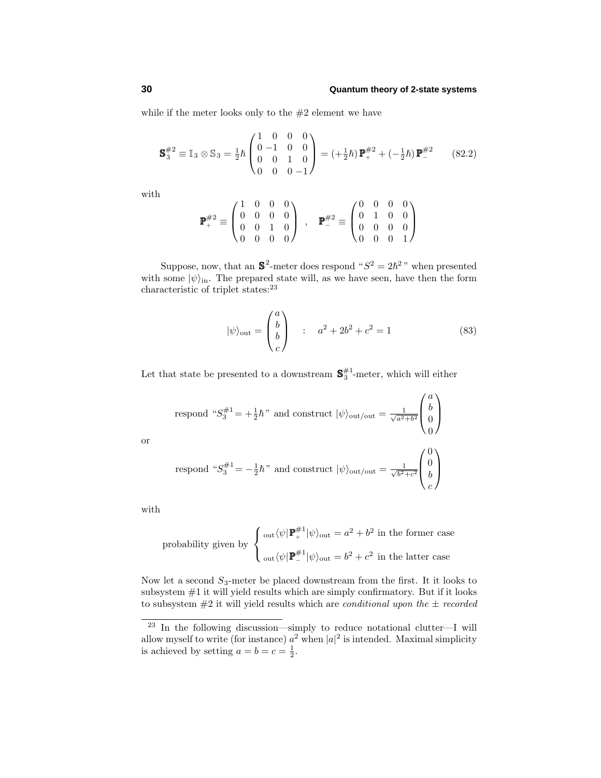while if the meter looks only to the  $#2$  element we have

$$
\mathbf{S}_3^{\#2} \equiv \mathbb{I}_3 \otimes \mathbb{S}_3 = \frac{1}{2} \hbar \begin{pmatrix} 1 & 0 & 0 & 0 \\ 0 & -1 & 0 & 0 \\ 0 & 0 & 1 & 0 \\ 0 & 0 & 0 & -1 \end{pmatrix} = \left( + \frac{1}{2} \hbar \right) \mathbb{P}_+^{\#2} + \left( - \frac{1}{2} \hbar \right) \mathbb{P}_-^{\#2} \qquad (82.2)
$$

with

$$
\mathbb{P}_{+}^{\#2} \equiv \begin{pmatrix} 1 & 0 & 0 & 0 \\ 0 & 0 & 0 & 0 \\ 0 & 0 & 1 & 0 \\ 0 & 0 & 0 & 0 \end{pmatrix} , \quad \mathbb{P}_{-}^{\#2} \equiv \begin{pmatrix} 0 & 0 & 0 & 0 \\ 0 & 1 & 0 & 0 \\ 0 & 0 & 0 & 0 \\ 0 & 0 & 0 & 1 \end{pmatrix}
$$

Suppose, now, that an  $S^2$ -meter does respond " $S^2 = 2\hbar^2$ " when presented with some  $|\psi\rangle_{\text{in}}$ . The prepared state will, as we have seen, have then the form characteristic of triplet states:  $\!{}^{23}$ 

$$
|\psi\rangle_{\text{out}} = \begin{pmatrix} a \\ b \\ c \end{pmatrix} : a^2 + 2b^2 + c^2 = 1
$$
 (83)

Let that state be presented to a downstream  $\mathbf{S}_3^{\#1}$ -meter, which will either

respond "
$$
S_3^{\#1} = +\frac{1}{2}\hbar
$$
" and construct  $|\psi\rangle_{\text{out/out}} = \frac{1}{\sqrt{a^2 + b^2}} \begin{pmatrix} a \\ b \\ 0 \end{pmatrix}$ 

or

respond "
$$
S_3^{\#1} = -\frac{1}{2}\hbar
$$
" and construct  $|\psi\rangle_{\text{out}/\text{out}} = \frac{1}{\sqrt{b^2+c^2}} \begin{pmatrix} 0 \\ 0 \\ b \\ c \end{pmatrix}$ 

with

probability given by 
$$
\begin{cases} \frac{\partial u}{\partial t} \langle \psi | \mathbf{P}^{\#1}_{+} | \psi \rangle_{\text{out}} = a^2 + b^2 \text{ in the former case} \\ \frac{\partial u}{\partial t} \langle \psi | \mathbf{P}^{\#1}_{-} | \psi \rangle_{\text{out}} = b^2 + c^2 \text{ in the latter case} \end{cases}
$$

Now let a second  $S_3$ -meter be placed downstream from the first. It it looks to subsystem #1 it will yield results which are simply confirmatory. But if it looks to subsystem  $#2$  it will yield results which are *conditional upon the*  $\pm$  *recorded* 

<sup>&</sup>lt;sup>23</sup> In the following discussion—simply to reduce notational clutter—I will allow myself to write (for instance)  $a^2$  when  $|a|^2$  is intended. Maximal simplicity is achieved by setting  $a = b = c = \frac{1}{2}$ .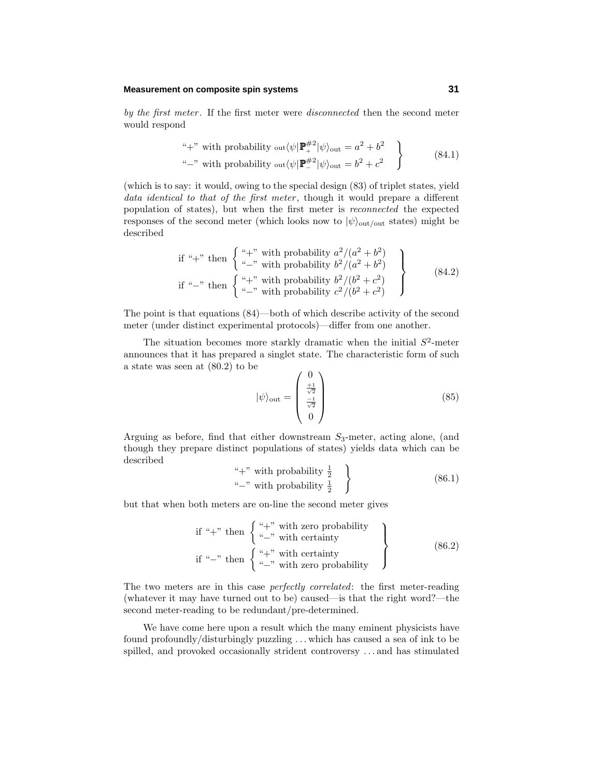### **Measurement on composite spin systems 31**

by the first meter. If the first meter were *disconnected* then the second meter would respond

"+" with probability out
$$
\langle \psi | \mathbf{P}_{+}^{\#2} | \psi \rangle_{\text{out}} = a^{2} + b^{2}
$$
  
"-" with probability out $\langle \psi | \mathbf{P}_{-}^{\#2} | \psi \rangle_{\text{out}} = b^{2} + c^{2}$  (84.1)

(which is to say: it would, owing to the special design (83) of triplet states, yield data identical to that of the first meter, though it would prepare a different population of states), but when the first meter is reconnected the expected responses of the second meter (which looks now to  $|\psi\rangle_{\text{out/out}}$  states) might be described

if "+" then 
$$
\begin{Bmatrix}\n\stackrel{a}{\leftarrow} \stackrel{m}{\leftarrow} \text{with probability } a^2/(a^2 + b^2) \\
\stackrel{a}{\leftarrow} \stackrel{m}{\leftarrow} \text{with probability } b^2/(a^2 + b^2)\n\end{Bmatrix}
$$
\nif "-" then 
$$
\begin{Bmatrix}\n\stackrel{a}{\leftarrow} \text{with probability } b^2/(b^2 + c^2) \\
\stackrel{a}{\leftarrow} \text{with probability } c^2/(b^2 + c^2)\n\end{Bmatrix}
$$
\n(84.2)

The point is that equations (84)—both of which describe activity of the second meter (under distinct experimental protocols)—differ from one another.

The situation becomes more starkly dramatic when the initial *S*<sup>2</sup>-meter announces that it has prepared a singlet state. The characteristic form of such a state was seen at (80.2) to be  $\sqrt{2}$ 

$$
|\psi\rangle_{\text{out}} = \begin{pmatrix} 0\\ \frac{\pm 1}{\sqrt{2}}\\ \frac{-1}{\sqrt{2}}\\ 0 \end{pmatrix}
$$
 (85)

Arguing as before, find that either downstream *S*3-meter, acting alone, (and though they prepare distinct populations of states) yields data which can be described

$$
\begin{array}{c}\n\text{``+'' with probability } \frac{1}{2} \\
\text{``-'' with probability } \frac{1}{2}\n\end{array}\n\right\}\n\tag{86.1}
$$

but that when both meters are on-line the second meter gives

if "+" then 
$$
\begin{Bmatrix}\n\stackrel{a}{\leftarrow} \stackrel{m}{\leftarrow} \text{with zero probability} \\
\stackrel{a}{\leftarrow} \text{with certainty} \\
\text{if "-" then }\n\begin{Bmatrix}\n\stackrel{a}{\leftarrow} \text{with certainty} \\
\stackrel{a}{\leftarrow} \text{with zero probability}\n\end{Bmatrix}\n\end{Bmatrix}
$$
\n(86.2)

The two meters are in this case perfectly correlated: the first meter-reading (whatever it may have turned out to be) caused—is that the right word?—the second meter-reading to be redundant/pre-determined.

We have come here upon a result which the many eminent physicists have found profoundly/disturbingly puzzling *...* which has caused a sea of ink to be spilled, and provoked occasionally strident controversy *...* and has stimulated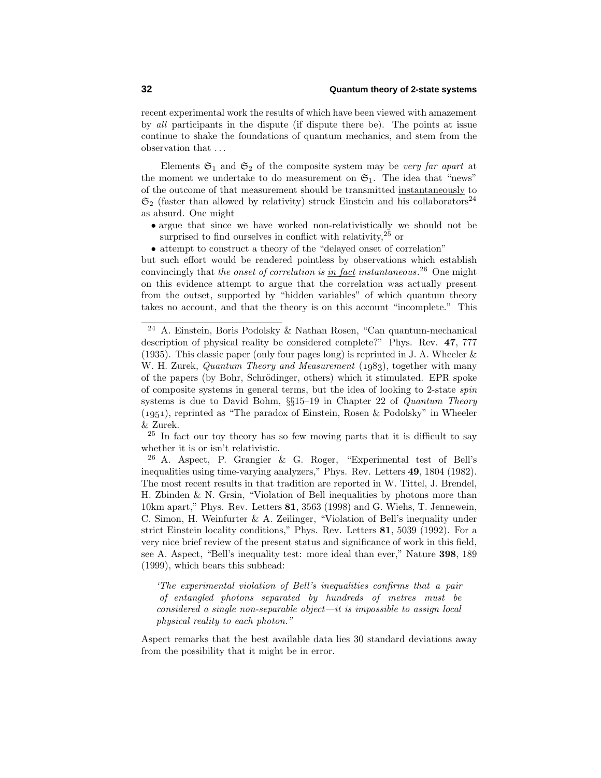### **32 Quantum theory of 2-state systems**

recent experimental work the results of which have been viewed with amazement by all participants in the dispute (if dispute there be). The points at issue continue to shake the foundations of quantum mechanics, and stem from the observation that *...*

Elements  $\mathfrak{S}_1$  and  $\mathfrak{S}_2$  of the composite system may be very far apart at the moment we undertake to do measurement on  $\mathfrak{S}_1$ . The idea that "news" of the outcome of that measurement should be transmitted instantaneously to  $\mathfrak{S}_2$  (faster than allowed by relativity) struck Einstein and his collaborators<sup>24</sup> as absurd. One might

- argue that since we have worked non-relativistically we should not be surprised to find ourselves in conflict with relativity,  $25$  or
- attempt to construct a theory of the "delayed onset of correlation"

but such effort would be rendered pointless by observations which establish convincingly that the onset of correlation is <u>in fact</u> instantaneous.<sup>26</sup> One might on this evidence attempt to argue that the correlation was actually present from the outset, supported by "hidden variables" of which quantum theory takes no account, and that the theory is on this account "incomplete." This

 $25$  In fact our toy theory has so few moving parts that it is difficult to say whether it is or isn't relativistic.

<sup>26</sup> A. Aspect, P. Grangier & G. Roger, "Experimental test of Bell's inequalities using time-varying analyzers," Phys. Rev. Letters **49**, 1804 (1982). The most recent results in that tradition are reported in W. Tittel, J. Brendel, H. Zbinden & N. Grsin, "Violation of Bell inequalities by photons more than 10km apart," Phys. Rev. Letters **81**, 3563 (1998) and G. Wiehs, T. Jennewein, C. Simon, H. Weinfurter & A. Zeilinger, "Violation of Bell's inequality under strict Einstein locality conditions," Phys. Rev. Letters **81**, 5039 (1992). For a very nice brief review of the present status and significance of work in this field, see A. Aspect, "Bell's inequality test: more ideal than ever," Nature **398**, 189 (1999), which bears this subhead:

'The experimental violation of Bell's inequalities confirms that a pair of entangled photons separated by hundreds of metres must be considered a single non-separable object—it is impossible to assign local physical reality to each photon."

Aspect remarks that the best available data lies 30 standard deviations away from the possibility that it might be in error.

<sup>&</sup>lt;sup>24</sup> A. Einstein, Boris Podolsky & Nathan Rosen, "Can quantum-mechanical description of physical reality be considered complete?" Phys. Rev. **47**, 777 (1935). This classic paper (only four pages long) is reprinted in J. A. Wheeler  $\&$ W. H. Zurek, Quantum Theory and Measurement (1983), together with many of the papers (by Bohr, Schrödinger, others) which it stimulated. EPR spoke of composite systems in general terms, but the idea of looking to 2-state spin systems is due to David Bohm,  $\S_{15}$ –19 in Chapter 22 of *Quantum Theory*  $(1951)$ , reprinted as "The paradox of Einstein, Rosen & Podolsky" in Wheeler & Zurek.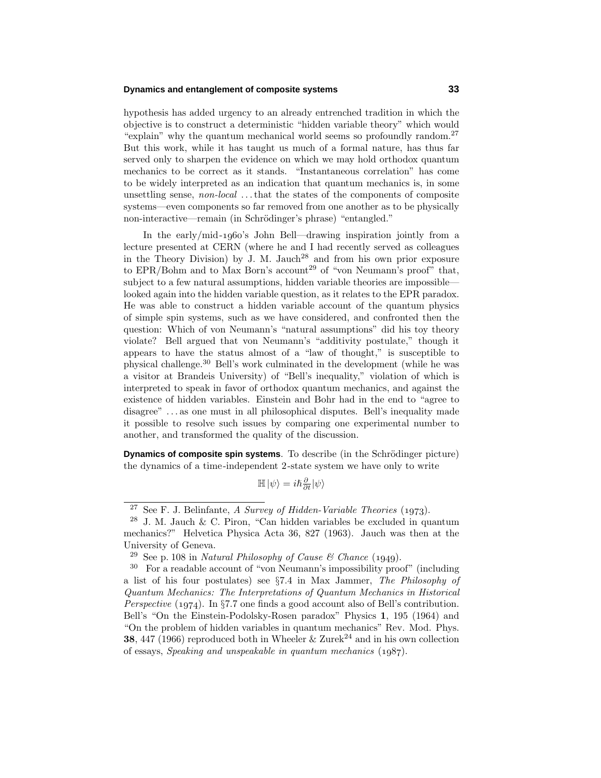### **Dynamics and entanglement of composite systems 33**

hypothesis has added urgency to an already entrenched tradition in which the objective is to construct a deterministic "hidden variable theory" which would "explain" why the quantum mechanical world seems so profoundly random.<sup>27</sup> But this work, while it has taught us much of a formal nature, has thus far served only to sharpen the evidence on which we may hold orthodox quantum mechanics to be correct as it stands. "Instantaneous correlation" has come to be widely interpreted as an indication that quantum mechanics is, in some unsettling sense, non-local *...*that the states of the components of composite systems—even components so far removed from one another as to be physically non-interactive—remain (in Schrödinger's phrase) "entangled."

In the early/mid-1960's John Bell—drawing inspiration jointly from a lecture presented at CERN (where he and I had recently served as colleagues in the Theory Division) by J. M. Jauch<sup>28</sup> and from his own prior exposure to  $EPR/Bohm$  and to Max Born's account<sup>29</sup> of "von Neumann's proof" that, subject to a few natural assumptions, hidden variable theories are impossible looked again into the hidden variable question, as it relates to the EPR paradox. He was able to construct a hidden variable account of the quantum physics of simple spin systems, such as we have considered, and confronted then the question: Which of von Neumann's "natural assumptions" did his toy theory violate? Bell argued that von Neumann's "additivity postulate," though it appears to have the status almost of a "law of thought," is susceptible to physical challenge.<sup>30</sup> Bell's work culminated in the development (while he was a visitor at Brandeis University) of "Bell's inequality," violation of which is interpreted to speak in favor of orthodox quantum mechanics, and against the existence of hidden variables. Einstein and Bohr had in the end to "agree to disagree" *...* as one must in all philosophical disputes. Bell's inequality made it possible to resolve such issues by comparing one experimental number to another, and transformed the quality of the discussion.

**Dynamics of composite spin systems**. To describe (in the Schrödinger picture) the dynamics of a time-independent 2-state system we have only to write

$$
\mathbb{H} |\psi\rangle = i\hslash \frac{\partial}{\partial t} |\psi\rangle
$$

<sup>&</sup>lt;sup>27</sup> See F. J. Belinfante, *A Survey of Hidden-Variable Theories* (1973).

 $28$  J. M. Jauch & C. Piron, "Can hidden variables be excluded in quantum mechanics?" Helvetica Physica Acta 36, 827 (1963). Jauch was then at the University of Geneva.

<sup>&</sup>lt;sup>29</sup> See p. 108 in Natural Philosophy of Cause  $\mathcal C$  Chance (1949).

 $30$  For a readable account of "von Neumann's impossibility proof" (including a list of his four postulates) see §7.4 in Max Jammer, The Philosophy of Quantum Mechanics: The Interpretations of Quantum Mechanics in Historical *Perspective* (1974). In §7.7 one finds a good account also of Bell's contribution. Bell's "On the Einstein-Podolsky-Rosen paradox" Physics **1**, 195 (1964) and "On the problem of hidden variables in quantum mechanics" Rev. Mod. Phys. **38**, 447 (1966) reproduced both in Wheeler  $\&$  Zurek<sup>24</sup> and in his own collection of essays, *Speaking and unspeakable in quantum mechanics*  $(1987)$ .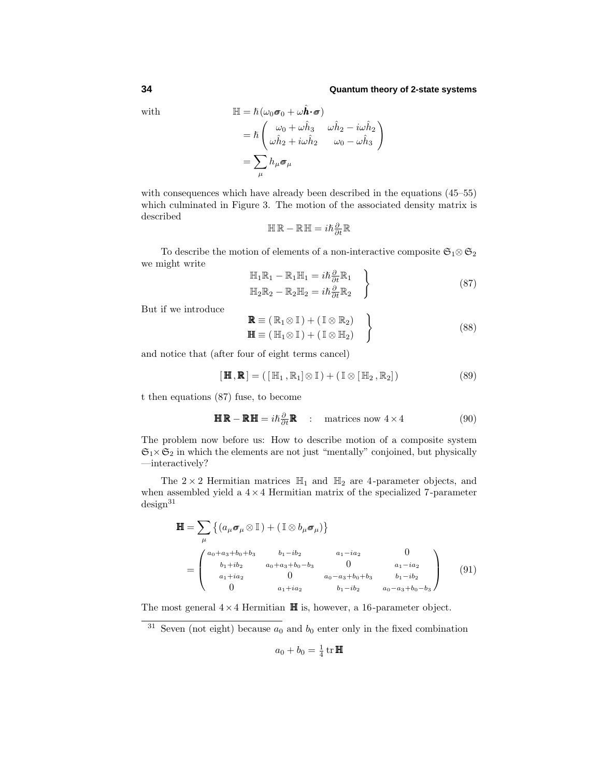### **34 Quantum theory of 2-state systems**

with 
$$
\mathbb{H} = \hbar (\omega_0 \sigma_0 + \omega \hat{\mathbf{h}} \cdot \sigma) \n= \hbar \begin{pmatrix} \omega_0 + \omega \hat{\mathbf{h}}_3 & \omega \hat{\mathbf{h}}_2 - i \omega \hat{\mathbf{h}}_2 \\ \omega \hat{\mathbf{h}}_2 + i \omega \hat{\mathbf{h}}_2 & \omega_0 - \omega \hat{\mathbf{h}}_3 \end{pmatrix} \n= \sum_{\mu} h_{\mu} \sigma_{\mu}
$$

with consequences which have already been described in the equations (45–55) which culminated in Figure 3. The motion of the associated density matrix is described

$$
\mathbb{H}\,\mathbb{R}-\mathbb{R}\,\mathbb{H}=i\hbar\frac{\partial}{\partial t}\mathbb{R}
$$

To describe the motion of elements of a non-interactive composite  $\mathfrak{S}_1 \otimes \mathfrak{S}_2$ we might write  $\overline{ }$ 

$$
\mathbb{H}_1 \mathbb{R}_1 - \mathbb{R}_1 \mathbb{H}_1 = i\hbar \frac{\partial}{\partial t} \mathbb{R}_1
$$
\n
$$
\mathbb{H}_2 \mathbb{R}_2 - \mathbb{R}_2 \mathbb{H}_2 = i\hbar \frac{\partial}{\partial t} \mathbb{R}_2
$$
\n(87)

But if we introduce

$$
\mathbf{R} \equiv (\mathbb{R}_1 \otimes \mathbb{I}) + (\mathbb{I} \otimes \mathbb{R}_2) \n\mathbf{H} \equiv (\mathbb{H}_1 \otimes \mathbb{I}) + (\mathbb{I} \otimes \mathbb{H}_2)
$$
\n(88)

 $\lambda$ 

and notice that (after four of eight terms cancel)

$$
[\mathbf{H}, \mathbf{R}] = (\lbrack \mathbb{H}_1, \mathbb{R}_1 \rbrack \otimes \mathbb{I}) + (\mathbb{I} \otimes [\mathbb{H}_2, \mathbb{R}_2]) \tag{89}
$$

t then equations (87) fuse, to become

$$
\mathbf{H}\mathbf{R} - \mathbf{R}\mathbf{H} = i\hbar \frac{\partial}{\partial t} \mathbf{R} : \text{ matrices now } 4 \times 4
$$
 (90)

The problem now before us: How to describe motion of a composite system  $\mathfrak{S}_1 \times \mathfrak{S}_2$  in which the elements are not just "mentally" conjoined, but physically —interactively?

The  $2 \times 2$  Hermitian matrices  $\mathbb{H}_1$  and  $\mathbb{H}_2$  are 4-parameter objects, and when assembled yield a  $4 \times 4$  Hermitian matrix of the specialized 7-parameter  $design<sup>31</sup>$ 

$$
\mathbb{H} = \sum_{\mu} \left\{ (a_{\mu} \sigma_{\mu} \otimes \mathbb{I}) + (\mathbb{I} \otimes b_{\mu} \sigma_{\mu}) \right\} \n= \begin{pmatrix}\n a_0 + a_3 + b_0 + b_3 & b_1 - ib_2 & a_1 - ia_2 & 0 \\
 b_1 + ib_2 & a_0 + a_3 + b_0 - b_3 & 0 & a_1 - ia_2 \\
 a_1 + ia_2 & 0 & a_0 - a_3 + b_0 + b_3 & b_1 - ib_2 \\
 0 & a_1 + ia_2 & b_1 - ib_2 & a_0 - a_3 + b_0 - b_3\n\end{pmatrix}
$$
\n(91)

The most general  $4 \times 4$  Hermitian  $\mathbb{H}$  is, however, a 16-parameter object.

 $31$  Seven (not eight) because  $a_0$  and  $b_0$  enter only in the fixed combination

$$
a_0 + b_0 = \frac{1}{4} \operatorname{tr} \mathbf{H}
$$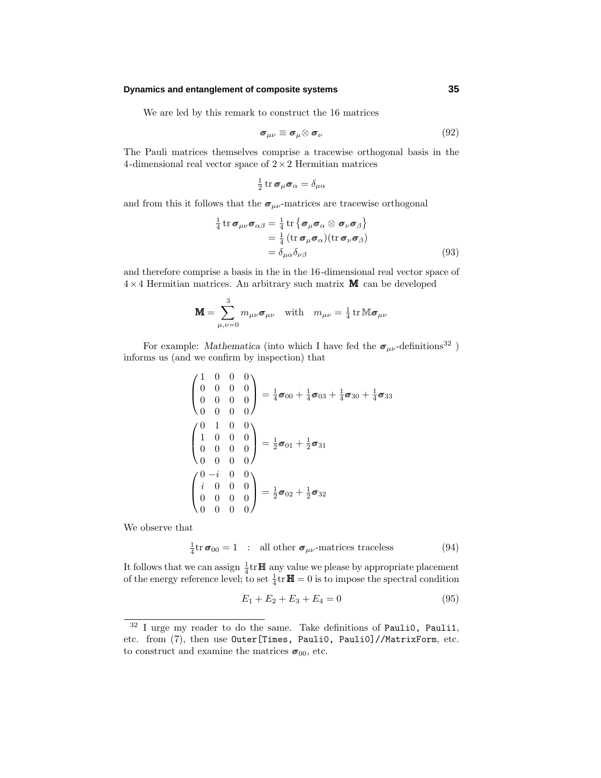### **Dynamics and entanglement of composite systems 35**

We are led by this remark to construct the 16 matrices

$$
\sigma_{\mu\nu} \equiv \sigma_{\mu} \otimes \sigma_{\nu} \tag{92}
$$

The Pauli matrices themselves comprise a tracewise orthogonal basis in the 4-dimensional real vector space of  $2 \times 2$  Hermitian matrices

$$
\frac{1}{2}\operatorname{tr}\boldsymbol{\sigma}_{\mu}\boldsymbol{\sigma}_{\alpha}=\delta_{\mu\alpha}
$$

and from this it follows that the  $\sigma_{\mu\nu}$ -matrices are tracewise orthogonal

$$
\frac{1}{4} \operatorname{tr} \boldsymbol{\sigma}_{\mu\nu} \boldsymbol{\sigma}_{\alpha\beta} = \frac{1}{4} \operatorname{tr} \{ \boldsymbol{\sigma}_{\mu} \boldsymbol{\sigma}_{\alpha} \otimes \boldsymbol{\sigma}_{\nu} \boldsymbol{\sigma}_{\beta} \} \n= \frac{1}{4} \left( \operatorname{tr} \boldsymbol{\sigma}_{\mu} \boldsymbol{\sigma}_{\alpha} \right) (\operatorname{tr} \boldsymbol{\sigma}_{\nu} \boldsymbol{\sigma}_{\beta}) \n= \delta_{\mu\alpha} \delta_{\nu\beta}
$$
\n(93)

and therefore comprise a basis in the in the 16-dimensional real vector space of  $4\times4$  Hermitian matrices. An arbitrary such matrix **M** can be developed

$$
\mathbf{M} = \sum_{\mu,\nu=0}^{3} m_{\mu\nu} \boldsymbol{\sigma}_{\mu\nu} \quad \text{with} \quad m_{\mu\nu} = \frac{1}{4} \operatorname{tr} \mathbb{M} \boldsymbol{\sigma}_{\mu\nu}
$$

For example: *Mathematica* (into which I have fed the  $\sigma_{\mu\nu}$ -definitions<sup>32</sup>) informs us (and we confirm by inspection) that

$$
\begin{pmatrix}\n1 & 0 & 0 & 0 \\
0 & 0 & 0 & 0 \\
0 & 0 & 0 & 0 \\
0 & 0 & 0 & 0\n\end{pmatrix} = \frac{1}{4}\boldsymbol{\sigma}_{00} + \frac{1}{4}\boldsymbol{\sigma}_{03} + \frac{1}{4}\boldsymbol{\sigma}_{30} + \frac{1}{4}\boldsymbol{\sigma}_{33}
$$
\n
$$
\begin{pmatrix}\n0 & 1 & 0 & 0 \\
1 & 0 & 0 & 0 \\
0 & 0 & 0 & 0 \\
0 & 0 & 0 & 0\n\end{pmatrix} = \frac{1}{2}\boldsymbol{\sigma}_{01} + \frac{1}{2}\boldsymbol{\sigma}_{31}
$$
\n
$$
\begin{pmatrix}\n0 & -i & 0 & 0 \\
i & 0 & 0 & 0 \\
0 & 0 & 0 & 0 \\
0 & 0 & 0 & 0\n\end{pmatrix} = \frac{1}{2}\boldsymbol{\sigma}_{02} + \frac{1}{2}\boldsymbol{\sigma}_{32}
$$

We observe that

$$
\frac{1}{4} \text{tr} \,\sigma_{00} = 1 \quad : \quad \text{all other } \sigma_{\mu\nu} \text{-matrices traceless} \tag{94}
$$

It follows that we can assign  $\frac{1}{4} \text{tr} \mathbb{H}$  any value we please by appropriate placement of the energy reference level; to set  $\frac{1}{4}$ tr  $\mathbb{H} = 0$  is to impose the spectral condition

$$
E_1 + E_2 + E_3 + E_4 = 0 \tag{95}
$$

 $32$  I urge my reader to do the same. Take definitions of Pauli0, Pauli1, etc. from (7), then use Outer[Times, Pauli0, Pauli0]//MatrixForm, etc. to construct and examine the matrices  $\sigma_{00}$ , etc.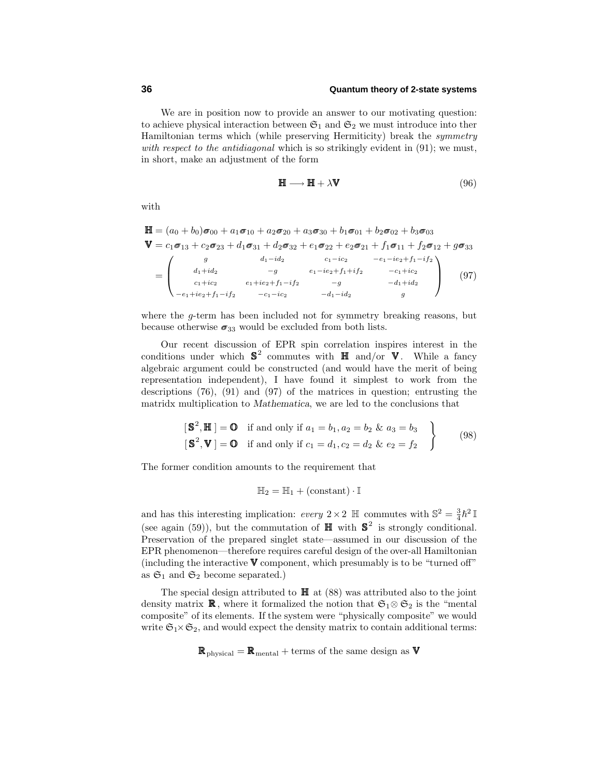### **36 Quantum theory of 2-state systems**

We are in position now to provide an answer to our motivating question: to achieve physical interaction between  $\mathfrak{S}_1$  and  $\mathfrak{S}_2$  we must introduce into ther Hamiltonian terms which (while preserving Hermiticity) break the symmetry with respect to the antidiagonal which is so strikingly evident in  $(91)$ ; we must, in short, make an adjustment of the form

$$
\mathbb{H} \longrightarrow \mathbb{H} + \lambda \mathbb{V} \tag{96}
$$

with

$$
\mathbf{H} = (a_0 + b_0)\boldsymbol{\sigma}_{00} + a_1\boldsymbol{\sigma}_{10} + a_2\boldsymbol{\sigma}_{20} + a_3\boldsymbol{\sigma}_{30} + b_1\boldsymbol{\sigma}_{01} + b_2\boldsymbol{\sigma}_{02} + b_3\boldsymbol{\sigma}_{03} \n\mathbf{V} = c_1\boldsymbol{\sigma}_{13} + c_2\boldsymbol{\sigma}_{23} + d_1\boldsymbol{\sigma}_{31} + d_2\boldsymbol{\sigma}_{32} + e_1\boldsymbol{\sigma}_{22} + e_2\boldsymbol{\sigma}_{21} + f_1\boldsymbol{\sigma}_{11} + f_2\boldsymbol{\sigma}_{12} + g\boldsymbol{\sigma}_{33} \n= \begin{pmatrix}\ng & d_1 - id_2 & c_1 - ic_2 & -e_1 - ie_2 + f_1 - if_2 \\
d_1 + id_2 & -g & e_1 - ie_2 + f_1 + if_2 & -c_1 + ic_2 \\
c_1 + ic_2 & e_1 + ie_2 + f_1 - if_2 & -g & -d_1 + id_2 \\
-e_1 + ie_2 + f_1 - if_2 & -c_1 - ic_2 & -d_1 - id_2 & g\end{pmatrix}
$$
\n(97)

where the *g*-term has been included not for symmetry breaking reasons, but because otherwise  $\sigma_{33}$  would be excluded from both lists.

Our recent discussion of EPR spin correlation inspires interest in the conditions under which  $S^2$  commutes with  $\mathbb{H}$  and/or  $\mathbb{V}$ . While a fancy algebraic argument could be constructed (and would have the merit of being representation independent), I have found it simplest to work from the descriptions  $(76)$ ,  $(91)$  and  $(97)$  of the matrices in question; entrusting the matridx multiplication to *Mathematica*, we are led to the conclusions that

$$
\begin{bmatrix} \mathbf{S}^2, \mathbf{H} \end{bmatrix} = \mathbf{0} \quad \text{if and only if } a_1 = b_1, a_2 = b_2 \& a_3 = b_3 \\ \begin{bmatrix} \mathbf{S}^2, \mathbf{V} \end{bmatrix} = \mathbf{0} \quad \text{if and only if } c_1 = d_1, c_2 = d_2 \& e_2 = f_2 \end{bmatrix}
$$
 (98)

The former condition amounts to the requirement that

$$
\mathbb{H}_2 = \mathbb{H}_1 + (constant) \cdot \mathbb{I}
$$

and has this interesting implication: every  $2 \times 2 \mathbb{H}$  commutes with  $\mathbb{S}^2 = \frac{3}{4}\hbar^2 \mathbb{I}$ (see again (59)), but the commutation of  $\mathbb{H}$  with  $\mathbb{S}^2$  is strongly conditional. Preservation of the prepared singlet state—assumed in our discussion of the EPR phenomenon—therefore requires careful design of the over-all Hamiltonian (including the interactive  $V$  component, which presumably is to be "turned off" as  $\mathfrak{S}_1$  and  $\mathfrak{S}_2$  become separated.)

The special design attributed to  $\mathbb{H}$  at (88) was attributed also to the joint density matrix **R**, where it formalized the notion that  $\mathfrak{S}_1 \otimes \mathfrak{S}_2$  is the "mental composite" of its elements. If the system were "physically composite" we would write  $\mathfrak{S}_1 \times \mathfrak{S}_2$ , and would expect the density matrix to contain additional terms:

$$
\mathbf{R}_{\text{physical}} = \mathbf{R}_{\text{mental}} + \text{terms of the same design as } \mathbf{V}
$$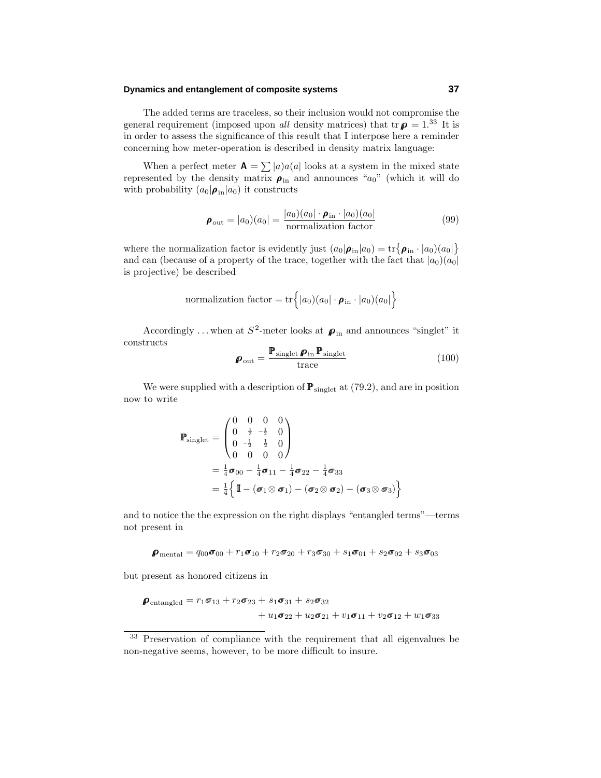### **Dynamics and entanglement of composite systems 37**

The added terms are traceless, so their inclusion would not compromise the general requirement (imposed upon *all* density matrices) that tr  $\rho = 1^{33}$  It is in order to assess the significance of this result that I interpose here a reminder concerning how meter-operation is described in density matrix language:

When a perfect meter  $\mathbf{A} = \sum |a| a |a|$  looks at a system in the mixed state represented by the density matrix  $\rho_{\text{in}}$  and announces " $a_0$ " (which it will do with probability  $(a_0|\boldsymbol{\rho}_{\text{in}}|a_0)$  it constructs

$$
\boldsymbol{\rho}_{\text{out}} = |a_0\rangle(a_0| = \frac{|a_0\rangle(a_0| \cdot \boldsymbol{\rho}_{\text{in}} \cdot |a_0\rangle(a_0|)}{\text{normalization factor}}
$$
\n(99)

where the normalization factor is evidently just  $(a_0|\boldsymbol{\rho}_{\text{in}}|a_0) = \text{tr}\{\boldsymbol{\rho}_{\text{in}} \cdot |a_0)(a_0|\}$ and can (because of a property of the trace, together with the fact that  $|a_0\rangle(a_0|)$ is projective) be described

normalization factor = 
$$
tr\Big\{ |a_0)(a_0| \cdot \boldsymbol{\rho}_{\text{in}} \cdot |a_0)(a_0| \Big\}
$$

Accordingly ... when at  $S^2$ -meter looks at  $\rho_{\text{in}}$  and announces "singlet" it constructs

$$
\boldsymbol{\rho}_{\text{out}} = \frac{\mathbf{P}_{\text{singlet}} \boldsymbol{\rho}_{\text{in}} \mathbf{P}_{\text{singlet}}}{\text{trace}} \tag{100}
$$

We were supplied with a description of  $\mathbb{P}_{\text{singlet}}$  at (79.2), and are in position now to write

$$
\mathbb{P}_{\text{singlet}} = \begin{pmatrix} 0 & 0 & 0 & 0 \\ 0 & \frac{1}{2} & -\frac{1}{2} & 0 \\ 0 & -\frac{1}{2} & \frac{1}{2} & 0 \\ 0 & 0 & 0 & 0 \end{pmatrix}
$$
  
=  $\frac{1}{4}\boldsymbol{\sigma}_{00} - \frac{1}{4}\boldsymbol{\sigma}_{11} - \frac{1}{4}\boldsymbol{\sigma}_{22} - \frac{1}{4}\boldsymbol{\sigma}_{33}$   
=  $\frac{1}{4}\left\{ \mathbb{I} - (\boldsymbol{\sigma}_{1} \otimes \boldsymbol{\sigma}_{1}) - (\boldsymbol{\sigma}_{2} \otimes \boldsymbol{\sigma}_{2}) - (\boldsymbol{\sigma}_{3} \otimes \boldsymbol{\sigma}_{3}) \right\}$ 

and to notice the the expression on the right displays "entangled terms"—terms not present in

$$
\boldsymbol{\rho}_{\text{mental}} = q_{00}\boldsymbol{\sigma}_{00} + r_1\boldsymbol{\sigma}_{10} + r_2\boldsymbol{\sigma}_{20} + r_3\boldsymbol{\sigma}_{30} + s_1\boldsymbol{\sigma}_{01} + s_2\boldsymbol{\sigma}_{02} + s_3\boldsymbol{\sigma}_{03}
$$

but present as honored citizens in

$$
\mathbf{\rho}_{\text{entangled}} = r_1 \mathbf{\sigma}_{13} + r_2 \mathbf{\sigma}_{23} + s_1 \mathbf{\sigma}_{31} + s_2 \mathbf{\sigma}_{32} \n+ u_1 \mathbf{\sigma}_{22} + u_2 \mathbf{\sigma}_{21} + v_1 \mathbf{\sigma}_{11} + v_2 \mathbf{\sigma}_{12} + w_1 \mathbf{\sigma}_{33}
$$

<sup>33</sup> Preservation of compliance with the requirement that all eigenvalues be non-negative seems, however, to be more difficult to insure.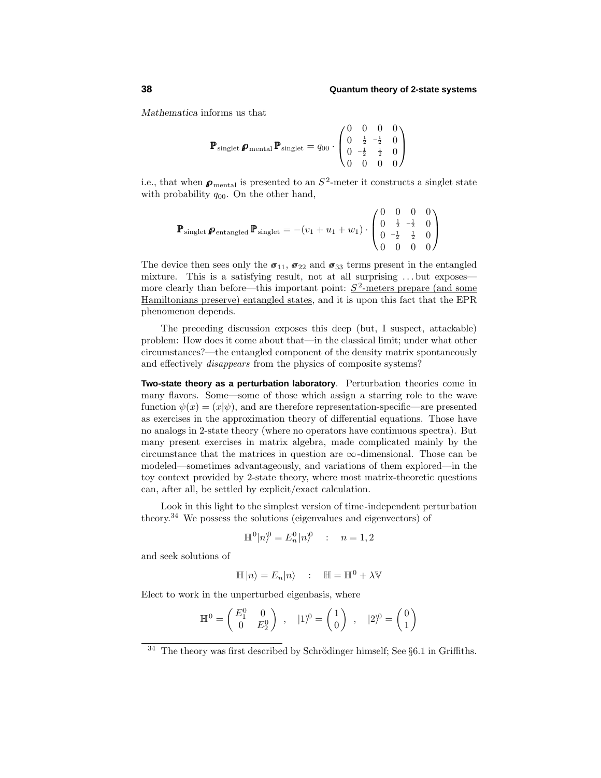*Mathematica* informs us that

$$
\mathbf{P}_{\text{singlet}} \,\boldsymbol{\rho}_{\text{mental}}\,\mathbf{P}_{\text{singlet}} = q_{00} \cdot \begin{pmatrix} 0 & 0 & 0 & 0 \\ 0 & \frac{1}{2} & -\frac{1}{2} & 0 \\ 0 & -\frac{1}{2} & \frac{1}{2} & 0 \\ 0 & 0 & 0 & 0 \end{pmatrix}
$$

i.e., that when  $\boldsymbol{p}_{\text{mental}}$  is presented to an  $S^2$ -meter it constructs a singlet state with probability  $q_{00}$ . On the other hand,

$$
\mathbf{P}_{\text{singlet}} \mathbf{p}_{\text{entangled}} \mathbf{P}_{\text{singlet}} = -(v_1 + u_1 + w_1) \cdot \begin{pmatrix} 0 & 0 & 0 & 0 \\ 0 & \frac{1}{2} & -\frac{1}{2} & 0 \\ 0 & -\frac{1}{2} & \frac{1}{2} & 0 \\ 0 & 0 & 0 & 0 \end{pmatrix}
$$

The device then sees only the  $\sigma_{11}$ ,  $\sigma_{22}$  and  $\sigma_{33}$  terms present in the entangled mixture. This is a satisfying result, not at all surprising ...but exposesmore clearly than before—this important point:  $S<sup>2</sup>$ -meters prepare (and some Hamiltonians preserve) entangled states, and it is upon this fact that the EPR phenomenon depends.

The preceding discussion exposes this deep (but, I suspect, attackable) problem: How does it come about that—in the classical limit; under what other circumstances?—the entangled component of the density matrix spontaneously and effectively disappears from the physics of composite systems?

**Two-state theory as a perturbation laboratory**. Perturbation theories come in many flavors. Some—some of those which assign a starring role to the wave function  $\psi(x) = (x|\psi)$ , and are therefore representation-specific—are presented as exercises in the approximation theory of differential equations. Those have no analogs in 2-state theory (where no operators have continuous spectra). But many present exercises in matrix algebra, made complicated mainly by the circumstance that the matrices in question are  $\infty$ -dimensional. Those can be modeled—sometimes advantageously, and variations of them explored—in the toy context provided by 2-state theory, where most matrix-theoretic questions can, after all, be settled by explicit/exact calculation.

Look in this light to the simplest version of time-independent perturbation theory.<sup>34</sup> We possess the solutions (eigenvalues and eigenvectors) of

$$
\mathbb{H}^0 |n\rangle^0 = E_n^0 |n\rangle^0 \quad : \quad n = 1, 2
$$

and seek solutions of

$$
\mathbb{H} |n\rangle = E_n |n\rangle \quad : \quad \mathbb{H} = \mathbb{H}^0 + \lambda \mathbb{V}
$$

Elect to work in the unperturbed eigenbasis, where

$$
\mathbb{H}^0 = \begin{pmatrix} E_1^0 & 0 \\ 0 & E_2^0 \end{pmatrix} , \quad |1\rangle^0 = \begin{pmatrix} 1 \\ 0 \end{pmatrix} , \quad |2\rangle^0 = \begin{pmatrix} 0 \\ 1 \end{pmatrix}
$$

 $34$  The theory was first described by Schrödinger himself; See  $\S6.1$  in Griffiths.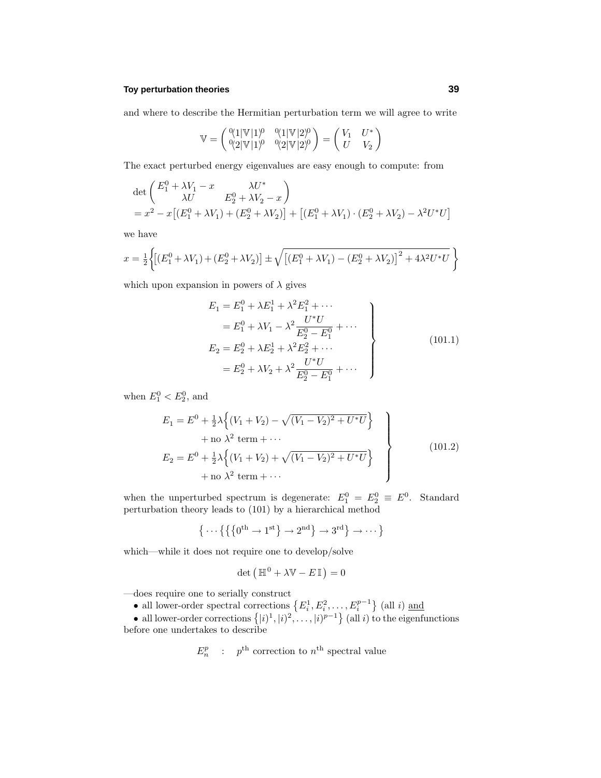### **Toy perturbation theories 39**

and where to describe the Hermitian perturbation term we will agree to write

$$
\mathbb{V} = \begin{pmatrix} \binom{0}{1} |\mathbb{V}| 1 \end{pmatrix} \quad \begin{array}{c} \binom{0}{1} |\mathbb{V}| 2 \end{array} \quad \begin{array}{c} \binom{0}{1} |\mathbb{V}| 2 \end{array} \quad \begin{array}{c} \binom{0}{2} \end{array} = \begin{pmatrix} V_1 & U^* \\ U & V_2 \end{pmatrix}
$$

The exact perturbed energy eigenvalues are easy enough to compute: from

$$
\det\begin{pmatrix} E_1^0 + \lambda V_1 - x & \lambda U^* \\ \lambda U & E_2^0 + \lambda V_2 - x \end{pmatrix}
$$
  
=  $x^2 - x \big[ (E_1^0 + \lambda V_1) + (E_2^0 + \lambda V_2) \big] + \big[ (E_1^0 + \lambda V_1) \cdot (E_2^0 + \lambda V_2) - \lambda^2 U^* U \big]$ 

we have

$$
x = \frac{1}{2} \Biggl\{ \Bigl[ \bigl( E_1^0 + \lambda V_1 \bigr) + \bigl( E_2^0 + \lambda V_2 \bigr) \Bigr] \pm \sqrt{\Bigl[ \bigl( E_1^0 + \lambda V_1 \bigr) - \bigl( E_2^0 + \lambda V_2 \bigr) \Bigr]^2 + 4\lambda^2 U^* U} \Biggr\}
$$

which upon expansion in powers of  $\lambda$  gives

$$
E_1 = E_1^0 + \lambda E_1^1 + \lambda^2 E_1^2 + \cdots
$$
  
\n
$$
= E_1^0 + \lambda V_1 - \lambda^2 \frac{U^* U}{E_2^0 - E_1^0} + \cdots
$$
  
\n
$$
E_2 = E_2^0 + \lambda E_2^1 + \lambda^2 E_2^2 + \cdots
$$
  
\n
$$
= E_2^0 + \lambda V_2 + \lambda^2 \frac{U^* U}{E_2^0 - E_1^0} + \cdots
$$
\n(101.1)

when  $E_1^0 < E_2^0$ , and

$$
E_1 = E^0 + \frac{1}{2}\lambda \left\{ (V_1 + V_2) - \sqrt{(V_1 - V_2)^2 + U^*U} \right\} + \text{no } \lambda^2 \text{ term } + \cdots E_2 = E^0 + \frac{1}{2}\lambda \left\{ (V_1 + V_2) + \sqrt{(V_1 - V_2)^2 + U^*U} \right\} + \text{no } \lambda^2 \text{ term } + \cdots
$$
 (101.2)

when the unperturbed spectrum is degenerate:  $E_1^0 = E_2^0 \equiv E^0$ . Standard perturbation theory leads to (101) by a hierarchical method

$$
\{ \cdots \{ \{ \{ 0^{th} \rightarrow 1^{st} \} \rightarrow 2^{nd} \} \rightarrow 3^{rd} \} \rightarrow \cdots \}
$$

which—while it does not require one to develop/solve

$$
\det\left(\mathbb{H}^0 + \lambda \mathbb{V} - E\mathbb{I}\right) = 0
$$

—does require one to serially construct

• all lower-order spectral corrections  $\{E_i^1, E_i^2, \ldots, E_i^{p-1}\}$  (all *i*) and

• all lower-order corrections  $\{|i\rangle^1, |i\rangle^2, \ldots, |i\rangle^{p-1}\}$  (all *i*) to the eigenfunctions before one undertakes to describe

$$
E_n^p : p^{\text{th}} \text{ correction to } n^{\text{th}} \text{ spectral value}
$$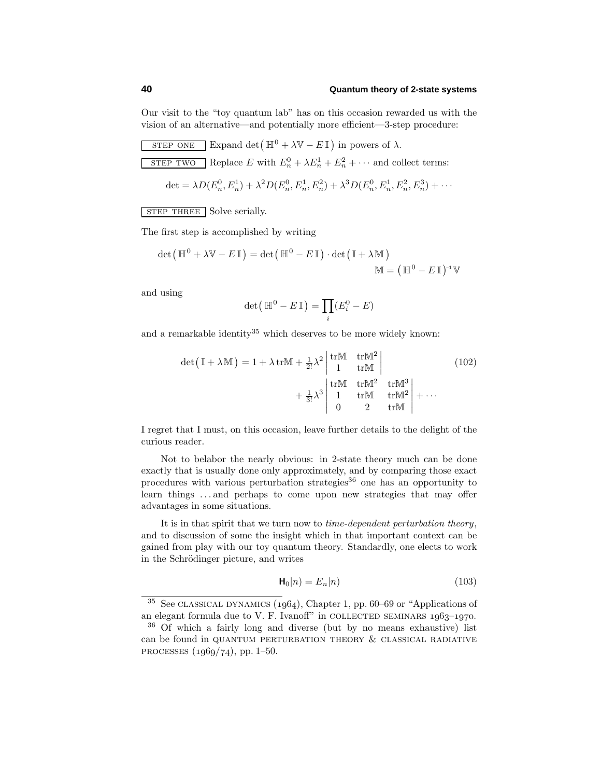Our visit to the "toy quantum lab" has on this occasion rewarded us with the vision of an alternative—and potentially more efficient—3-step procedure:

**STEP ONE**

\nExpand 
$$
\det (\mathbb{H}^0 + \lambda \mathbb{V} - E \mathbb{I})
$$
 in powers of  $\lambda$ .

\n**STEP TWO**

\nReplace  $E$  with  $E_n^0 + \lambda E_n^1 + E_n^2 + \cdots$  and collect terms:

\n $\det = \lambda D(E_n^0, E_n^1) + \lambda^2 D(E_n^0, E_n^1, E_n^2) + \lambda^3 D(E_n^0, E_n^1, E_n^2, E_n^3) + \cdots$ 

STEP THREE Solve serially.

The first step is accomplished by writing

$$
\det(\mathbb{H}^0 + \lambda \mathbb{V} - E \mathbb{I}) = \det(\mathbb{H}^0 - E \mathbb{I}) \cdot \det(\mathbb{I} + \lambda \mathbb{M})
$$

$$
\mathbb{M} = (\mathbb{H}^0 - E \mathbb{I})^{-1} \mathbb{V}
$$

and using

$$
\det\left(\mathbb{H}^0 - E\mathbb{I}\right) = \prod_i (E_i^0 - E)
$$

and a remarkable identity<sup>35</sup> which deserves to be more widely known:

$$
\det\left(\mathbb{I} + \lambda \mathbb{M}\right) = 1 + \lambda \operatorname{tr}\mathbb{M} + \frac{1}{2!} \lambda^2 \begin{vmatrix} \operatorname{tr}\mathbb{M} & \operatorname{tr}\mathbb{M}^2\\ 1 & \operatorname{tr}\mathbb{M} \\ \operatorname{tr}\mathbb{M} & \operatorname{tr}\mathbb{M}^3\\ +\frac{1}{3!} \lambda^3 \begin{vmatrix} \operatorname{tr}\mathbb{M} & \operatorname{tr}\mathbb{M}^2\\ 1 & \operatorname{tr}\mathbb{M} & \operatorname{tr}\mathbb{M}^3\\ 0 & 2 & \operatorname{tr}\mathbb{M} \end{vmatrix} + \cdots
$$
 (102)

I regret that I must, on this occasion, leave further details to the delight of the curious reader.

Not to belabor the nearly obvious: in 2-state theory much can be done exactly that is usually done only approximately, and by comparing those exact procedures with various perturbation strategies<sup>36</sup> one has an opportunity to learn things *...* and perhaps to come upon new strategies that may offer advantages in some situations.

It is in that spirit that we turn now to time-dependent perturbation theory, and to discussion of some the insight which in that important context can be gained from play with our toy quantum theory. Standardly, one elects to work in the Schrödinger picture, and writes

$$
\mathbf{H}_0|n) = E_n|n\rangle\tag{103}
$$

 $35$  See CLASSICAL DYNAMICS (1964), Chapter 1, pp. 60–69 or "Applications of an elegant formula due to V. F. Ivanoff" in COLLECTED SEMINARS  $1963-1970$ .

<sup>36</sup> Of which a fairly long and diverse (but by no means exhaustive) list can be found in quantum perturbation theory & classical radiative PROCESSES  $(1969/74)$ , pp. 1–50.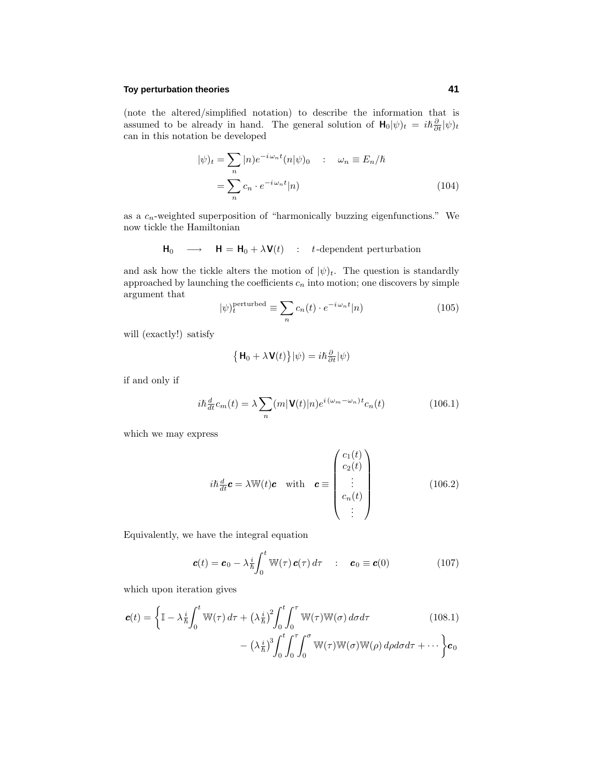### **Toy perturbation theories 41**

(note the altered/simplified notation) to describe the information that is assumed to be already in hand. The general solution of  $H_0|\psi\rangle_t = i\hbar \frac{\partial}{\partial t}|\psi\rangle_t$ can in this notation be developed

$$
|\psi\rangle_t = \sum_n |n\rangle e^{-i\omega_n t} (n|\psi\rangle_0 \quad : \quad \omega_n \equiv E_n/\hbar
$$

$$
= \sum_n c_n \cdot e^{-i\omega_n t} |n\rangle \tag{104}
$$

as a  $c_n$ -weighted superposition of "harmonically buzzing eigenfunctions." We now tickle the Hamiltonian

$$
\mathbf{H}_0 \quad \longrightarrow \quad \mathbf{H} = \mathbf{H}_0 + \lambda \mathbf{V}(t) \quad : \quad t\text{-dependent perturbation}
$$

and ask how the tickle alters the motion of  $|\psi\rangle_t$ . The question is standardly approached by launching the coefficients  $c_n$  into motion; one discovers by simple argument that

$$
|\psi\rangle_t^{\text{perturbed}} \equiv \sum_n c_n(t) \cdot e^{-i\omega_n t} |n\rangle \tag{105}
$$

will (exactly!) satisfy

$$
\left\{ \mathbf{H}_0 + \lambda \mathbf{V}(t) \right\} |\psi\rangle = i\hbar \frac{\partial}{\partial t} |\psi\rangle
$$

if and only if

$$
i\hbar \frac{d}{dt}c_m(t) = \lambda \sum_n (m|\mathbf{V}(t)|n)e^{i(\omega_m - \omega_n)t}c_n(t)
$$
\n(106.1)

which we may express

$$
i\hbar \frac{d}{dt} \mathbf{c} = \lambda \mathbb{W}(t) \mathbf{c} \quad \text{with} \quad \mathbf{c} \equiv \begin{pmatrix} c_1(t) \\ c_2(t) \\ \vdots \\ c_n(t) \\ \vdots \end{pmatrix}
$$
 (106.2)

Equivalently, we have the integral equation

$$
\mathbf{c}(t) = \mathbf{c}_0 - \lambda \frac{i}{\hbar} \int_0^t \mathbb{W}(\tau) \, \mathbf{c}(\tau) \, d\tau \qquad : \quad \mathbf{c}_0 \equiv \mathbf{c}(0) \tag{107}
$$

which upon iteration gives

$$
\mathbf{c}(t) = \left\{ \mathbb{I} - \lambda \frac{i}{\hbar} \int_0^t \mathbb{W}(\tau) d\tau + \left( \lambda \frac{i}{\hbar} \right)^2 \int_0^t \int_0^{\tau} \mathbb{W}(\tau) \mathbb{W}(\sigma) d\sigma d\tau \right. \left. (108.1) \right.- \left( \lambda \frac{i}{\hbar} \right)^3 \int_0^t \int_0^{\tau} \int_0^{\sigma} \mathbb{W}(\tau) \mathbb{W}(\sigma) \mathbb{W}(\rho) d\rho d\sigma d\tau + \cdots \right\} \mathbf{c}_0
$$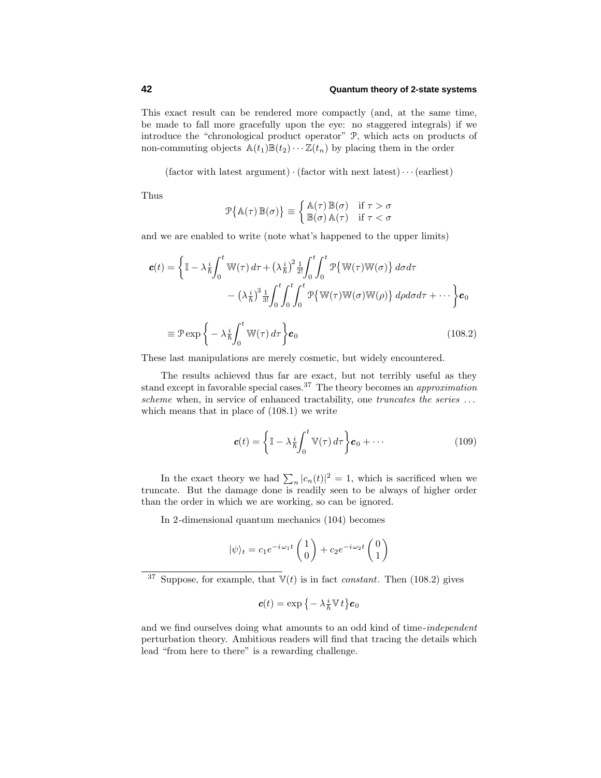### **42 Quantum theory of 2-state systems**

This exact result can be rendered more compactly (and, at the same time, be made to fall more gracefully upon the eye: no staggered integrals) if we introduce the "chronological product operator" P, which acts on products of non-commuting objects  $\mathbb{A}(t_1)\mathbb{B}(t_2)\cdots\mathbb{Z}(t_n)$  by placing them in the order

 $(factor with latest argument) \cdot (factor with next latest) \cdots (earliest)$ 

Thus

$$
\mathcal{P}\{\mathbb{A}(\tau)\,\mathbb{B}(\sigma)\} \equiv \begin{cases} \mathbb{A}(\tau)\,\mathbb{B}(\sigma) & \text{if } \tau > \sigma \\ \mathbb{B}(\sigma)\,\mathbb{A}(\tau) & \text{if } \tau < \sigma \end{cases}
$$

and we are enabled to write (note what's happened to the upper limits)

$$
\mathbf{c}(t) = \left\{ \mathbb{I} - \lambda \frac{i}{\hbar} \int_0^t \mathbb{W}(\tau) d\tau + \left( \lambda \frac{i}{\hbar} \right)^2 \frac{1}{2!} \int_0^t \int_0^t \mathcal{P} \{ \mathbb{W}(\tau) \mathbb{W}(\sigma) \} d\sigma d\tau - \left( \lambda \frac{i}{\hbar} \right)^3 \frac{1}{3!} \int_0^t \int_0^t \int_0^t \mathcal{P} \{ \mathbb{W}(\tau) \mathbb{W}(\sigma) \mathbb{W}(\rho) \} d\rho d\sigma d\tau + \cdots \right\} \mathbf{c}_0
$$
  
\n
$$
\equiv \mathcal{P} \exp \left\{ -\lambda \frac{i}{\hbar} \int_0^t \mathbb{W}(\tau) d\tau \right\} \mathbf{c}_0
$$
(108.2)

These last manipulations are merely cosmetic, but widely encountered.

The results achieved thus far are exact, but not terribly useful as they stand except in favorable special cases.<sup>37</sup> The theory becomes an *approximation* scheme when, in service of enhanced tractability, one truncates the series *...* which means that in place of (108.1) we write

$$
\mathbf{c}(t) = \left\{ \mathbb{I} - \lambda \frac{i}{\hbar} \int_0^t \mathbb{V}(\tau) d\tau \right\} \mathbf{c}_0 + \cdots \tag{109}
$$

In the exact theory we had  $\sum_{n} |c_n(t)|^2 = 1$ , which is sacrificed when we truncate. But the damage done is readily seen to be always of higher order than the order in which we are working, so can be ignored.

In 2-dimensional quantum mechanics (104) becomes

$$
|\psi\rangle_t = c_1 e^{-i\omega_1 t} \begin{pmatrix} 1 \\ 0 \end{pmatrix} + c_2 e^{-i\omega_2 t} \begin{pmatrix} 0 \\ 1 \end{pmatrix}
$$

$$
\boldsymbol{c}(t) = \exp\left\{-\lambda \frac{i}{\hbar} \mathbb{V} t\right\} \boldsymbol{c}_0
$$

and we find ourselves doing what amounts to an odd kind of time-independent perturbation theory. Ambitious readers will find that tracing the details which lead "from here to there" is a rewarding challenge.

<sup>&</sup>lt;sup>37</sup> Suppose, for example, that  $V(t)$  is in fact *constant*. Then (108.2) gives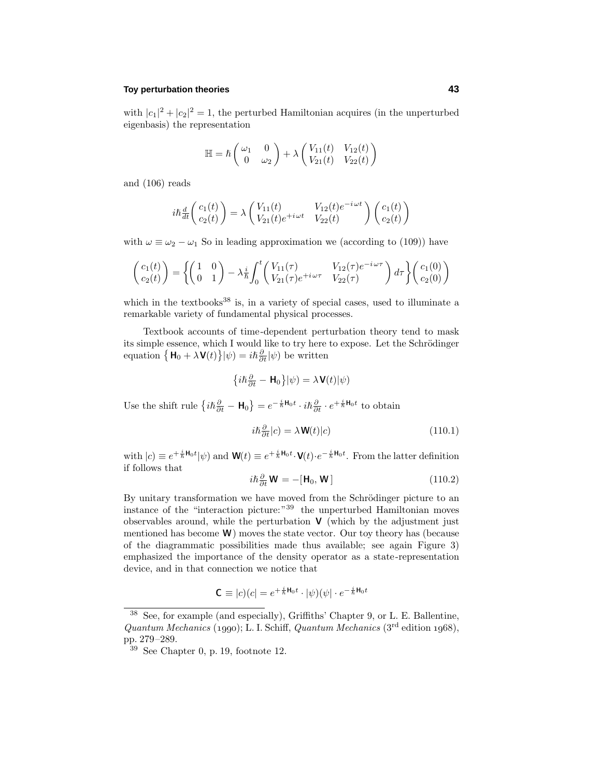### **Toy perturbation theories 43**

with  $|c_1|^2 + |c_2|^2 = 1$ , the perturbed Hamiltonian acquires (in the unperturbed eigenbasis) the representation

$$
\mathbb{H} = \hbar \begin{pmatrix} \omega_1 & 0 \\ 0 & \omega_2 \end{pmatrix} + \lambda \begin{pmatrix} V_{11}(t) & V_{12}(t) \\ V_{21}(t) & V_{22}(t) \end{pmatrix}
$$

and (106) reads

$$
i\hbar \frac{d}{dt} \begin{pmatrix} c_1(t) \\ c_2(t) \end{pmatrix} = \lambda \begin{pmatrix} V_{11}(t) & V_{12}(t)e^{-i\omega t} \\ V_{21}(t)e^{+i\omega t} & V_{22}(t) \end{pmatrix} \begin{pmatrix} c_1(t) \\ c_2(t) \end{pmatrix}
$$

with  $\omega \equiv \omega_2 - \omega_1$  So in leading approximation we (according to (109)) have

$$
\begin{pmatrix} c_1(t) \\ c_2(t) \end{pmatrix} = \left\{ \begin{pmatrix} 1 & 0 \\ 0 & 1 \end{pmatrix} - \lambda \frac{i}{\hbar} \int_0^t \begin{pmatrix} V_{11}(\tau) & V_{12}(\tau) e^{-i\omega \tau} \\ V_{21}(\tau) e^{+i\omega \tau} & V_{22}(\tau) \end{pmatrix} d\tau \right\} \begin{pmatrix} c_1(0) \\ c_2(0) \end{pmatrix}
$$

which in the textbooks $38$  is, in a variety of special cases, used to illuminate a remarkable variety of fundamental physical processes.

Textbook accounts of time-dependent perturbation theory tend to mask its simple essence, which I would like to try here to expose. Let the Schrödinger equation  $\left\{\mathbf{H}_0 + \lambda \mathbf{V}(t)\right\}|\psi\rangle = i\hbar \frac{\partial}{\partial t}|\psi\rangle$  be written

$$
\left\{i\hbar\frac{\partial}{\partial t}-\mathbf{H}_0\right\}|\psi)=\lambda\mathbf{V}(t)|\psi)
$$

Use the shift rule  $\{i\hbar\frac{\partial}{\partial t} - \mathbf{H}_0\} = e^{-\frac{i}{\hbar}\mathbf{H}_0t} \cdot i\hbar\frac{\partial}{\partial t} \cdot e^{+\frac{i}{\hbar}\mathbf{H}_0t}$  to obtain

$$
i\hbar \frac{\partial}{\partial t}|c\rangle = \lambda \mathbf{W}(t)|c\rangle \tag{110.1}
$$

with  $|c| \equiv e^{+\frac{i}{\hbar}H_0t} |\psi\rangle$  and  $\mathbf{W}(t) \equiv e^{+\frac{i}{\hbar}H_0t} \cdot \mathbf{V}(t) \cdot e^{-\frac{i}{\hbar}H_0t}$ . From the latter definition if follows that

$$
i\hbar \frac{\partial}{\partial t} \mathbf{W} = -[\mathbf{H}_0, \mathbf{W}] \tag{110.2}
$$

By unitary transformation we have moved from the Schrödinger picture to an instance of the "interaction picture:"<sup>39</sup> the unperturbed Hamiltonian moves observables around, while the perturbation  $V$  (which by the adjustment just mentioned has become **W**) moves the state vector. Our toy theory has (because of the diagrammatic possibilities made thus available; see again Figure 3) emphasized the importance of the density operator as a state-representation device, and in that connection we notice that

$$
\mathbf{C} \equiv |c)(c| = e^{+\frac{i}{\hbar} \mathbf{H}_0 t} \cdot |\psi)(\psi| \cdot e^{-\frac{i}{\hbar} \mathbf{H}_0 t}
$$

<sup>38</sup> See, for example (and especially), Griffiths' Chapter 9, or L. E. Ballentine,  $Quantum Mechanics (1990); L. I. Schiff, Quantum Mechanics (3<sup>rd</sup> edition 1968),$ pp. 279–289.

 $39$  See Chapter 0, p. 19, footnote 12.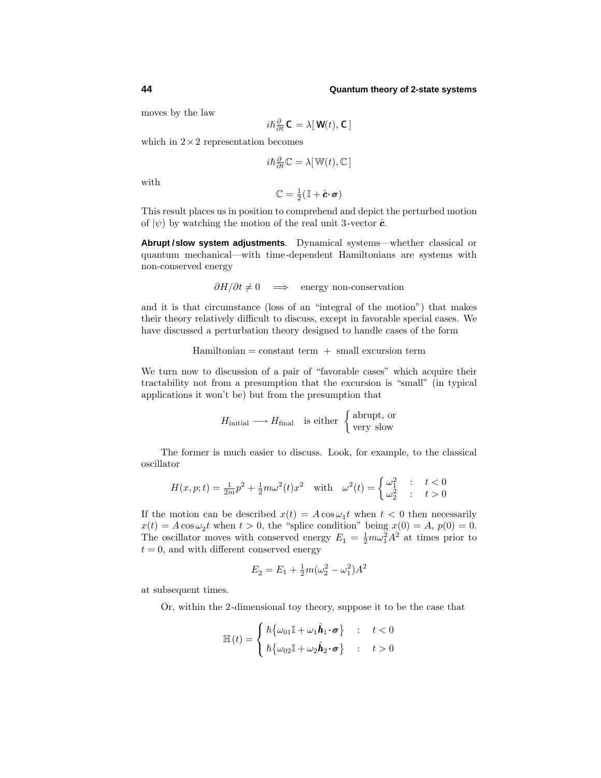moves by the law

$$
i\hbar \tfrac{\partial}{\partial t}\, {\bf C} = \lambda [\,{\bf W}(t),\,{\bf C}\,]
$$

which in  $2 \times 2$  representation becomes

$$
i\hbar \tfrac{\partial}{\partial t}\mathbb{C}=\lambda[\mathbb{W}(t),\mathbb{C}\,]
$$

with

$$
\mathbb{C} = \tfrac{1}{2}(\mathbb{I} + \hat{\pmb{c}} \cdot \pmb{\sigma})
$$

This result places us in position to comprehend and depict the perturbed motion of  $|\psi\rangle$  by watching the motion of the real unit 3-vector  $\hat{c}$ .

**Abrupt /slow system adjustments**. Dynamical systems—whether classical or quantum mechanical—with time-dependent Hamiltonians are systems with non-conserved energy

*∂H/∂t*  $\neq$  0  $\implies$  energy non-conservation

and it is that circumstance (loss of an "integral of the motion") that makes their theory relatively difficult to discuss, except in favorable special cases. We have discussed a perturbation theory designed to handle cases of the form

 $Hamiltonian = constant term + small excursion term$ 

We turn now to discussion of a pair of "favorable cases" which acquire their tractability not from a presumption that the excursion is "small" (in typical applications it won't be) but from the presumption that

$$
H_{\text{initial}} \longrightarrow H_{\text{final}} \quad \text{is either} \begin{cases} \text{abrupt, or} \\ \text{very slow} \end{cases}
$$

The former is much easier to discuss. Look, for example, to the classical oscillator

$$
H(x, p; t) = \frac{1}{2m}p^{2} + \frac{1}{2}m\omega^{2}(t)x^{2} \quad \text{with} \quad \omega^{2}(t) = \begin{cases} \omega_{1}^{2} & \text{: } t < 0\\ \omega_{2}^{2} & \text{: } t > 0 \end{cases}
$$

If the motion can be described  $x(t) = A \cos \omega_1 t$  when  $t < 0$  then necessarily  $x(t) = A \cos \omega_2 t$  when  $t > 0$ , the "splice condition" being  $x(0) = A$ ,  $p(0) = 0$ . The oscillator moves with conserved energy  $E_1 = \frac{1}{2} m \omega_1^2 A^2$  at times prior to  $t = 0$ , and with different conserved energy

$$
E_2 = E_1 + \frac{1}{2}m(\omega_2^2 - \omega_1^2)A^2
$$

at subsequent times.

Or, within the 2-dimensional toy theory, suppose it to be the case that

$$
\mathbb{H}(t) = \begin{cases} \hbar \{\omega_{01} \mathbb{I} + \omega_1 \hat{\boldsymbol{h}}_1 \cdot \boldsymbol{\sigma} \} & : \quad t < 0 \\ \hbar \{\omega_{02} \mathbb{I} + \omega_2 \hat{\boldsymbol{h}}_2 \cdot \boldsymbol{\sigma} \} & : \quad t > 0 \end{cases}
$$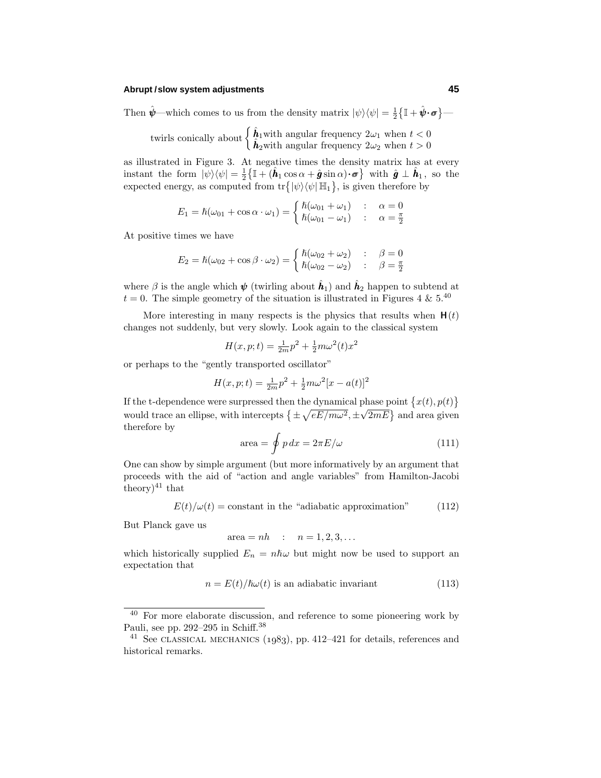### **Abrupt /slow system adjustments 45**

Then  $\hat{\psi}$ —which comes to us from the density matrix  $|\psi\rangle\langle\psi| = \frac{1}{2} \{ \mathbb{I} + \hat{\psi} \cdot \mathcal{\sigma} \}$ —

twirls conically about  $\begin{cases} \hat{\mathbf{h}}_1 \text{with angular frequency } 2\omega_1 \text{ when } t < 0 \\ \hat{\mathbf{h}}_2 \text{with angular frequency } 2\omega_2 \text{ when } t > 0 \end{cases}$ 

as illustrated in Figure 3. At negative times the density matrix has at every  $\lim_{\delta \to 0} \lim_{\delta \to 0} |\psi\rangle\langle\psi| = \frac{1}{2} \left\{ \mathbb{I} + \left( \hat{\boldsymbol{h}}_1 \cos \alpha + \hat{\boldsymbol{g}} \sin \alpha \right) \cdot \boldsymbol{\sigma} \right\}^*$  with  $\hat{\boldsymbol{g}} \perp \hat{\boldsymbol{h}}_1$ , so the expected energy, as computed from  $\text{tr}\left\{ |\psi\rangle\langle\psi| \mathbb{H}_1 \right\}$ , is given therefore by

$$
E_1 = \hbar(\omega_{01} + \cos \alpha \cdot \omega_1) = \begin{cases} \hbar(\omega_{01} + \omega_1) & \colon & \alpha = 0 \\ \hbar(\omega_{01} - \omega_1) & \colon & \alpha = \frac{\pi}{2} \end{cases}
$$

At positive times we have

$$
E_2 = \hbar(\omega_{02} + \cos \beta \cdot \omega_2) = \begin{cases} \hbar(\omega_{02} + \omega_2) & \colon & \beta = 0 \\ \hbar(\omega_{02} - \omega_2) & \colon & \beta = \frac{\pi}{2} \end{cases}
$$

where  $\beta$  is the angle which  $\pmb{\psi}$  (twirling about  $\hat{\boldsymbol{h}}_1$ ) and  $\hat{\boldsymbol{h}}_2$  happen to subtend at  $t = 0$ . The simple geometry of the situation is illustrated in Figures 4 & 5.<sup>40</sup>

More interesting in many respects is the physics that results when  $H(t)$ changes not suddenly, but very slowly. Look again to the classical system

$$
H(x, p; t) = \frac{1}{2m}p^{2} + \frac{1}{2}m\omega^{2}(t)x^{2}
$$

or perhaps to the "gently transported oscillator"

$$
H(x, p; t) = \frac{1}{2m}p^{2} + \frac{1}{2}m\omega^{2}[x - a(t)]^{2}
$$

If the t-dependence were surpressed then the dynamical phase point  $\{x(t), p(t)\}$ would trace an ellipse, with intercepts  $\{\pm\sqrt{eE/m\omega^2}, \pm\sqrt{2mE}\}$  and area given therefore by

$$
area = \oint p \, dx = 2\pi E/\omega \tag{111}
$$

One can show by simple argument (but more informatively by an argument that proceeds with the aid of "action and angle variables" from Hamilton-Jacobi theory) $41$  that

$$
E(t)/\omega(t) = \text{constant in the "adiabatic approximation"} \tag{112}
$$

But Planck gave us

$$
area = nh : n = 1, 2, 3, \dots
$$

which historically supplied  $E_n = n\hbar\omega$  but might now be used to support an expectation that

$$
n = E(t)/\hbar\omega(t)
$$
 is an adiabatic invariant (113)

<sup>40</sup> For more elaborate discussion, and reference to some pioneering work by Pauli, see pp. 292–295 in Schiff.<sup>38</sup>

<sup>&</sup>lt;sup>41</sup> See CLASSICAL MECHANICS  $(1983)$ , pp. 412–421 for details, references and historical remarks.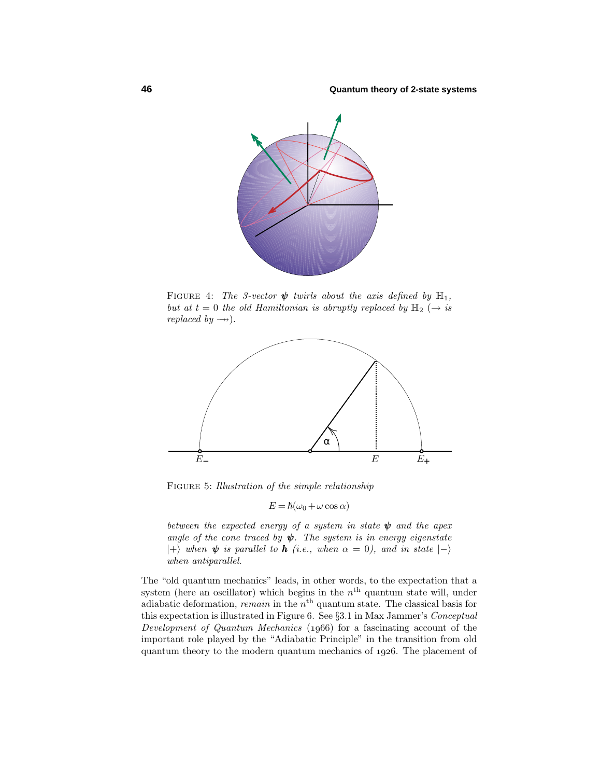

FIGURE 4: The 3-vector  $\psi$  twirls about the axis defined by  $\mathbb{H}_1$ , but at  $t = 0$  the old Hamiltonian is abruptly replaced by  $\mathbb{H}_2 \rightarrow is$ replaced by  $\longrightarrow$ ).



FIGURE 5: Illustration of the simple relationship

 $E = \hbar(\omega_0 + \omega \cos \alpha)$ 

between the expected energy of a system in state  $\psi$  and the apex angle of the cone traced by  $\psi$ . The system is in energy eigenstate  $|+\rangle$  when **ψ** is parallel to **h** (i.e., when  $\alpha = 0$ ), and in state  $|-\rangle$ when antiparallel.

The "old quantum mechanics" leads, in other words, to the expectation that a system (here an oscillator) which begins in the  $n<sup>th</sup>$  quantum state will, under adiabatic deformation,  $remain$  in the  $n<sup>th</sup>$  quantum state. The classical basis for this expectation is illustrated in Figure 6. See §3.1 in Max Jammer's Conceptual Development of Quantum Mechanics  $(1966)$  for a fascinating account of the important role played by the "Adiabatic Principle" in the transition from old quantum theory to the modern quantum mechanics of 1926. The placement of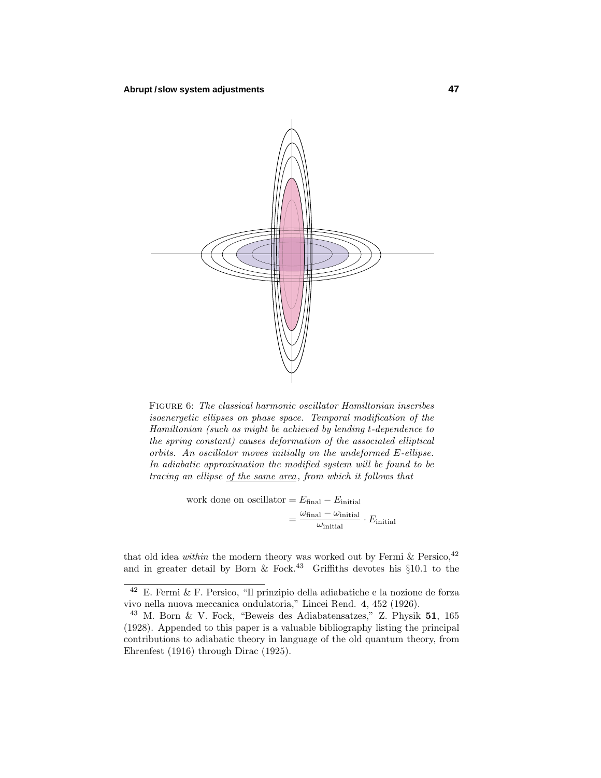

Figure 6: The classical harmonic oscillator Hamiltonian inscribes isoenergetic ellipses on phase space. Temporal modification of the Hamiltonian (such as might be achieved by lending *t*-dependence to the spring constant) causes deformation of the associated elliptical orbits. An oscillator moves initially on the undeformed *E*-ellipse. In adiabatic approximation the modified system will be found to be tracing an ellipse of the same area, from which it follows that

work done on oscillator =  $E_{\rm final} - E_{\rm initial}$  $=\frac{\omega_{\text{final}}-\omega_{\text{initial}}}{\omega_{\text{initial}}}\cdot E_{\text{initial}}$ 

that old idea *within* the modern theory was worked out by Fermi & Persico,<sup>42</sup> and in greater detail by Born  $\&$  Fock.<sup>43</sup> Griffiths devotes his  $\S 10.1$  to the

<sup>42</sup> E. Fermi & F. Persico, "Il prinzipio della adiabatiche e la nozione de forza vivo nella nuova meccanica ondulatoria," Lincei Rend. **4**, 452 (1926).

<sup>43</sup> M. Born & V. Fock, "Beweis des Adiabatensatzes," Z. Physik **51**, 165 (1928). Appended to this paper is a valuable bibliography listing the principal contributions to adiabatic theory in language of the old quantum theory, from Ehrenfest (1916) through Dirac (1925).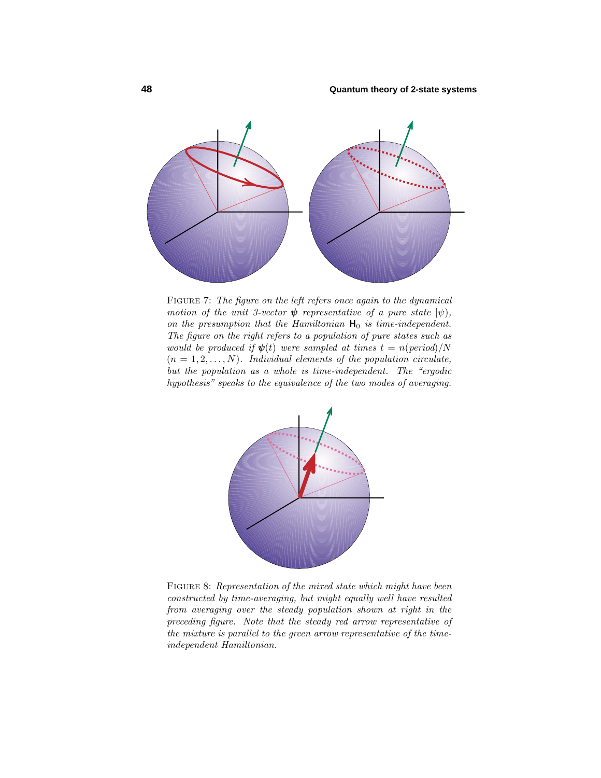

FIGURE 7: The figure on the left refers once again to the dynamical motion of the unit 3-vector  $\psi$  representative of a pure state  $|\psi\rangle$ , on the presumption that the Hamiltonian  $H_0$  is time-independent. The figure on the right refers to a population of pure states such as would be produced if  $\psi(t)$  were sampled at times  $t = n(\text{period})/N$  $(n = 1, 2, \ldots, N)$ . Individual elements of the population circulate, but the population as a whole is time-independent. The "ergodic hypothesis" speaks to the equivalence of the two modes of averaging.



FIGURE 8: Representation of the mixed state which might have been constructed by time-averaging, but might equally well have resulted from averaging over the steady population shown at right in the preceding figure. Note that the steady red arrow representative of the mixture is parallel to the green arrow representative of the timeindependent Hamiltonian.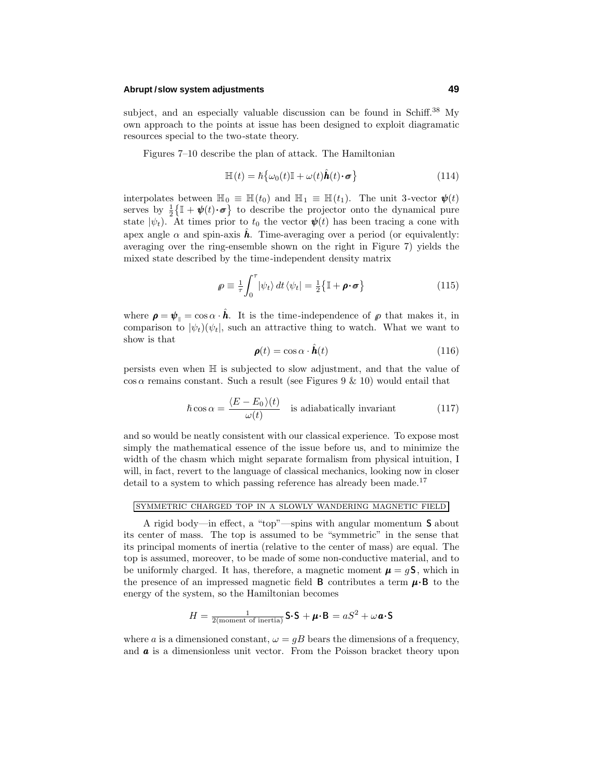### **Abrupt /slow system adjustments 49**

subject, and an especially valuable discussion can be found in Schiff.<sup>38</sup> My own approach to the points at issue has been designed to exploit diagramatic resources special to the two-state theory.

Figures 7–10 describe the plan of attack. The Hamiltonian

$$
\mathbb{H}(t) = \hbar \{\omega_0(t)\mathbb{I} + \omega(t)\hat{\boldsymbol{h}}(t) \cdot \boldsymbol{\sigma}\}
$$
\n(114)

interpolates between  $\mathbb{H}_0 \equiv \mathbb{H}(t_0)$  and  $\mathbb{H}_1 \equiv \mathbb{H}(t_1)$ . The unit 3-vector  $\boldsymbol{\psi}(t)$ serves by  $\frac{1}{2} \left\{ \mathbb{I} + \psi(t) \cdot \sigma \right\}$  to describe the projector onto the dynamical pure state  $|\psi_t|$ . At times prior to  $t_0$  the vector  $\psi(t)$  has been tracing a cone with apex angle  $\alpha$  and spin-axis  $\hat{\boldsymbol{h}}$ . Time-averaging over a period (or equivalently: averaging over the ring-ensemble shown on the right in Figure 7) yields the mixed state described by the time-independent density matrix

$$
\rho \equiv \frac{1}{\tau} \int_0^{\tau} |\psi_t\rangle dt \langle \psi_t| = \frac{1}{2} \{ \mathbb{I} + \rho \cdot \sigma \}
$$
\n(115)

where  $\rho = \psi_{\parallel} = \cos \alpha \cdot \hat{h}$ . It is the time-independence of  $\rho$  that makes it, in comparison to  $|\psi_t\rangle(\psi_t|)$ , such an attractive thing to watch. What we want to show is that

$$
\boldsymbol{\rho}(t) = \cos \alpha \cdot \hat{\boldsymbol{h}}(t) \tag{116}
$$

persists even when H is subjected to slow adjustment, and that the value of  $\cos \alpha$  remains constant. Such a result (see Figures 9 & 10) would entail that

$$
\hbar \cos \alpha = \frac{\langle E - E_0 \rangle(t)}{\omega(t)} \quad \text{is adiabatically invariant} \tag{117}
$$

and so would be neatly consistent with our classical experience. To expose most simply the mathematical essence of the issue before us, and to minimize the width of the chasm which might separate formalism from physical intuition, I will, in fact, revert to the language of classical mechanics, looking now in closer detail to a system to which passing reference has already been made.<sup>17</sup>

## symmetric charged top in a slowly wandering magnetic field

A rigid body—in effect, a "top"—spins with angular momentum **S** about its center of mass. The top is assumed to be "symmetric" in the sense that its principal moments of inertia (relative to the center of mass) are equal. The top is assumed, moreover, to be made of some non-conductive material, and to be uniformly charged. It has, therefore, a magnetic moment  $\mu = qS$ , which in the presence of an impressed magnetic field **B** contributes a term  $\mu \cdot \mathbf{B}$  to the energy of the system, so the Hamiltonian becomes

$$
H = \frac{1}{2(\text{moment of inertia})} \mathbf{S} \cdot \mathbf{S} + \boldsymbol{\mu} \cdot \mathbf{B} = aS^2 + \omega \boldsymbol{a} \cdot \mathbf{S}
$$

where *a* is a dimensioned constant,  $\omega = qB$  bears the dimensions of a frequency, and *a* is a dimensionless unit vector. From the Poisson bracket theory upon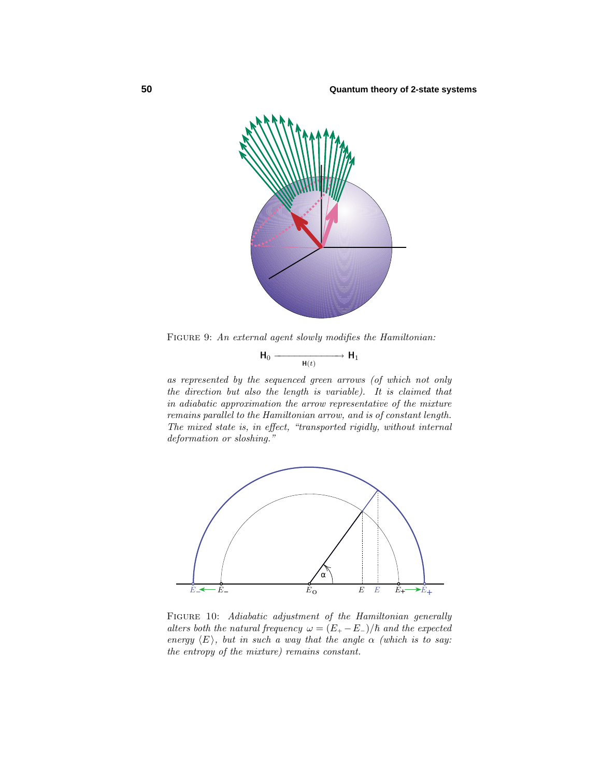

FIGURE 9: An external agent slowly modifies the Hamiltonian:

$$
\mathbf{H}_0 \xrightarrow{\qquad \qquad } \mathbf{H}_{1}
$$

as represented by the sequenced green arrows (of which not only the direction but also the length is variable). It is claimed that in adiabatic approximation the arrow representative of the mixture remains parallel to the Hamiltonian arrow, and is of constant length. The mixed state is, in effect, "transported rigidly, without internal deformation or sloshing."

![](_page_49_Figure_5.jpeg)

FIGURE 10: Adiabatic adjustment of the Hamiltonian generally alters both the natural frequency  $\omega = (E_{+} - E_{-})/\hbar$  and the expected energy  $\langle E \rangle$ , but in such a way that the angle  $\alpha$  (which is to say: the entropy of the mixture) remains constant.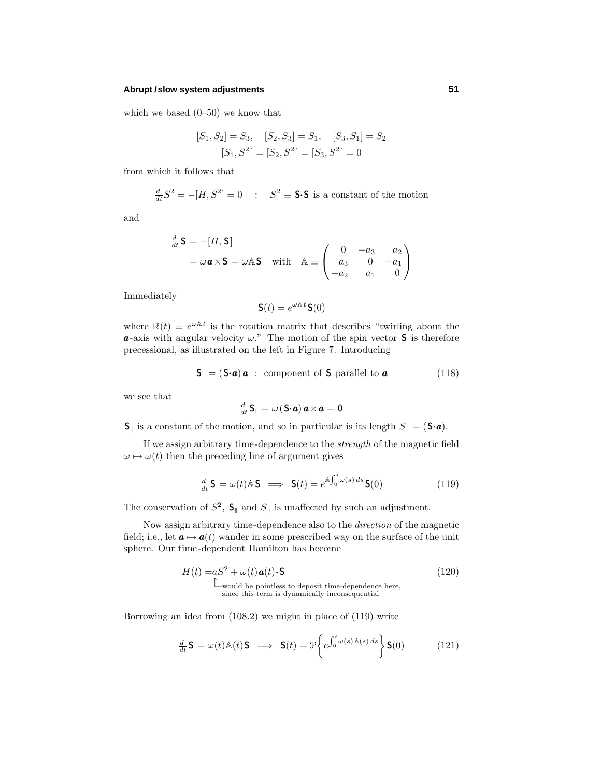### **Abrupt /slow system adjustments 51**

which we based  $(0-50)$  we know that

$$
[S_1, S_2] = S_3, \quad [S_2, S_3] = S_1, \quad [S_3, S_1] = S_2
$$

$$
[S_1, S^2] = [S_2, S^2] = [S_3, S^2] = 0
$$

from which it follows that

$$
\frac{d}{dt}S^2 = -[H, S^2] = 0 \quad : \quad S^2 \equiv \textbf{S} \cdot \textbf{S} \text{ is a constant of the motion}
$$

and

$$
\frac{d}{dt} \mathbf{S} = -[H, \mathbf{S}]
$$
  
=  $\omega \mathbf{a} \times \mathbf{S} = \omega A \mathbf{S}$  with  $A \equiv \begin{pmatrix} 0 & -a_3 & a_2 \\ a_3 & 0 & -a_1 \\ -a_2 & a_1 & 0 \end{pmatrix}$ 

Immediately

$$
\mathbf{S}(t) = e^{\omega \mathbb{A} t} \mathbf{S}(0)
$$

where  $\mathbb{R}(t) \equiv e^{\omega \mathbb{A} t}$  is the rotation matrix that describes "twirling about the *a*-axis with angular velocity  $\omega$ ." The motion of the spin vector **S** is therefore precessional, as illustrated on the left in Figure 7. Introducing

$$
\mathbf{S}_{\parallel} = (\mathbf{S} \cdot \mathbf{a}) \mathbf{a} \; : \; \text{component of } \mathbf{S} \text{ parallel to } \mathbf{a} \tag{118}
$$

we see that

$$
\tfrac{d}{dt} \, {\bf S}_{\parallel} = \omega \, ({\bf S} {\bf \cdot} \textbf{\textit{a}}) \, {\boldsymbol a} \times {\boldsymbol a} = \, {\bf 0}
$$

 $S_{\parallel}$  is a constant of the motion, and so in particular is its length  $S_{\parallel} = (S \cdot \boldsymbol{a})$ .

If we assign arbitrary time-dependence to the strength of the magnetic field  $\omega \mapsto \omega(t)$  then the preceding line of argument gives

$$
\frac{d}{dt}\mathbf{S} = \omega(t)\mathbb{A}\mathbf{S} \implies \mathbf{S}(t) = e^{\mathbb{A}\int_0^t \omega(s) ds} \mathbf{S}(0)
$$
\n(119)

The conservation of  $S^2$ ,  $\mathbf{S}_{\parallel}$  and  $S_{\parallel}$  is unaffected by such an adjustment.

Now assign arbitrary time-dependence also to the direction of the magnetic field; i.e., let  $\mathbf{a} \mapsto \mathbf{a}(t)$  wander in some prescribed way on the surface of the unit sphere. Our time-dependent Hamilton has become

$$
H(t) = aS^{2} + \omega(t)\mathbf{a}(t) \cdot \mathbf{S}
$$
\n
$$
\begin{array}{c}\n\text{120}\n\\
\text{121}\n\\
\text{122}\n\\
\text{123}\n\\
\text{124}\n\\
\text{125}\n\\
\text{126}\n\\
\text{128}\n\\
\text{129}\n\\
\text{120}\n\\
\text{121}\n\\
\text{122}\n\\
\text{123}\n\\
\text{124}\n\\
\text{126}\n\\
\text{128}\n\\
\text{129}\n\\
\text{120}\n\\
\text{121}\n\\
\text{122}\n\\
\text{123}\n\\
\text{124}\n\\
\text{126}\n\\
\text{128}\n\\
\text{129}\n\\
\text{120}\n\\
\text{120}\n\\
\text{121}\n\\
\text{122}\n\\
\text{123}\n\\
\text{124}\n\\
\text{126}\n\\
\text{128}\n\\
\text{129}\n\\
\text{120}\n\\
\text{120}\n\\
\text{121}\n\\
\text{121}\n\\
\text{122}\n\\
\text{123}\n\\
\text{124}\n\\
\text{126}\n\\
\text{128}\n\\
\text{129}\n\\
\text{129}\n\\
\text{120}\n\\
\text{120}\n\\
\text{121}\n\\
\text{121}\n\\
\text{122}\n\\
\text{123}\n\\
\text{124}\n\\
\text{126}\n\\
\text{128}\n\\
\text{129}\n\\
\text{120}\n\\
\text{120}\n\\
\text{121}\n\\
\text{121}\n\\
\text{122}\n\\
\text{123}\n\\
\text{123}\n\\
\text{124}\n\\
\text{126}\n\\
\text{126}\n\\
\text{128}\n\\
\text{129}\n\\
\text{129}\n\\
\text{120}\n\\
\text{120}\n\\
\text{120}\n\\
\text{1
$$

Borrowing an idea from (108.2) we might in place of (119) write

$$
\frac{d}{dt}\mathbf{S} = \omega(t)\mathbb{A}(t)\mathbf{S} \implies \mathbf{S}(t) = \mathcal{P}\left\{e^{\int_0^t \omega(s)\mathbb{A}(s)ds}\right\}\mathbf{S}(0) \tag{121}
$$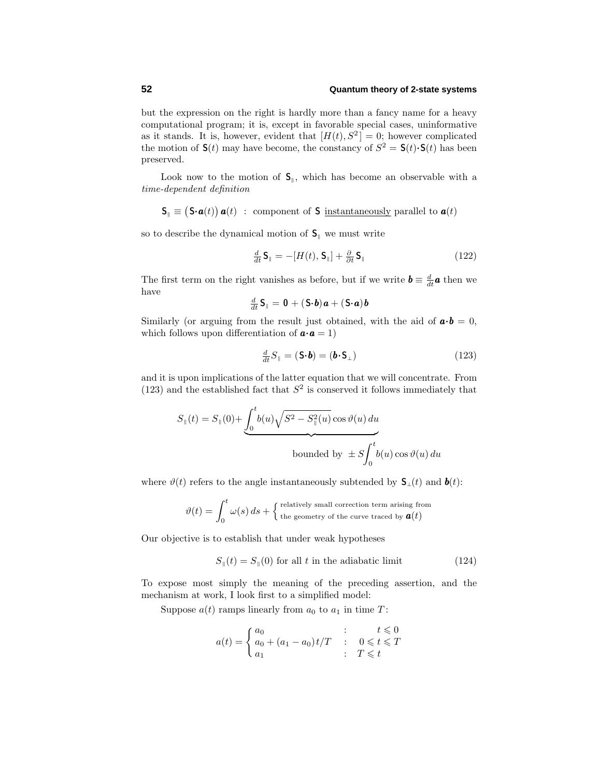but the expression on the right is hardly more than a fancy name for a heavy computational program; it is, except in favorable special cases, uninformative as it stands. It is, however, evident that  $[H(t), S^2] = 0$ ; however complicated the motion of  $S(t)$  may have become, the constancy of  $S^2 = S(t) \cdot S(t)$  has been preserved.

Look now to the motion of  $S_{\parallel}$ , which has become an observable with a time-dependent definition

$$
\mathbf{S}_{\parallel} \equiv (\mathbf{S} \cdot \mathbf{a}(t)) \, \mathbf{a}(t) \; : \; \text{component of } \mathbf{S} \; \underline{\text{instantaneously parallel to } \mathbf{a}(t)}
$$

so to describe the dynamical motion of  $S_{\parallel}$  we must write

$$
\frac{d}{dt}\mathbf{S}_{\parallel} = -[H(t), \mathbf{S}_{\parallel}] + \frac{\partial}{\partial t}\mathbf{S}_{\parallel}
$$
\n(122)

The first term on the right vanishes as before, but if we write  $\mathbf{b} \equiv \frac{d}{dt} \mathbf{a}$  then we have

$$
\frac{d}{dt}\mathsf{S}_{\parallel}=\mathbf{0}+(\mathsf{S}\boldsymbol{\cdot}\boldsymbol{b})\boldsymbol{a}+(\mathsf{S}\boldsymbol{\cdot}\boldsymbol{a})\boldsymbol{b}
$$

Similarly (or arguing from the result just obtained, with the aid of  $\mathbf{a} \cdot \mathbf{b} = 0$ , which follows upon differentiation of  $\mathbf{a} \cdot \mathbf{a} = 1$ )

$$
\frac{d}{dt}S_{\parallel} = (\mathbf{S} \cdot \mathbf{b}) = (\mathbf{b} \cdot \mathbf{S}_{\perp})
$$
\n(123)

and it is upon implications of the latter equation that we will concentrate. From (123) and the established fact that  $S^2$  is conserved it follows immediately that

$$
S_{\parallel}(t) = S_{\parallel}(0) + \underbrace{\int_0^t b(u)\sqrt{S^2 - S_{\parallel}^2(u)}\cos\vartheta(u) du}_{\text{bounded by } \pm S \int_0^t b(u)\cos\vartheta(u) du}
$$

where  $\vartheta(t)$  refers to the angle instantaneously subtended by  $\mathbf{S}_{\perp}(t)$  and  $\boldsymbol{b}(t)$ :

$$
\vartheta(t) = \int_0^t \omega(s) \, ds + \left\{ \begin{array}{l} \text{relatively small correction term arising from} \\ \text{the geometry of the curve traced by } \bm{a}(t) \end{array} \right.
$$

Our objective is to establish that under weak hypotheses

$$
S_{\parallel}(t) = S_{\parallel}(0) \text{ for all } t \text{ in the adiabatic limit}
$$
 (124)

To expose most simply the meaning of the preceding assertion, and the mechanism at work, I look first to a simplified model:

Suppose  $a(t)$  ramps linearly from  $a_0$  to  $a_1$  in time  $T$ :

$$
a(t) = \begin{cases} a_0 & \text{: } t \leq 0 \\ a_0 + (a_1 - a_0)t/T & \text{: } 0 \leq t \leq T \\ a_1 & \text{: } T \leq t \end{cases}
$$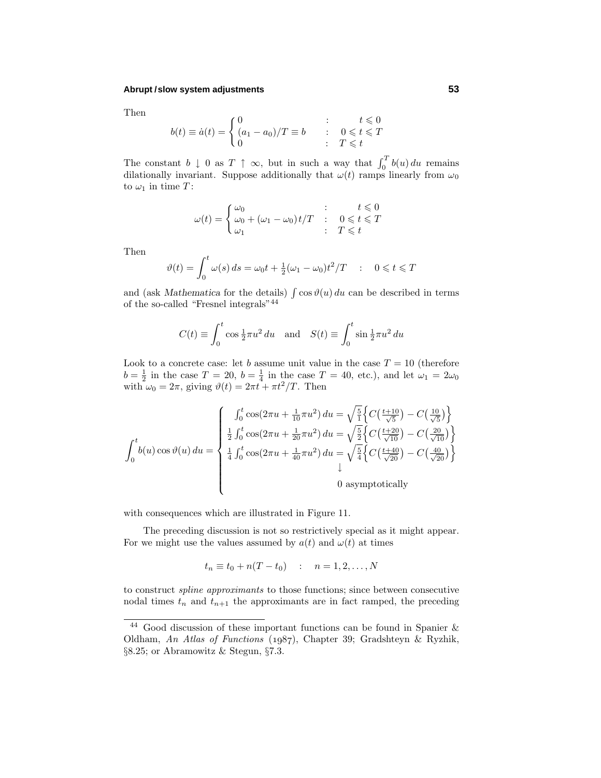### **Abrupt /slow system adjustments 53**

Then

$$
b(t) \equiv \dot{a}(t) = \begin{cases} 0 & \text{if } t \leq 0 \\ (a_1 - a_0)/T \equiv b & \text{if } 0 \leq t \leq T \\ 0 & \text{if } T \leq t \end{cases}
$$

The constant  $b \downarrow 0$  as  $T \uparrow \infty$ , but in such a way that  $\int_0^T b(u) du$  remains dilationally invariant. Suppose additionally that  $\omega(t)$  ramps linearly from  $\omega_0$ to  $\omega_1$  in time *T*:

$$
\omega(t) = \begin{cases} \omega_0 & \text{if } t \leq 0\\ \omega_0 + (\omega_1 - \omega_0)t/T & \text{if } 0 \leq t \leq T\\ \omega_1 & \text{if } T \leq t \end{cases}
$$

Then

$$
\vartheta(t) = \int_0^t \omega(s) ds = \omega_0 t + \frac{1}{2} (\omega_1 - \omega_0) t^2 / T \quad : \quad 0 \leq t \leq T
$$

and (ask *Mathematica* for the details)  $\int \cos \theta(u) du$  can be described in terms of the so-called "Fresnel integrals"<sup>44</sup>

$$
C(t) \equiv \int_0^t \cos \frac{1}{2}\pi u^2 du \quad \text{and} \quad S(t) \equiv \int_0^t \sin \frac{1}{2}\pi u^2 du
$$

Look to a concrete case: let *b* assume unit value in the case  $T = 10$  (therefore  $b = \frac{1}{2}$  in the case  $T = 20$ ,  $b = \frac{1}{4}$  in the case  $T = 40$ , etc.), and let  $\omega_1 = 2\omega_0$ with  $\omega_0 = 2\pi$ , giving  $\vartheta(t) = 2\pi t + \pi t^2/T$ . Then

$$
\int_0^t b(u) \cos \vartheta(u) \, du = \begin{cases}\n\int_0^t \cos(2\pi u + \frac{1}{10}\pi u^2) \, du = \sqrt{\frac{5}{1}} \Big\{ C\left(\frac{t+10}{\sqrt{5}}\right) - C\left(\frac{10}{\sqrt{5}}\right) \Big\} \\
\frac{1}{2} \int_0^t \cos(2\pi u + \frac{1}{20}\pi u^2) \, du = \sqrt{\frac{5}{2}} \Big\{ C\left(\frac{t+20}{\sqrt{10}}\right) - C\left(\frac{20}{\sqrt{10}}\right) \Big\} \\
\frac{1}{4} \int_0^t \cos(2\pi u + \frac{1}{40}\pi u^2) \, du = \sqrt{\frac{5}{4}} \Big\{ C\left(\frac{t+40}{\sqrt{20}}\right) - C\left(\frac{40}{\sqrt{20}}\right) \Big\} \\
0 \text{ asymptotically}\n\end{cases}
$$

with consequences which are illustrated in Figure 11.

The preceding discussion is not so restrictively special as it might appear. For we might use the values assumed by  $a(t)$  and  $\omega(t)$  at times

$$
t_n \equiv t_0 + n(T - t_0)
$$
 :  $n = 1, 2, ..., N$ 

to construct spline approximants to those functions; since between consecutive nodal times  $t_n$  and  $t_{n+1}$  the approximants are in fact ramped, the preceding

<sup>44</sup> Good discussion of these important functions can be found in Spanier & Oldham, An Atlas of Functions (1987), Chapter 39; Gradshteyn & Ryzhik, §8.25; or Abramowitz & Stegun, §7.3.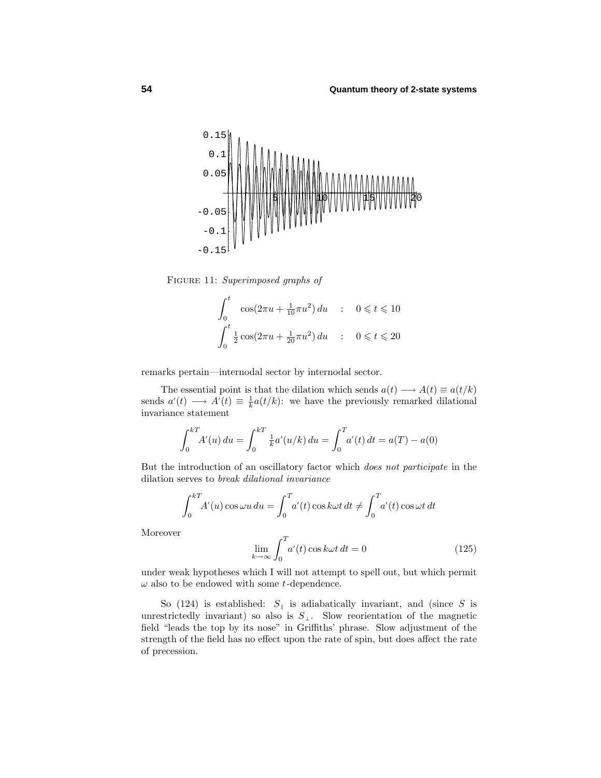![](_page_53_Figure_1.jpeg)

Figure 11: Superimposed graphs of

$$
\int_0^t \cos(2\pi u + \frac{1}{10}\pi u^2) du : 0 \le t \le 10
$$
  

$$
\int_0^t \frac{1}{2} \cos(2\pi u + \frac{1}{20}\pi u^2) du : 0 \le t \le 20
$$

remarks pertain—internodal sector by internodal sector.

The essential point is that the dilation which sends  $a(t) \longrightarrow A(t) \equiv a(t/k)$ sends  $a'(t) \longrightarrow A'(t) \equiv \frac{1}{k} a(t/k)$ : we have the previously remarked dilational invariance statement

$$
\int_0^{kT} A'(u) \, du = \int_0^{kT} \frac{1}{k} a'(u/k) \, du = \int_0^T a'(t) \, dt = a(T) - a(0)
$$

But the introduction of an oscillatory factor which does not participate in the dilation serves to break dilational invariance

$$
\int_0^{kT} A'(u) \cos \omega u \, du = \int_0^T a'(t) \cos k\omega t \, dt \neq \int_0^T a'(t) \cos \omega t \, dt
$$

Moreover

$$
\lim_{k \to \infty} \int_0^T a'(t) \cos k\omega t \, dt = 0 \tag{125}
$$

under weak hypotheses which I will not attempt to spell out, but which permit  $\omega$  also to be endowed with some *t*-dependence.

So (124) is established:  $S_{\parallel}$  is adiabatically invariant, and (since *S* is unrestrictedly invariant) so also is *S*⊥. Slow reorientation of the magnetic field "leads the top by its nose" in Griffiths' phrase. Slow adjustment of the strength of the field has no effect upon the rate of spin, but does affect the rate of precession.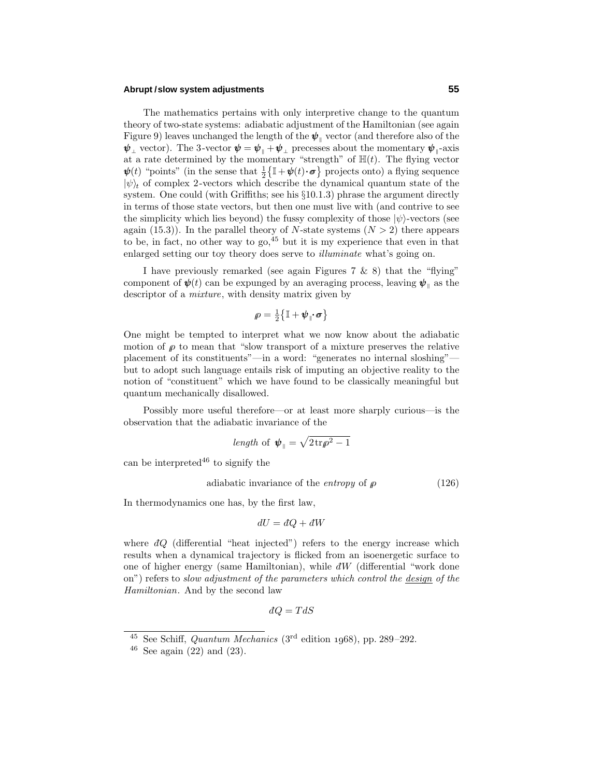### **Abrupt /slow system adjustments 55**

The mathematics pertains with only interpretive change to the quantum theory of two-state systems: adiabatic adjustment of the Hamiltonian (see again Figure 9) leaves unchanged the length of the  $\psi_{\parallel}$  vector (and therefore also of the  $\psi_{\perp}$  vector). The 3-vector  $\psi = \psi_{\parallel} + \psi_{\perp}$  precesses about the momentary  $\psi_{\parallel}$ -axis at a rate determined by the momentary "strength" of  $\mathbb{H}(t)$ . The flying vector  $\psi(t)$  "points" (in the sense that  $\frac{1}{2} \left\{ \mathbb{I} + \psi(t) \cdot \sigma \right\}$  projects onto) a flying sequence  $|\psi\rangle_t$  of complex 2-vectors which describe the dynamical quantum state of the system. One could (with Griffiths; see his  $\S10.1.3$ ) phrase the argument directly in terms of those state vectors, but then one must live with (and contrive to see the simplicity which lies beyond) the fussy complexity of those  $|\psi\rangle$ -vectors (see again (15.3)). In the parallel theory of *N*-state systems  $(N > 2)$  there appears to be, in fact, no other way to  $\mathbf{g}_0$ <sup>45</sup> but it is my experience that even in that enlarged setting our toy theory does serve to *illuminate* what's going on.

I have previously remarked (see again Figures  $7 \& 8$ ) that the "flying" component of  $\psi(t)$  can be expunged by an averaging process, leaving  $\psi_{\parallel}$  as the descriptor of a *mixture*, with density matrix given by

$$
\mathbf{\rho} = \tfrac{1}{2} \big\{ \mathbb{I} + \boldsymbol{\psi}_{\parallel} \!\!\cdot\! \boldsymbol{\sigma} \big\}
$$

One might be tempted to interpret what we now know about the adiabatic motion of  $\rho$  to mean that "slow transport of a mixture preserves the relative placement of its constituents"—in a word: "generates no internal sloshing" but to adopt such language entails risk of imputing an objective reality to the notion of "constituent" which we have found to be classically meaningful but quantum mechanically disallowed.

Possibly more useful therefore—or at least more sharply curious—is the observation that the adiabatic invariance of the

length of 
$$
\psi_{\parallel} = \sqrt{2 \text{tr} \rho^2 - 1}
$$

can be interpreted<sup>46</sup> to signify the

adiabatic invariance of the *entropy* of 
$$
\rho
$$
 (126)

In thermodynamics one has, by the first law,

$$
dU = dQ + dW
$$

where  $dQ$  (differential "heat injected") refers to the energy increase which results when a dynamical trajectory is flicked from an isoenergetic surface to one of higher energy (same Hamiltonian), while  $dW$  (differential "work done on") refers to slow adjustment of the parameters which control the design of the Hamiltonian. And by the second law

$$
dQ = TdS
$$

<sup>&</sup>lt;sup>45</sup> See Schiff, *Quantum Mechanics* ( $3<sup>rd</sup>$  edition 1968), pp. 289–292.

 $46$  See again (22) and (23).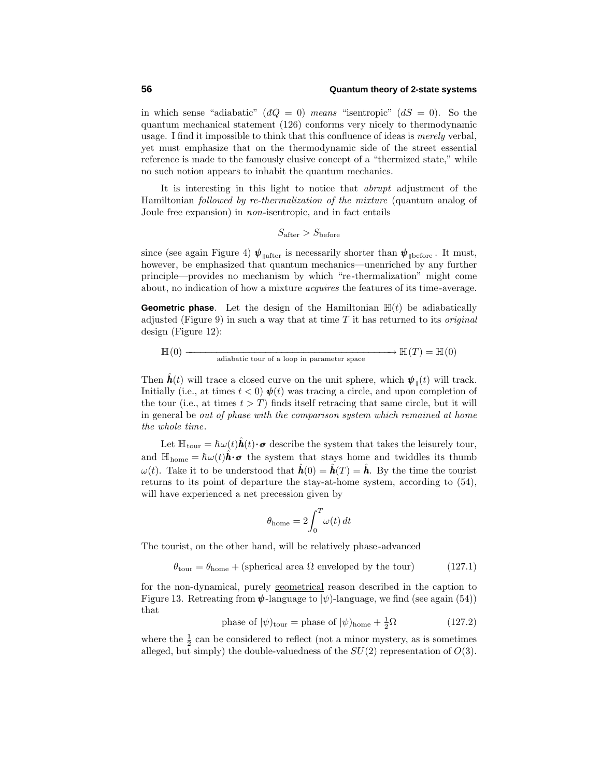in which sense "adiabatic"  $(dQ = 0)$  means "isentropic"  $(dS = 0)$ . So the quantum mechanical statement (126) conforms very nicely to thermodynamic usage. I find it impossible to think that this confluence of ideas is merely verbal, yet must emphasize that on the thermodynamic side of the street essential reference is made to the famously elusive concept of a "thermized state," while no such notion appears to inhabit the quantum mechanics.

It is interesting in this light to notice that abrupt adjustment of the Hamiltonian followed by re-thermalization of the mixture (quantum analog of Joule free expansion) in non-isentropic, and in fact entails

$$
S_{\text{after}} > S_{\text{before}}
$$

since (see again Figure 4)  $\psi_{\parallel \text{after}}$  is necessarily shorter than  $\psi_{\parallel \text{before}}$ . It must, however, be emphasized that quantum mechanics—unenriched by any further principle—provides no mechanism by which "re-thermalization" might come about, no indication of how a mixture acquires the features of its time-average.

**Geometric phase**. Let the design of the Hamiltonian  $H(t)$  be adiabatically adjusted (Figure 9) in such a way that at time  $T$  it has returned to its *original* design (Figure 12):

$$
\mathbb{H}(0) \xrightarrow{\hspace{0.5cm}} \text{adiabatic tour of a loop in parameter space} \mathbb{H}(T) = \mathbb{H}(0)
$$

Then  $\hat{\boldsymbol{h}}(t)$  will trace a closed curve on the unit sphere, which  $\boldsymbol{\psi}_{\parallel}(t)$  will track. Initially (i.e., at times  $t < 0$ )  $\psi(t)$  was tracing a circle, and upon completion of the tour (i.e., at times  $t>T$ ) finds itself retracing that same circle, but it will in general be out of phase with the comparison system which remained at home the whole time.

Let  $\mathbb{H}_{\text{tour}} = \hbar \omega(t) \hat{\boldsymbol{h}}(t) \cdot \boldsymbol{\sigma}$  describe the system that takes the leisurely tour, and  $\mathbb{H}_{\text{home}} = \hbar \omega(t) \hat{\boldsymbol{h}} \cdot \boldsymbol{\sigma}$  the system that stays home and twiddles its thumb  $\omega(t)$ . Take it to be understood that  $\hat{\boldsymbol{h}}(0) = \hat{\boldsymbol{h}}(T) = \hat{\boldsymbol{h}}$ . By the time the tourist returns to its point of departure the stay-at-home system, according to (54), will have experienced a net precession given by

$$
\theta_{\text{home}} = 2 \int_0^T \omega(t) dt
$$

The tourist, on the other hand, will be relatively phase-advanced

 $\theta_{\text{tour}} = \theta_{\text{home}} + (\text{spherical area } \Omega \text{ enveloped by the tour})$  (127*.*1)

for the non-dynamical, purely geometrical reason described in the caption to Figure 13. Retreating from  $\psi$ -language to  $|\psi\rangle$ -language, we find (see again (54)) that

phase of 
$$
|\psi\rangle_{\text{tour}} = \text{phase of } |\psi\rangle_{\text{home}} + \frac{1}{2}\Omega
$$
 (127.2)

where the  $\frac{1}{2}$  can be considered to reflect (not a minor mystery, as is sometimes alleged, but simply) the double-valuedness of the  $SU(2)$  representation of  $O(3)$ .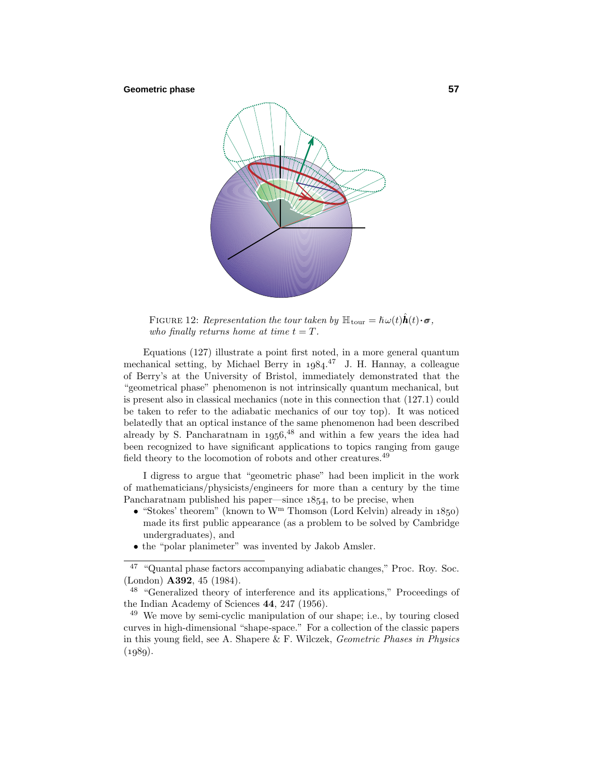**Geometric phase 57**

![](_page_56_Figure_1.jpeg)

FIGURE 12: Representation the tour taken by  $\mathbb{H}_{\text{tour}} = \hbar \omega(t) \hat{\bm{h}}(t) \cdot \bm{\sigma}$ , who finally returns home at time  $t = T$ .

Equations (127) illustrate a point first noted, in a more general quantum mechanical setting, by Michael Berry in 1984.<sup>47</sup> J. H. Hannay, a colleague of Berry's at the University of Bristol, immediately demonstrated that the "geometrical phase" phenomenon is not intrinsically quantum mechanical, but is present also in classical mechanics (note in this connection that (127.1) could be taken to refer to the adiabatic mechanics of our toy top). It was noticed belatedly that an optical instance of the same phenomenon had been described already by S. Pancharatnam in  $1956<sup>48</sup>$  and within a few years the idea had been recognized to have significant applications to topics ranging from gauge field theory to the locomotion of robots and other creatures.<sup>49</sup>

I digress to argue that "geometric phase" had been implicit in the work of mathematicians/physicists/engineers for more than a century by the time Pancharatnam published his paper—since  $1854$ , to be precise, when

- "Stokes' theorem" (known to  $W^m$  Thomson (Lord Kelvin) already in  $1850$ ) made its first public appearance (as a problem to be solved by Cambridge undergraduates), and
- the "polar planimeter" was invented by Jakob Amsler.

<sup>47</sup> "Quantal phase factors accompanying adiabatic changes," Proc. Roy. Soc. (London) **A392**, 45 (1984).

<sup>48</sup> "Generalized theory of interference and its applications," Proceedings of the Indian Academy of Sciences **44**, 247 (1956).

<sup>49</sup> We move by semi-cyclic manipulation of our shape; i.e., by touring closed curves in high-dimensional "shape-space." For a collection of the classic papers in this young field, see A. Shapere & F. Wilczek, Geometric Phases in Physics  $(1989).$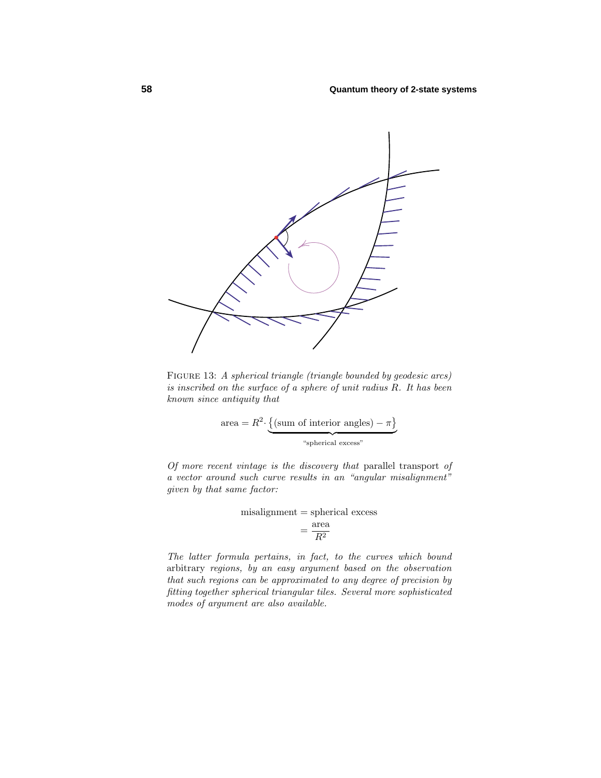![](_page_57_Figure_1.jpeg)

FIGURE 13: A spherical triangle (triangle bounded by geodesic arcs) is inscribed on the surface of a sphere of unit radius *R*. It has been known since antiquity that

$$
area = R2 \underbrace{\{(sum of interior angles) - \pi\}}_{\text{``spherical excess''}}
$$

Of more recent vintage is the discovery that parallel transport of a vector around such curve results in an "angular misalignment" given by that same factor:

misalignment = spherical excess  

$$
= \frac{\text{area}}{R^2}
$$

The latter formula pertains, in fact, to the curves which bound arbitrary regions, by an easy argument based on the observation that such regions can be approximated to any degree of precision by fitting together spherical triangular tiles. Several more sophisticated modes of argument are also available.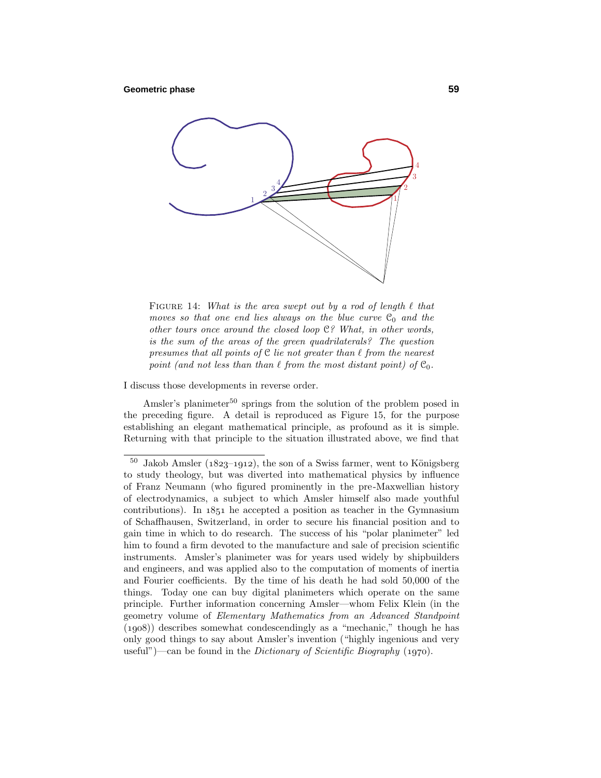### **Geometric phase 59**

![](_page_58_Figure_1.jpeg)

FIGURE 14: What is the area swept out by a rod of length  $\ell$  that moves so that one end lies always on the blue curve  $\mathfrak{C}_0$  and the other tours once around the closed loop C? What, in other words, is the sum of the areas of the green quadrilaterals? The question presumes that all points of  $C$  lie not greater than  $\ell$  from the nearest point (and not less than than  $\ell$  from the most distant point) of  $\mathcal{C}_0$ .

I discuss those developments in reverse order.

Amsler's planimeter<sup>50</sup> springs from the solution of the problem posed in the preceding figure. A detail is reproduced as Figure 15, for the purpose establishing an elegant mathematical principle, as profound as it is simple. Returning with that principle to the situation illustrated above, we find that

 $50$  Jakob Amsler ( $1823-1912$ ), the son of a Swiss farmer, went to Königsberg to study theology, but was diverted into mathematical physics by influence of Franz Neumann (who figured prominently in the pre-Maxwellian history of electrodynamics, a subject to which Amsler himself also made youthful contributions). In  $1851$  he accepted a position as teacher in the Gymnasium of Schaffhausen, Switzerland, in order to secure his financial position and to gain time in which to do research. The success of his "polar planimeter" led him to found a firm devoted to the manufacture and sale of precision scientific instruments. Amsler's planimeter was for years used widely by shipbuilders and engineers, and was applied also to the computation of moments of inertia and Fourier coefficients. By the time of his death he had sold 50,000 of the things. Today one can buy digital planimeters which operate on the same principle. Further information concerning Amsler—whom Felix Klein (in the geometry volume of Elementary Mathematics from an Advanced Standpoint  $(1908)$  describes somewhat condescendingly as a "mechanic," though he has only good things to say about Amsler's invention ("highly ingenious and very useful")—can be found in the *Dictionary of Scientific Biography* (1970).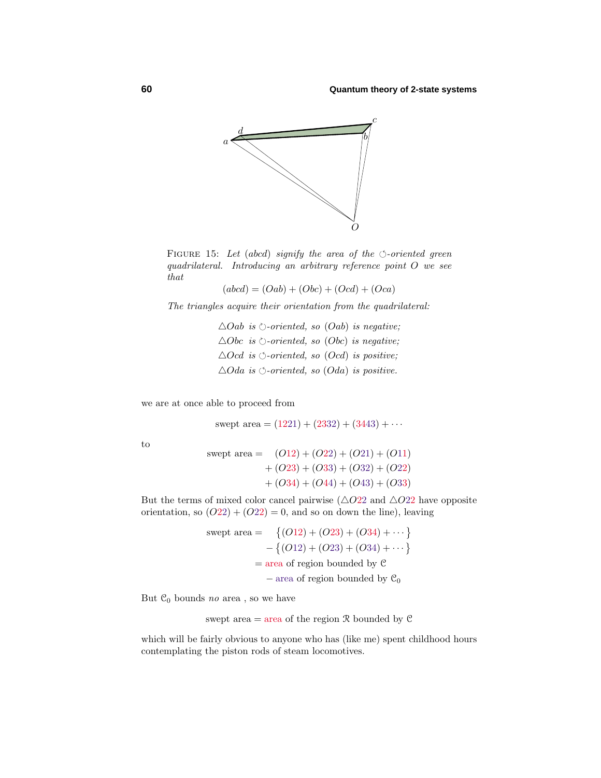![](_page_59_Figure_1.jpeg)

FIGURE 15: Let  $(abcd)$  signify the area of the  $\circ$ -oriented green quadrilateral. Introducing an arbitrary reference point *O* we see that

 $(abcd) = (Oab) + (Obc) + (Ocd) + (Oca)$ 

The triangles acquire their orientation from the quadrilateral:

 $\triangle$ *Oab* is  $\Diamond$ -oriented, so (*Oab*) is negative;  $\triangle Obc$  is  $\Diamond$ -oriented, so (*Obc*) is negative;  $\triangle Ocd$  is  $\circ$ -oriented, so  $(Ocd)$  is positive;  $\triangle Oda$  is  $\Diamond$ -oriented, so  $(Oda)$  is positive.

we are at once able to proceed from

swept area  $= (1221) + (2332) + (3443) + \cdots$ 

to

swept area = 
$$
(O12) + (O22) + (O21) + (O11)
$$
  
+  $(O23) + (O33) + (O32) + (O22)$   
+  $(O34) + (O44) + (O43) + (O33)$ 

But the terms of mixed color cancel pairwise  $(\triangle 022$  and  $\triangle 022$  have opposite orientation, so  $(O22) + (O22) = 0$ , and so on down the line), leaving

\n
$$
\text{swept area} = \{ (O12) + (O23) + (O34) + \cdots \}
$$
\n
$$
- \{ (O12) + (O23) + (O34) + \cdots \}
$$
\n
$$
= \text{area of region bounded by } \mathcal{C}
$$
\n
$$
- \text{area of region bounded by } \mathcal{C}_0
$$
\n

But  $C_0$  bounds no area, so we have

swept area  $=$  area of the region  $\Re$  bounded by  $\Im$ 

which will be fairly obvious to anyone who has (like me) spent childhood hours contemplating the piston rods of steam locomotives.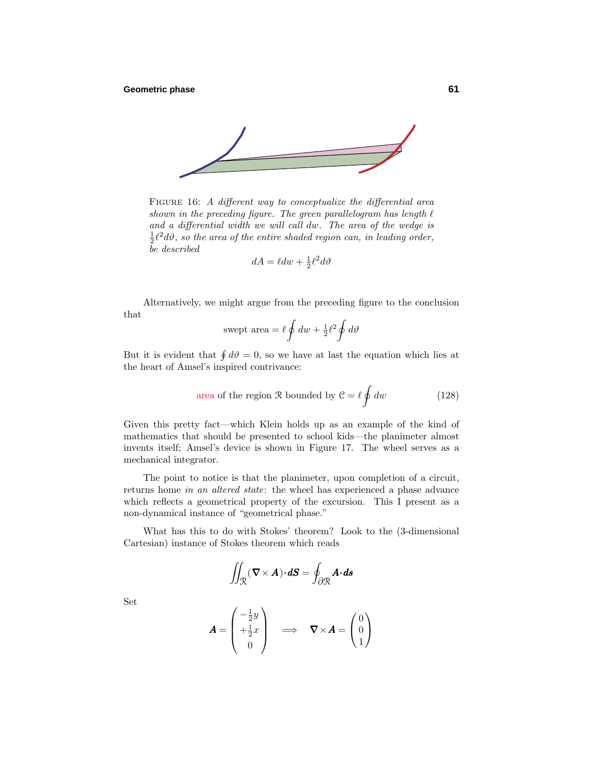**Geometric phase 61**

![](_page_60_Figure_1.jpeg)

FIGURE 16: A different way to conceptualize the differential area shown in the preceding figure. The green parallelogram has length  $\ell$ and a differential width we will call *dw*. The area of the wedge is  $\frac{1}{2}$  $\ell^2 d\vartheta$ , so the area of the entire shaded region can, in leading order, be described

$$
dA = \ell dw + \frac{1}{2}\ell^2 d\vartheta
$$

Alternatively, we might argue from the preceding figure to the conclusion that

$$
swept\,\arg\theta = \ell \oint dw + \frac{1}{2}\ell^2 \oint d\vartheta
$$

But it is evident that  $\oint d\theta = 0$ , so we have at last the equation which lies at the heart of Amsel's inspired contrivance:

$$
area of the region R bounded by C = \ell \oint dw
$$
 (128)

Given this pretty fact—which Klein holds up as an example of the kind of mathematics that should be presented to school kids—the planimeter almost invents itself; Amsel's device is shown in Figure 17. The wheel serves as a mechanical integrator.

The point to notice is that the planimeter, upon completion of a circuit, returns home in an altered state: the wheel has experienced a phase advance which reflects a geometrical property of the excursion. This I present as a non-dynamical instance of "geometrical phase."

What has this to do with Stokes' theorem? Look to the (3-dimensional Cartesian) instance of Stokes theorem which reads

$$
\iint_{\mathcal{R}} (\boldsymbol{\nabla} \times \boldsymbol{A}) \cdot d\boldsymbol{S} = \oint_{\partial \mathcal{R}} \boldsymbol{A} \cdot d\boldsymbol{s}
$$

Set

$$
\mathbf{A} = \begin{pmatrix} -\frac{1}{2}y \\ +\frac{1}{2}x \\ 0 \end{pmatrix} \implies \nabla \times \mathbf{A} = \begin{pmatrix} 0 \\ 0 \\ 1 \end{pmatrix}
$$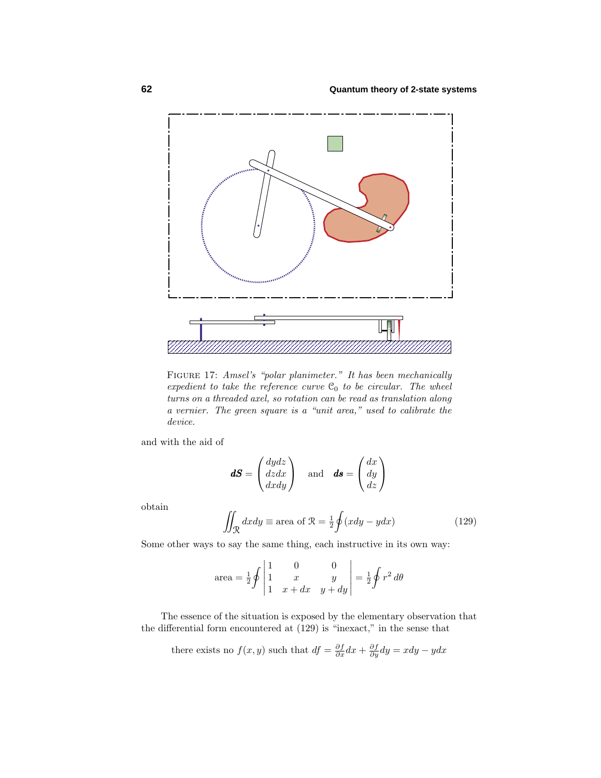![](_page_61_Figure_1.jpeg)

FIGURE 17: Amsel's "polar planimeter." It has been mechanically expedient to take the reference curve  $C_0$  to be circular. The wheel turns on a threaded axel, so rotation can be read as translation along a vernier. The green square is a "unit area," used to calibrate the device.

and with the aid of

$$
dS = \begin{pmatrix} dydz \\ dzdx \\ dxdy \end{pmatrix} \text{ and } d\boldsymbol{s} = \begin{pmatrix} dx \\ dy \\ dz \end{pmatrix}
$$

obtain

$$
\iint_{\mathcal{R}} dx dy \equiv \text{area of } \mathcal{R} = \frac{1}{2} \oint (x dy - y dx) \tag{129}
$$

Some other ways to say the same thing, each instructive in its own way:

$$
\text{area} = \frac{1}{2} \oint \begin{vmatrix} 1 & 0 & 0 \\ 1 & x & y \\ 1 & x + dx & y + dy \end{vmatrix} = \frac{1}{2} \oint r^2 d\theta
$$

The essence of the situation is exposed by the elementary observation that the differential form encountered at (129) is "inexact," in the sense that

there exists no 
$$
f(x, y)
$$
 such that  $df = \frac{\partial f}{\partial x} dx + \frac{\partial f}{\partial y} dy = x dy - y dx$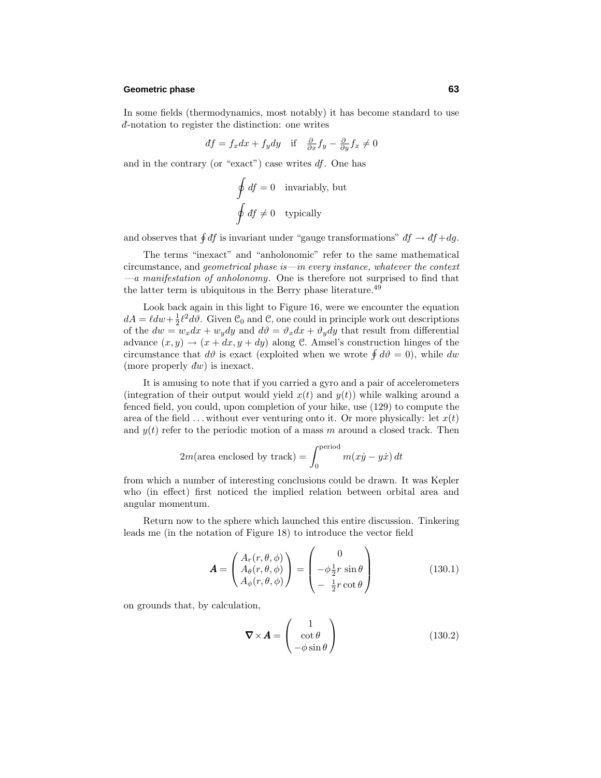### **Geometric phase 63**

In some fields (thermodynamics, most notably) it has become standard to use *d*¯-notation to register the distinction: one writes

$$
df = f_x dx + f_y dy \quad \text{if} \quad \frac{\partial}{\partial x} f_y - \frac{\partial}{\partial y} f_x \neq 0
$$

and in the contrary (or "exact") case writes *df*. One has

$$
\oint df = 0
$$
 invariably, but  

$$
\oint df \neq 0
$$
 typically

and observes that  $\oint df$  is invariant under "gauge transformations"  $df \rightarrow df + dg$ .

The terms "inexact" and "anholonomic" refer to the same mathematical circumstance, and *geometrical phase is—in every instance, whatever the context*  $-a$  manifestation of anholonomy. One is therefore not surprised to find that the latter term is ubiquitous in the Berry phase literature.<sup>49</sup>

Look back again in this light to Figure 16, were we encounter the equation  $dA = \ell dw + \frac{1}{2}\ell^2 d\vartheta$ . Given  $\mathcal{C}_0$  and  $\mathcal{C}_2$ , one could in principle work out descriptions of the  $dw = w_x dx + w_y dy$  and  $d\theta = \vartheta_x dx + \vartheta_y dy$  that result from differential advance  $(x, y) \rightarrow (x + dx, y + dy)$  along C. Amsel's construction hinges of the circumstance that  $d\theta$  is exact (exploited when we wrote  $\oint d\theta = 0$ ), while dw (more properly  $dw$ ) is inexact.

It is amusing to note that if you carried a gyro and a pair of accelerometers (integration of their output would yield  $x(t)$  and  $y(t)$ ) while walking around a fenced field, you could, upon completion of your hike, use (129) to compute the area of the field  $\dots$  without ever venturing onto it. Or more physically: let  $x(t)$ and *y*(*t*) refer to the periodic motion of a mass *m* around a closed track. Then

$$
2m(\text{area enclosed by track}) = \int_0^{\text{period}} m(x\dot{y} - y\dot{x}) dt
$$

from which a number of interesting conclusions could be drawn. It was Kepler who (in effect) first noticed the implied relation between orbital area and angular momentum.

Return now to the sphere which launched this entire discussion. Tinkering leads me (in the notation of Figure 18) to introduce the vector field

$$
\mathbf{A} = \begin{pmatrix} A_r(r, \theta, \phi) \\ A_{\theta}(r, \theta, \phi) \\ A_{\phi}(r, \theta, \phi) \end{pmatrix} = \begin{pmatrix} 0 \\ -\phi \frac{1}{2}r \sin \theta \\ -\frac{1}{2}r \cot \theta \end{pmatrix}
$$
(130.1)

on grounds that, by calculation,

$$
\nabla \times \mathbf{A} = \begin{pmatrix} 1 \\ \cot \theta \\ -\phi \sin \theta \end{pmatrix}
$$
 (130.2)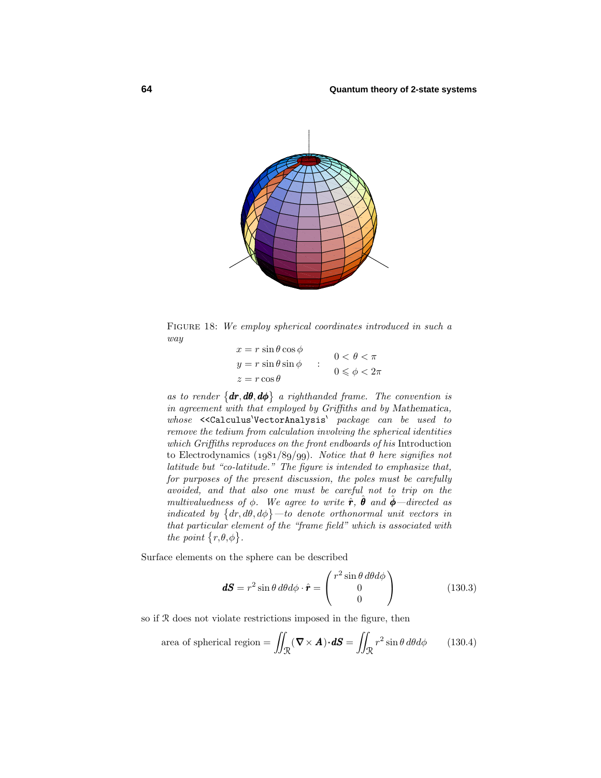![](_page_63_Figure_1.jpeg)

FIGURE 18: We employ spherical coordinates introduced in such a way

| $x = r \sin \theta \cos \phi$ |  | $0 < \theta < \pi$        |
|-------------------------------|--|---------------------------|
| $y = r \sin \theta \sin \phi$ |  | $0 \leqslant \phi < 2\pi$ |
| $z = r \cos \theta$           |  |                           |

as to render  $\{dr, d\theta, d\phi\}$  a righthanded frame. The convention is in agreement with that employed by Griffiths and by *Mathematica*, whose <<Calculus'VectorAnalysis' package can be used to remove the tedium from calculation involving the spherical identities which Griffiths reproduces on the front endboards of his Introduction to Electrodynamics ( $1981/89/99$ ). Notice that  $\theta$  here signifies not latitude but "co-latitude." The figure is intended to emphasize that, for purposes of the present discussion, the poles must be carefully avoided, and that also one must be careful not to trip on the  $multivaluedness$  of  $\phi$ . We agree to write  $\hat{\mathbf{r}}$ ,  $\hat{\boldsymbol{\theta}}$  and  $\hat{\boldsymbol{\phi}}$ —directed as indicated by  $\{dr, d\theta, d\phi\}$  —to denote orthonormal unit vectors in that particular element of the "frame field" which is associated with *the point*  $\{r, \theta, \phi\}$ .

Surface elements on the sphere can be described

$$
\mathbf{dS} = r^2 \sin \theta \, d\theta d\phi \cdot \hat{\mathbf{r}} = \begin{pmatrix} r^2 \sin \theta \, d\theta d\phi \\ 0 \\ 0 \end{pmatrix} \tag{130.3}
$$

so if R does not violate restrictions imposed in the figure, then

area of spherical region = 
$$
\iint_{\mathcal{R}} (\mathbf{\nabla} \times \mathbf{A}) \cdot d\mathbf{S} = \iint_{\mathcal{R}} r^2 \sin \theta \, d\theta d\phi \qquad (130.4)
$$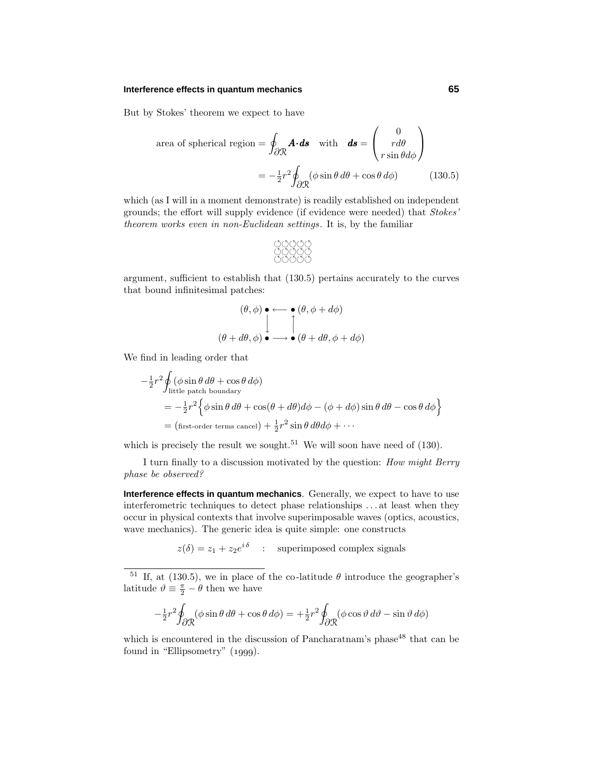### **Interference effects in quantum mechanics 65**

But by Stokes' theorem we expect to have

area of spherical region = 
$$
\oint_{\partial \mathcal{R}} \mathbf{A} \cdot d\mathbf{s}
$$
 with  $\mathbf{ds} = \begin{pmatrix} 0 \\ r d\theta \\ r \sin \theta d\phi \end{pmatrix}$   
=  $-\frac{1}{2}r^2 \oint_{\partial \mathcal{R}} (\phi \sin \theta \, d\theta + \cos \theta \, d\phi)$  (130.5)

which (as I will in a moment demonstrate) is readily established on independent grounds; the effort will supply evidence (if evidence were needed) that Stokes' theorem works even in non-Euclidean settings. It is, by the familiar

![](_page_64_Picture_4.jpeg)

argument, sufficient to establish that (130.5) pertains accurately to the curves that bound infinitesimal patches:

$$
(\theta, \phi) \bullet \longleftrightarrow (\theta, \phi + d\phi)
$$
  

$$
\downarrow \qquad \uparrow
$$
  

$$
(\theta + d\theta, \phi) \bullet \longrightarrow \bullet (\theta + d\theta, \phi + d\phi)
$$

We find in leading order that

$$
-\frac{1}{2}r^2 \oint_{\text{little patch boundary}} (\phi \sin \theta \, d\theta + \cos \theta \, d\phi)
$$
  
=  $-\frac{1}{2}r^2 \Big\{ \phi \sin \theta \, d\theta + \cos(\theta + d\theta) d\phi - (\phi + d\phi) \sin \theta \, d\theta - \cos \theta \, d\phi \Big\}$   
=  $(\text{first-order terms cancel}) + \frac{1}{2}r^2 \sin \theta \, d\theta d\phi + \cdots$ 

which is precisely the result we sought.<sup>51</sup> We will soon have need of  $(130)$ .

I turn finally to a discussion motivated by the question: How might Berry phase be observed?

**Interference effects in quantum mechanics**. Generally, we expect to have to use interferometric techniques to detect phase relationships *...* at least when they occur in physical contexts that involve superimposable waves (optics, acoustics, wave mechanics). The generic idea is quite simple: one constructs

 $z(\delta) = z_1 + z_2 e^{i\delta}$  : superimposed complex signals

<sup>51</sup> If, at (130.5), we in place of the co-latitude  $\theta$  introduce the geographer's latitude  $\vartheta \equiv \frac{\pi}{2} - \theta$  then we have

$$
-\frac{1}{2}r^2 \oint_{\partial \mathcal{R}} (\phi \sin \theta \, d\theta + \cos \theta \, d\phi) = +\frac{1}{2}r^2 \oint_{\partial \mathcal{R}} (\phi \cos \vartheta \, d\vartheta - \sin \vartheta \, d\phi)
$$

which is encountered in the discussion of Pancharatnam's phase<sup>48</sup> that can be found in "Ellipsometry"  $(1999)$ .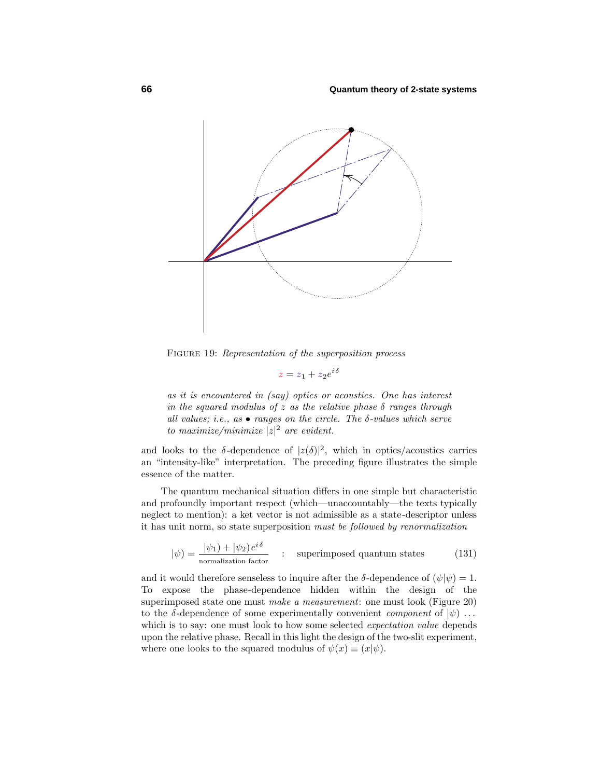![](_page_65_Figure_1.jpeg)

FIGURE 19: Representation of the superposition process

 $z = z_1 + z_2 e^{i\delta}$ 

as it is encountered in (say) optics or acoustics. One has interest in the squared modulus of  $z$  as the relative phase  $\delta$  ranges through all values; i.e., as • ranges on the circle. The *δ*-values which serve to maximize/minimize  $|z|^2$  are evident.

and looks to the *δ*-dependence of  $|z(\delta)|^2$ , which in optics/acoustics carries an "intensity-like" interpretation. The preceding figure illustrates the simple essence of the matter.

The quantum mechanical situation differs in one simple but characteristic and profoundly important respect (which—unaccountably—the texts typically neglect to mention): a ket vector is not admissible as a state-descriptor unless it has unit norm, so state superposition must be followed by renormalization

$$
|\psi\rangle = \frac{|\psi_1\rangle + |\psi_2\rangle e^{i\delta}}{\text{normalization factor}} \qquad \text{superimposed quantum states} \tag{131}
$$

and it would therefore senseless to inquire after the  $\delta$ -dependence of  $(\psi|\psi) = 1$ . To expose the phase-dependence hidden within the design of the superimposed state one must make a measurement: one must look (Figure 20) to the *δ*-dependence of some experimentally convenient *component* of  $|\psi\rangle$ ... which is to say: one must look to how some selected *expectation value* depends upon the relative phase. Recall in this light the design of the two-slit experiment, where one looks to the squared modulus of  $\psi(x) \equiv (x|\psi)$ .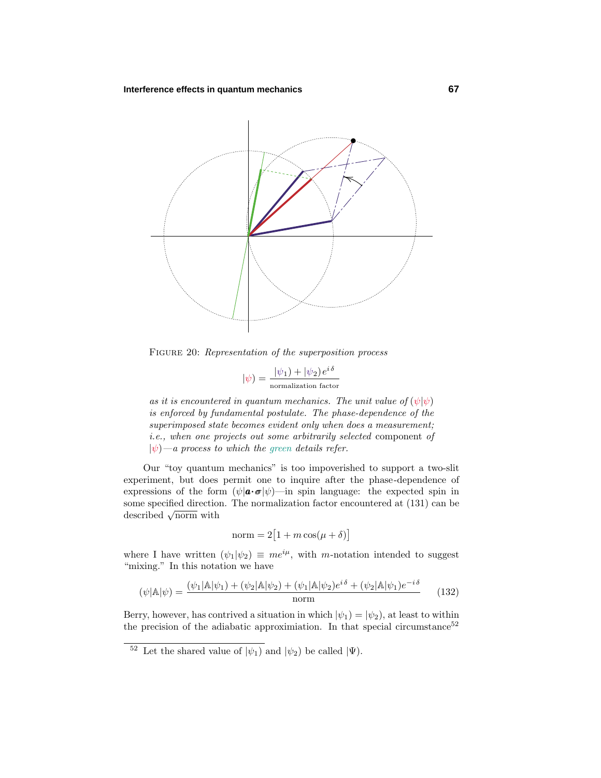![](_page_66_Figure_1.jpeg)

FIGURE 20: Representation of the superposition process

$$
|\psi) = \frac{|\psi_1) + |\psi_2| e^{i\delta}}{\text{normalization factor}}
$$

as it is encountered in quantum mechanics. The unit value of  $(\psi|\psi)$ is enforced by fundamental postulate. The phase-dependence of the superimposed state becomes evident only when does a measurement; i.e., when one projects out some arbitrarily selected component of  $|\psi\rangle$ —a process to which the green details refer.

Our "toy quantum mechanics" is too impoverished to support a two-slit experiment, but does permit one to inquire after the phase-dependence of expressions of the form  $(\psi | \mathbf{a} \cdot \mathbf{\sigma} | \psi)$ —in spin language: the expected spin in some specified direction. The normalization factor encountered at (131) can be described √norm with

$$
norm = 2[1 + m\cos(\mu + \delta)]
$$

where I have written  $(\psi_1|\psi_2) \equiv me^{i\mu}$ , with *m*-notation intended to suggest "mixing." In this notation we have

$$
(\psi|\mathbb{A}|\psi) = \frac{(\psi_1|\mathbb{A}|\psi_1) + (\psi_2|\mathbb{A}|\psi_2) + (\psi_1|\mathbb{A}|\psi_2)e^{i\delta} + (\psi_2|\mathbb{A}|\psi_1)e^{-i\delta}}{\text{norm}} \tag{132}
$$

Berry, however, has contrived a situation in which  $|\psi_1\rangle = |\psi_2\rangle$ , at least to within the precision of the adiabatic approximiation. In that special circumstance<sup>52</sup>

<sup>&</sup>lt;sup>52</sup> Let the shared value of  $|\psi_1\rangle$  and  $|\psi_2\rangle$  be called  $|\Psi\rangle$ .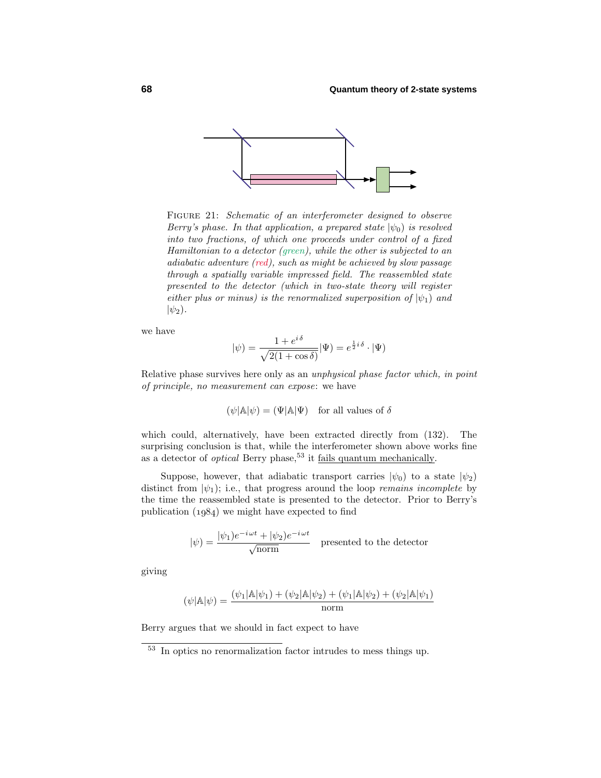![](_page_67_Figure_1.jpeg)

FIGURE 21: Schematic of an interferometer designed to observe Berry's phase. In that application, a prepared state  $|\psi_0\rangle$  is resolved into two fractions, of which one proceeds under control of a fixed Hamiltonian to a detector (green), while the other is subjected to an adiabatic adventure (red), such as might be achieved by slow passage through a spatially variable impressed field. The reassembled state presented to the detector (which in two-state theory will register either plus or minus) is the renormalized superposition of  $|\psi_1\rangle$  and  $|\psi_2|$ .

we have

$$
|\psi) = \frac{1 + e^{i\delta}}{\sqrt{2(1 + \cos \delta)}} |\Psi) = e^{\frac{1}{2}i\delta} \cdot |\Psi)
$$

Relative phase survives here only as an unphysical phase factor which, in point of principle, no measurement can expose: we have

$$
(\psi|\mathbb{A}|\psi) = (\Psi|\mathbb{A}|\Psi) \quad \text{for all values of } \delta
$$

which could, alternatively, have been extracted directly from (132). The surprising conclusion is that, while the interferometer shown above works fine as a detector of *optical* Berry phase,<sup>53</sup> it fails quantum mechanically.

Suppose, however, that adiabatic transport carries  $|\psi_0\rangle$  to a state  $|\psi_2\rangle$ distinct from  $|\psi_1\rangle$ ; i.e., that progress around the loop *remains incomplete* by the time the reassembled state is presented to the detector. Prior to Berry's publication  $(1984)$  we might have expected to find

$$
|\psi) = \frac{|\psi_1)e^{-i\omega t} + |\psi_2)e^{-i\omega t}}{\sqrt{\text{norm}}}
$$
 presented to the detector

giving

$$
(\psi | \mathbb{A} | \psi) = \frac{(\psi_1 | \mathbb{A} | \psi_1) + (\psi_2 | \mathbb{A} | \psi_2) + (\psi_1 | \mathbb{A} | \psi_2) + (\psi_2 | \mathbb{A} | \psi_1)}{\text{norm}}
$$

Berry argues that we should in fact expect to have

<sup>53</sup> In optics no renormalization factor intrudes to mess things up.